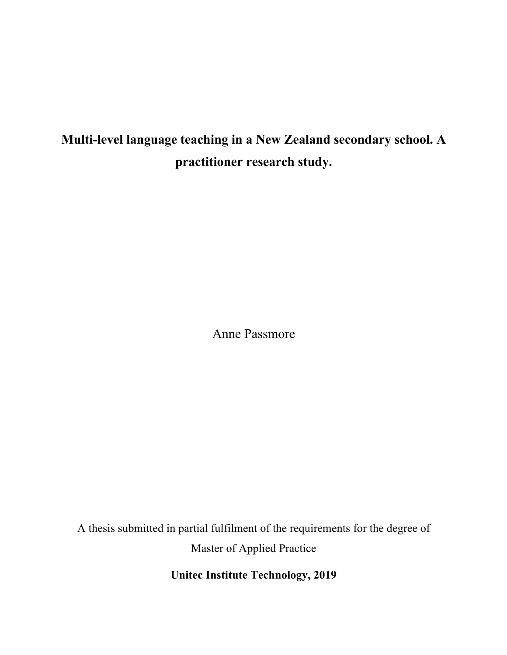# **Multi-level language teaching in a New Zealand secondary school. A practitioner research study.**

Anne Passmore

A thesis submitted in partial fulfilment of the requirements for the degree of Master of Applied Practice

**Unitec Institute Technology, 2019**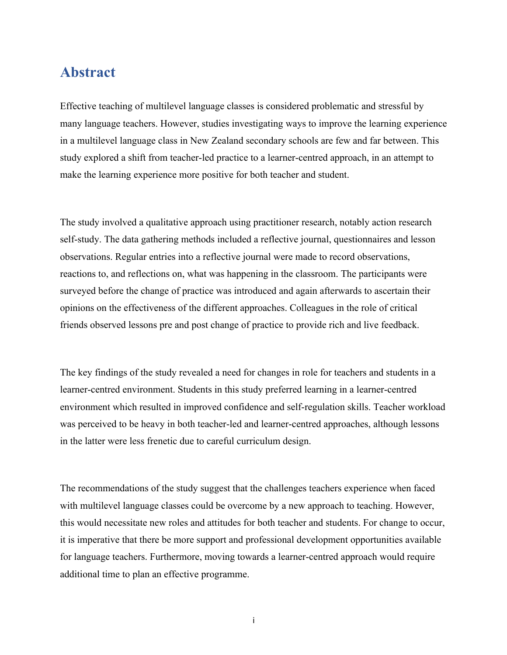# **Abstract**

Effective teaching of multilevel language classes is considered problematic and stressful by many language teachers. However, studies investigating ways to improve the learning experience in a multilevel language class in New Zealand secondary schools are few and far between. This study explored a shift from teacher-led practice to a learner-centred approach, in an attempt to make the learning experience more positive for both teacher and student.

The study involved a qualitative approach using practitioner research, notably action research self-study. The data gathering methods included a reflective journal, questionnaires and lesson observations. Regular entries into a reflective journal were made to record observations, reactions to, and reflections on, what was happening in the classroom. The participants were surveyed before the change of practice was introduced and again afterwards to ascertain their opinions on the effectiveness of the different approaches. Colleagues in the role of critical friends observed lessons pre and post change of practice to provide rich and live feedback.

The key findings of the study revealed a need for changes in role for teachers and students in a learner-centred environment. Students in this study preferred learning in a learner-centred environment which resulted in improved confidence and self-regulation skills. Teacher workload was perceived to be heavy in both teacher-led and learner-centred approaches, although lessons in the latter were less frenetic due to careful curriculum design.

The recommendations of the study suggest that the challenges teachers experience when faced with multilevel language classes could be overcome by a new approach to teaching. However, this would necessitate new roles and attitudes for both teacher and students. For change to occur, it is imperative that there be more support and professional development opportunities available for language teachers. Furthermore, moving towards a learner-centred approach would require additional time to plan an effective programme.

i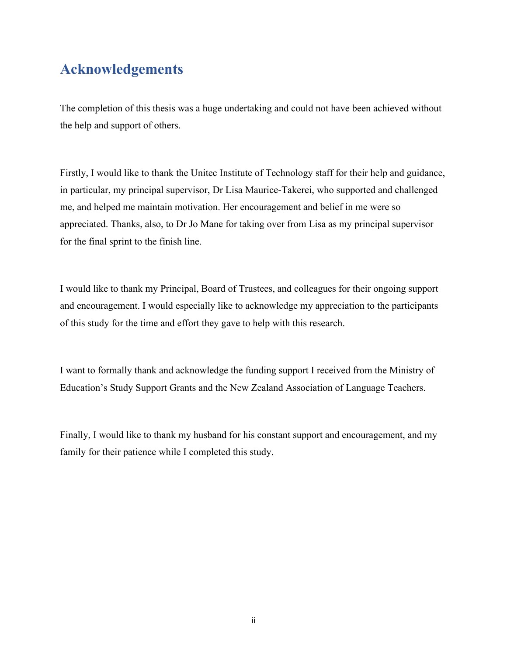# **Acknowledgements**

The completion of this thesis was a huge undertaking and could not have been achieved without the help and support of others.

Firstly, I would like to thank the Unitec Institute of Technology staff for their help and guidance, in particular, my principal supervisor, Dr Lisa Maurice-Takerei, who supported and challenged me, and helped me maintain motivation. Her encouragement and belief in me were so appreciated. Thanks, also, to Dr Jo Mane for taking over from Lisa as my principal supervisor for the final sprint to the finish line.

I would like to thank my Principal, Board of Trustees, and colleagues for their ongoing support and encouragement. I would especially like to acknowledge my appreciation to the participants of this study for the time and effort they gave to help with this research.

I want to formally thank and acknowledge the funding support I received from the Ministry of Education's Study Support Grants and the New Zealand Association of Language Teachers.

Finally, I would like to thank my husband for his constant support and encouragement, and my family for their patience while I completed this study.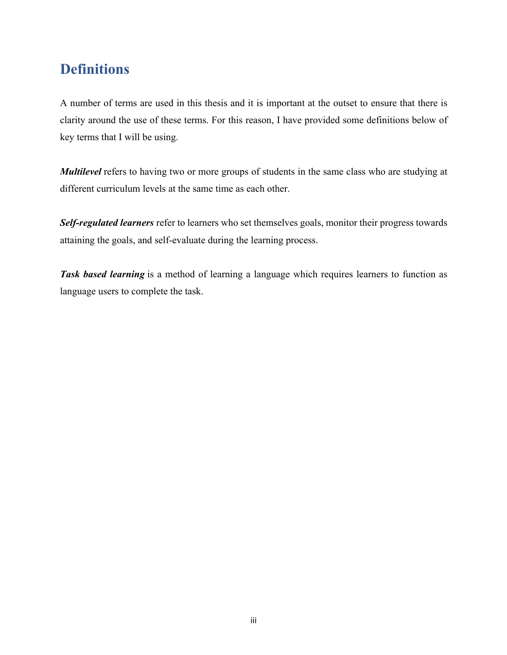# **Definitions**

A number of terms are used in this thesis and it is important at the outset to ensure that there is clarity around the use of these terms. For this reason, I have provided some definitions below of key terms that I will be using.

*Multilevel* refers to having two or more groups of students in the same class who are studying at different curriculum levels at the same time as each other.

*Self-regulated learners* refer to learners who set themselves goals, monitor their progress towards attaining the goals, and self-evaluate during the learning process.

**Task based learning** is a method of learning a language which requires learners to function as language users to complete the task.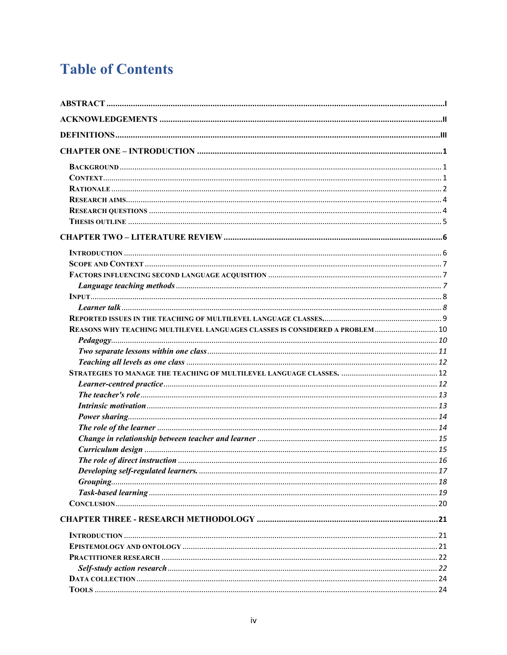# **Table of Contents**

| REASONS WHY TEACHING MULTILEVEL LANGUAGES CLASSES IS CONSIDERED A PROBLEM  10 |  |
|-------------------------------------------------------------------------------|--|
|                                                                               |  |
|                                                                               |  |
|                                                                               |  |
|                                                                               |  |
|                                                                               |  |
|                                                                               |  |
|                                                                               |  |
|                                                                               |  |
|                                                                               |  |
|                                                                               |  |
|                                                                               |  |
|                                                                               |  |
|                                                                               |  |
|                                                                               |  |
|                                                                               |  |
|                                                                               |  |
|                                                                               |  |
|                                                                               |  |
|                                                                               |  |
|                                                                               |  |
|                                                                               |  |
|                                                                               |  |
|                                                                               |  |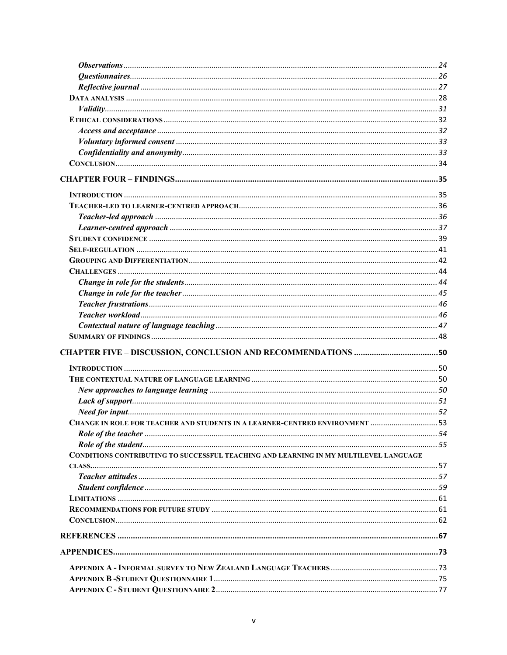| CHANGE IN ROLE FOR TEACHER AND STUDENTS IN A LEARNER-CENTRED ENVIRONMENT  53          |  |
|---------------------------------------------------------------------------------------|--|
|                                                                                       |  |
|                                                                                       |  |
| CONDITIONS CONTRIBUTING TO SUCCESSFUL TEACHING AND LEARNING IN MY MULTILEVEL LANGUAGE |  |
|                                                                                       |  |
|                                                                                       |  |
|                                                                                       |  |
|                                                                                       |  |
|                                                                                       |  |
|                                                                                       |  |
|                                                                                       |  |
|                                                                                       |  |
|                                                                                       |  |
|                                                                                       |  |
|                                                                                       |  |
|                                                                                       |  |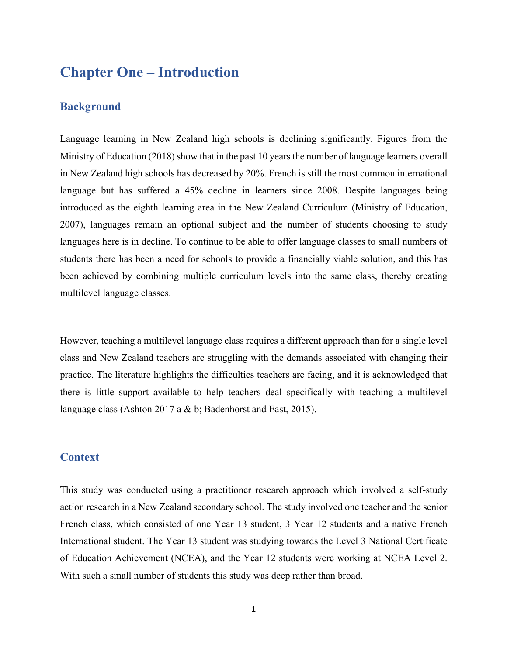# **Chapter One – Introduction**

### **Background**

Language learning in New Zealand high schools is declining significantly. Figures from the Ministry of Education (2018) show that in the past 10 years the number of language learners overall in New Zealand high schools has decreased by 20%. French is still the most common international language but has suffered a 45% decline in learners since 2008. Despite languages being introduced as the eighth learning area in the New Zealand Curriculum (Ministry of Education, 2007), languages remain an optional subject and the number of students choosing to study languages here is in decline. To continue to be able to offer language classes to small numbers of students there has been a need for schools to provide a financially viable solution, and this has been achieved by combining multiple curriculum levels into the same class, thereby creating multilevel language classes.

However, teaching a multilevel language class requires a different approach than for a single level class and New Zealand teachers are struggling with the demands associated with changing their practice. The literature highlights the difficulties teachers are facing, and it is acknowledged that there is little support available to help teachers deal specifically with teaching a multilevel language class (Ashton 2017 a & b; Badenhorst and East, 2015).

### **Context**

This study was conducted using a practitioner research approach which involved a self-study action research in a New Zealand secondary school. The study involved one teacher and the senior French class, which consisted of one Year 13 student, 3 Year 12 students and a native French International student. The Year 13 student was studying towards the Level 3 National Certificate of Education Achievement (NCEA), and the Year 12 students were working at NCEA Level 2. With such a small number of students this study was deep rather than broad.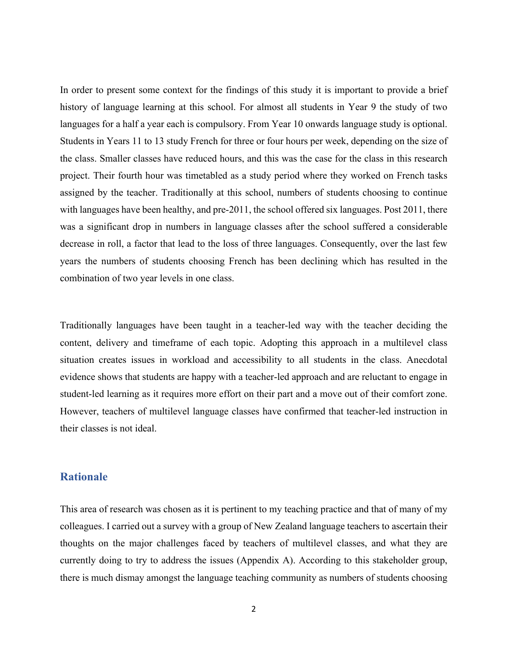In order to present some context for the findings of this study it is important to provide a brief history of language learning at this school. For almost all students in Year 9 the study of two languages for a half a year each is compulsory. From Year 10 onwards language study is optional. Students in Years 11 to 13 study French for three or four hours per week, depending on the size of the class. Smaller classes have reduced hours, and this was the case for the class in this research project. Their fourth hour was timetabled as a study period where they worked on French tasks assigned by the teacher. Traditionally at this school, numbers of students choosing to continue with languages have been healthy, and pre-2011, the school offered six languages. Post 2011, there was a significant drop in numbers in language classes after the school suffered a considerable decrease in roll, a factor that lead to the loss of three languages. Consequently, over the last few years the numbers of students choosing French has been declining which has resulted in the combination of two year levels in one class.

Traditionally languages have been taught in a teacher-led way with the teacher deciding the content, delivery and timeframe of each topic. Adopting this approach in a multilevel class situation creates issues in workload and accessibility to all students in the class. Anecdotal evidence shows that students are happy with a teacher-led approach and are reluctant to engage in student-led learning as it requires more effort on their part and a move out of their comfort zone. However, teachers of multilevel language classes have confirmed that teacher-led instruction in their classes is not ideal.

# **Rationale**

This area of research was chosen as it is pertinent to my teaching practice and that of many of my colleagues. I carried out a survey with a group of New Zealand language teachers to ascertain their thoughts on the major challenges faced by teachers of multilevel classes, and what they are currently doing to try to address the issues (Appendix A). According to this stakeholder group, there is much dismay amongst the language teaching community as numbers of students choosing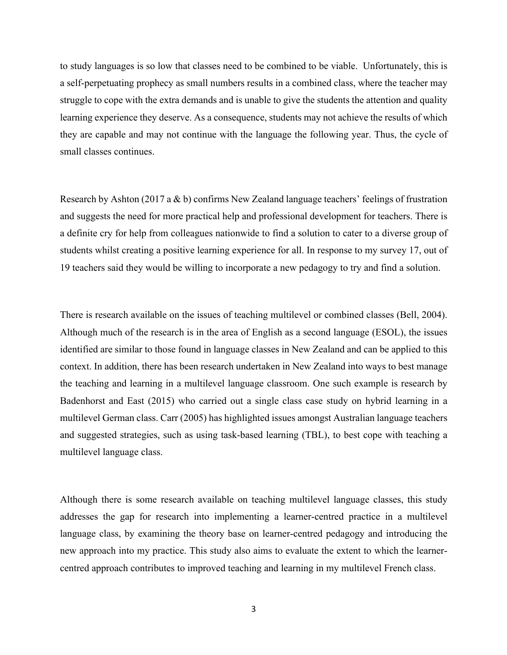to study languages is so low that classes need to be combined to be viable. Unfortunately, this is a self-perpetuating prophecy as small numbers results in a combined class, where the teacher may struggle to cope with the extra demands and is unable to give the students the attention and quality learning experience they deserve. As a consequence, students may not achieve the results of which they are capable and may not continue with the language the following year. Thus, the cycle of small classes continues.

Research by Ashton (2017 a & b) confirms New Zealand language teachers' feelings of frustration and suggests the need for more practical help and professional development for teachers. There is a definite cry for help from colleagues nationwide to find a solution to cater to a diverse group of students whilst creating a positive learning experience for all. In response to my survey 17, out of 19 teachers said they would be willing to incorporate a new pedagogy to try and find a solution.

There is research available on the issues of teaching multilevel or combined classes (Bell, 2004). Although much of the research is in the area of English as a second language (ESOL), the issues identified are similar to those found in language classes in New Zealand and can be applied to this context. In addition, there has been research undertaken in New Zealand into ways to best manage the teaching and learning in a multilevel language classroom. One such example is research by Badenhorst and East (2015) who carried out a single class case study on hybrid learning in a multilevel German class. Carr (2005) has highlighted issues amongst Australian language teachers and suggested strategies, such as using task-based learning (TBL), to best cope with teaching a multilevel language class.

Although there is some research available on teaching multilevel language classes, this study addresses the gap for research into implementing a learner-centred practice in a multilevel language class, by examining the theory base on learner-centred pedagogy and introducing the new approach into my practice. This study also aims to evaluate the extent to which the learnercentred approach contributes to improved teaching and learning in my multilevel French class.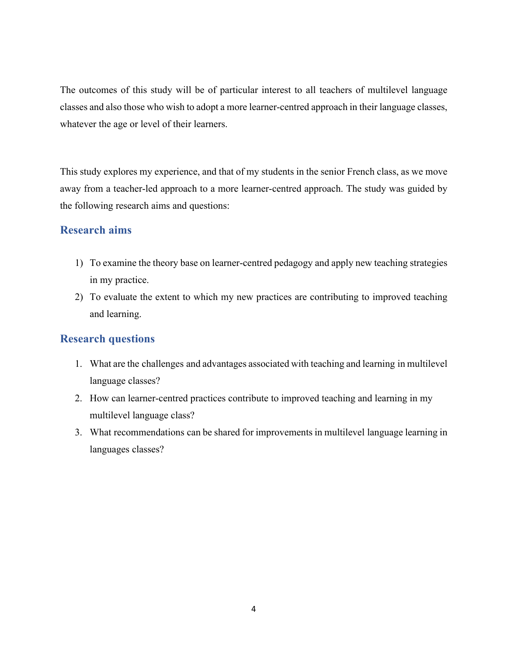The outcomes of this study will be of particular interest to all teachers of multilevel language classes and also those who wish to adopt a more learner-centred approach in their language classes, whatever the age or level of their learners.

This study explores my experience, and that of my students in the senior French class, as we move away from a teacher-led approach to a more learner-centred approach. The study was guided by the following research aims and questions:

# **Research aims**

- 1) To examine the theory base on learner-centred pedagogy and apply new teaching strategies in my practice.
- 2) To evaluate the extent to which my new practices are contributing to improved teaching and learning.

# **Research questions**

- 1. What are the challenges and advantages associated with teaching and learning in multilevel language classes?
- 2. How can learner-centred practices contribute to improved teaching and learning in my multilevel language class?
- 3. What recommendations can be shared for improvements in multilevel language learning in languages classes?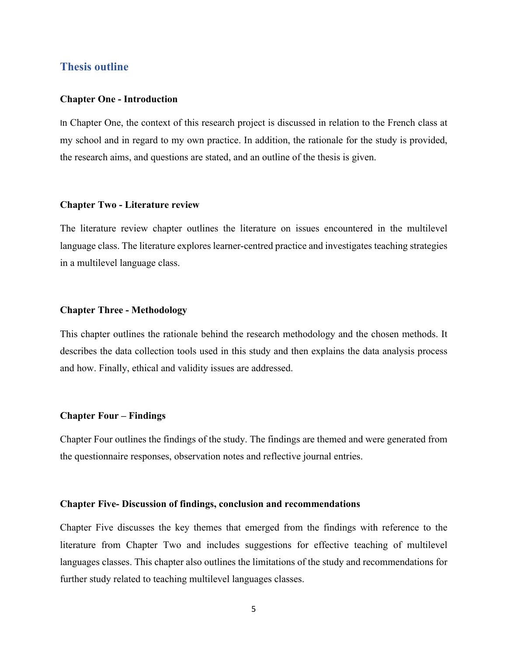## **Thesis outline**

#### **Chapter One - Introduction**

In Chapter One, the context of this research project is discussed in relation to the French class at my school and in regard to my own practice. In addition, the rationale for the study is provided, the research aims, and questions are stated, and an outline of the thesis is given.

#### **Chapter Two - Literature review**

The literature review chapter outlines the literature on issues encountered in the multilevel language class. The literature explores learner-centred practice and investigates teaching strategies in a multilevel language class.

#### **Chapter Three - Methodology**

This chapter outlines the rationale behind the research methodology and the chosen methods. It describes the data collection tools used in this study and then explains the data analysis process and how. Finally, ethical and validity issues are addressed.

#### **Chapter Four – Findings**

Chapter Four outlines the findings of the study. The findings are themed and were generated from the questionnaire responses, observation notes and reflective journal entries.

#### **Chapter Five- Discussion of findings, conclusion and recommendations**

Chapter Five discusses the key themes that emerged from the findings with reference to the literature from Chapter Two and includes suggestions for effective teaching of multilevel languages classes. This chapter also outlines the limitations of the study and recommendations for further study related to teaching multilevel languages classes.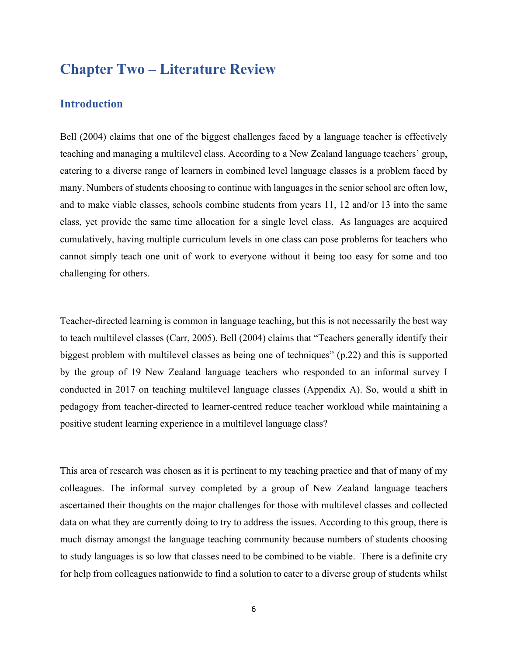# **Chapter Two – Literature Review**

## **Introduction**

Bell (2004) claims that one of the biggest challenges faced by a language teacher is effectively teaching and managing a multilevel class. According to a New Zealand language teachers' group, catering to a diverse range of learners in combined level language classes is a problem faced by many. Numbers of students choosing to continue with languages in the senior school are often low, and to make viable classes, schools combine students from years 11, 12 and/or 13 into the same class, yet provide the same time allocation for a single level class. As languages are acquired cumulatively, having multiple curriculum levels in one class can pose problems for teachers who cannot simply teach one unit of work to everyone without it being too easy for some and too challenging for others.

Teacher-directed learning is common in language teaching, but this is not necessarily the best way to teach multilevel classes (Carr, 2005). Bell (2004) claims that "Teachers generally identify their biggest problem with multilevel classes as being one of techniques" (p.22) and this is supported by the group of 19 New Zealand language teachers who responded to an informal survey I conducted in 2017 on teaching multilevel language classes (Appendix A). So, would a shift in pedagogy from teacher-directed to learner-centred reduce teacher workload while maintaining a positive student learning experience in a multilevel language class?

This area of research was chosen as it is pertinent to my teaching practice and that of many of my colleagues. The informal survey completed by a group of New Zealand language teachers ascertained their thoughts on the major challenges for those with multilevel classes and collected data on what they are currently doing to try to address the issues. According to this group, there is much dismay amongst the language teaching community because numbers of students choosing to study languages is so low that classes need to be combined to be viable. There is a definite cry for help from colleagues nationwide to find a solution to cater to a diverse group of students whilst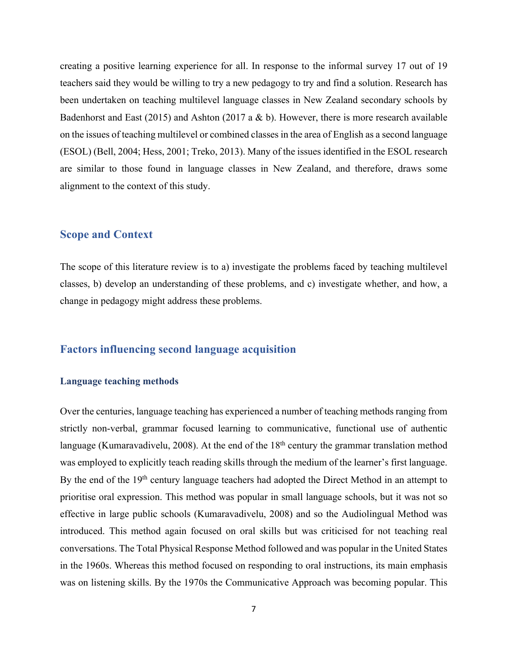creating a positive learning experience for all. In response to the informal survey 17 out of 19 teachers said they would be willing to try a new pedagogy to try and find a solution. Research has been undertaken on teaching multilevel language classes in New Zealand secondary schools by Badenhorst and East (2015) and Ashton (2017 a & b). However, there is more research available on the issues of teaching multilevel or combined classes in the area of English as a second language (ESOL) (Bell, 2004; Hess, 2001; Treko, 2013). Many of the issues identified in the ESOL research are similar to those found in language classes in New Zealand, and therefore, draws some alignment to the context of this study.

#### **Scope and Context**

The scope of this literature review is to a) investigate the problems faced by teaching multilevel classes, b) develop an understanding of these problems, and c) investigate whether, and how, a change in pedagogy might address these problems.

## **Factors influencing second language acquisition**

#### **Language teaching methods**

Over the centuries, language teaching has experienced a number of teaching methods ranging from strictly non-verbal, grammar focused learning to communicative, functional use of authentic language (Kumaravadivelu, 2008). At the end of the 18<sup>th</sup> century the grammar translation method was employed to explicitly teach reading skills through the medium of the learner's first language. By the end of the 19<sup>th</sup> century language teachers had adopted the Direct Method in an attempt to prioritise oral expression. This method was popular in small language schools, but it was not so effective in large public schools (Kumaravadivelu, 2008) and so the Audiolingual Method was introduced. This method again focused on oral skills but was criticised for not teaching real conversations. The Total Physical Response Method followed and was popular in the United States in the 1960s. Whereas this method focused on responding to oral instructions, its main emphasis was on listening skills. By the 1970s the Communicative Approach was becoming popular. This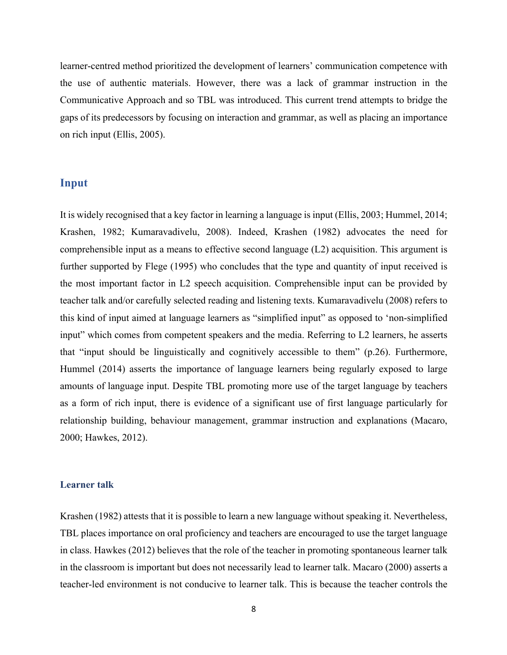learner-centred method prioritized the development of learners' communication competence with the use of authentic materials. However, there was a lack of grammar instruction in the Communicative Approach and so TBL was introduced. This current trend attempts to bridge the gaps of its predecessors by focusing on interaction and grammar, as well as placing an importance on rich input (Ellis, 2005).

## **Input**

It is widely recognised that a key factor in learning a language is input (Ellis, 2003; Hummel, 2014; Krashen, 1982; Kumaravadivelu, 2008). Indeed, Krashen (1982) advocates the need for comprehensible input as a means to effective second language (L2) acquisition. This argument is further supported by Flege (1995) who concludes that the type and quantity of input received is the most important factor in L2 speech acquisition. Comprehensible input can be provided by teacher talk and/or carefully selected reading and listening texts. Kumaravadivelu (2008) refers to this kind of input aimed at language learners as "simplified input" as opposed to 'non-simplified input" which comes from competent speakers and the media. Referring to L2 learners, he asserts that "input should be linguistically and cognitively accessible to them" (p.26). Furthermore, Hummel (2014) asserts the importance of language learners being regularly exposed to large amounts of language input. Despite TBL promoting more use of the target language by teachers as a form of rich input, there is evidence of a significant use of first language particularly for relationship building, behaviour management, grammar instruction and explanations (Macaro, 2000; Hawkes, 2012).

#### **Learner talk**

Krashen (1982) attests that it is possible to learn a new language without speaking it. Nevertheless, TBL places importance on oral proficiency and teachers are encouraged to use the target language in class. Hawkes (2012) believes that the role of the teacher in promoting spontaneous learner talk in the classroom is important but does not necessarily lead to learner talk. Macaro (2000) asserts a teacher-led environment is not conducive to learner talk. This is because the teacher controls the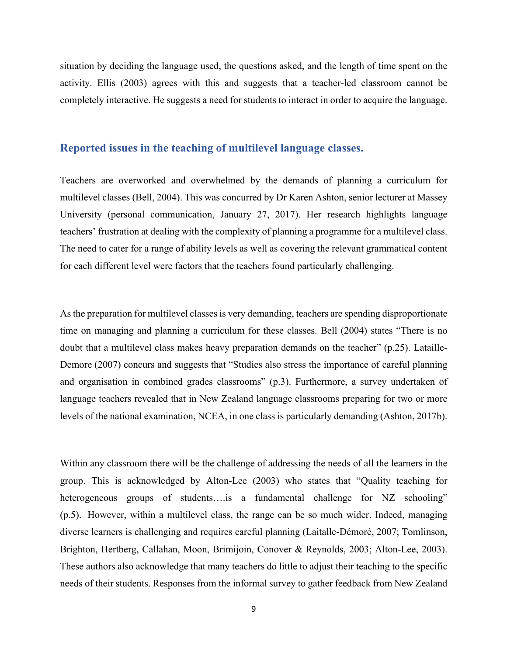situation by deciding the language used, the questions asked, and the length of time spent on the activity. Ellis (2003) agrees with this and suggests that a teacher-led classroom cannot be completely interactive. He suggests a need for students to interact in order to acquire the language.

#### **Reported issues in the teaching of multilevel language classes.**

Teachers are overworked and overwhelmed by the demands of planning a curriculum for multilevel classes (Bell, 2004). This was concurred by Dr Karen Ashton, senior lecturer at Massey University (personal communication, January 27, 2017). Her research highlights language teachers' frustration at dealing with the complexity of planning a programme for a multilevel class. The need to cater for a range of ability levels as well as covering the relevant grammatical content for each different level were factors that the teachers found particularly challenging.

As the preparation for multilevel classes is very demanding, teachers are spending disproportionate time on managing and planning a curriculum for these classes. Bell (2004) states "There is no doubt that a multilevel class makes heavy preparation demands on the teacher" (p.25). Lataille-Demore (2007) concurs and suggests that "Studies also stress the importance of careful planning and organisation in combined grades classrooms" (p.3). Furthermore, a survey undertaken of language teachers revealed that in New Zealand language classrooms preparing for two or more levels of the national examination, NCEA, in one class is particularly demanding (Ashton, 2017b).

Within any classroom there will be the challenge of addressing the needs of all the learners in the group. This is acknowledged by Alton-Lee (2003) who states that "Quality teaching for heterogeneous groups of students….is a fundamental challenge for NZ schooling" (p.5). However, within a multilevel class, the range can be so much wider. Indeed, managing diverse learners is challenging and requires careful planning (Laitalle-Démoré, 2007; Tomlinson, Brighton, Hertberg, Callahan, Moon, Brimijoin, Conover & Reynolds, 2003; Alton-Lee, 2003). These authors also acknowledge that many teachers do little to adjust their teaching to the specific needs of their students. Responses from the informal survey to gather feedback from New Zealand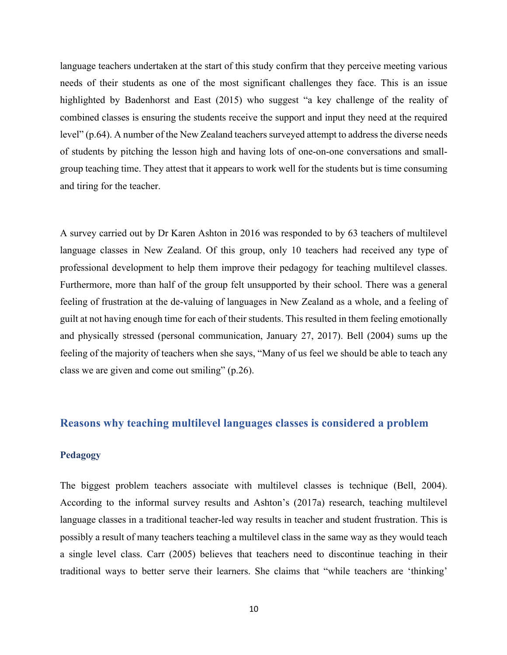language teachers undertaken at the start of this study confirm that they perceive meeting various needs of their students as one of the most significant challenges they face. This is an issue highlighted by Badenhorst and East (2015) who suggest "a key challenge of the reality of combined classes is ensuring the students receive the support and input they need at the required level" (p.64). A number of the New Zealand teachers surveyed attempt to address the diverse needs of students by pitching the lesson high and having lots of one-on-one conversations and smallgroup teaching time. They attest that it appears to work well for the students but is time consuming and tiring for the teacher.

A survey carried out by Dr Karen Ashton in 2016 was responded to by 63 teachers of multilevel language classes in New Zealand. Of this group, only 10 teachers had received any type of professional development to help them improve their pedagogy for teaching multilevel classes. Furthermore, more than half of the group felt unsupported by their school. There was a general feeling of frustration at the de-valuing of languages in New Zealand as a whole, and a feeling of guilt at not having enough time for each of their students. This resulted in them feeling emotionally and physically stressed (personal communication, January 27, 2017). Bell (2004) sums up the feeling of the majority of teachers when she says, "Many of us feel we should be able to teach any class we are given and come out smiling" (p.26).

### **Reasons why teaching multilevel languages classes is considered a problem**

#### **Pedagogy**

The biggest problem teachers associate with multilevel classes is technique (Bell, 2004). According to the informal survey results and Ashton's (2017a) research, teaching multilevel language classes in a traditional teacher-led way results in teacher and student frustration. This is possibly a result of many teachers teaching a multilevel class in the same way as they would teach a single level class. Carr (2005) believes that teachers need to discontinue teaching in their traditional ways to better serve their learners. She claims that "while teachers are 'thinking'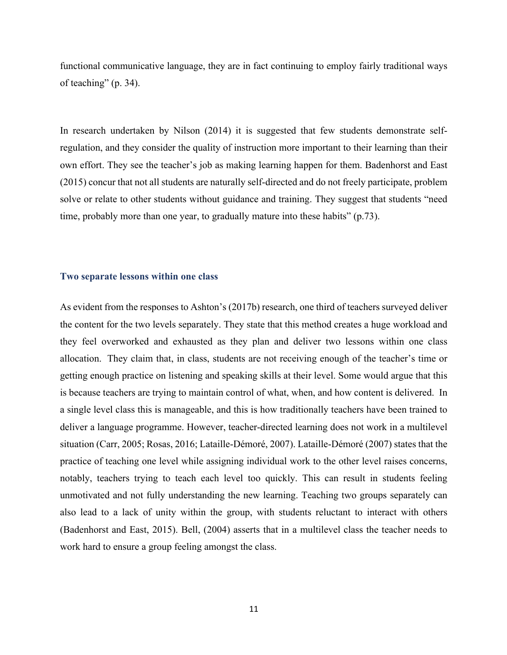functional communicative language, they are in fact continuing to employ fairly traditional ways of teaching" (p. 34).

In research undertaken by Nilson (2014) it is suggested that few students demonstrate selfregulation, and they consider the quality of instruction more important to their learning than their own effort. They see the teacher's job as making learning happen for them. Badenhorst and East (2015) concur that not all students are naturally self-directed and do not freely participate, problem solve or relate to other students without guidance and training. They suggest that students "need time, probably more than one year, to gradually mature into these habits" (p.73).

#### **Two separate lessons within one class**

As evident from the responses to Ashton's (2017b) research, one third of teachers surveyed deliver the content for the two levels separately. They state that this method creates a huge workload and they feel overworked and exhausted as they plan and deliver two lessons within one class allocation. They claim that, in class, students are not receiving enough of the teacher's time or getting enough practice on listening and speaking skills at their level. Some would argue that this is because teachers are trying to maintain control of what, when, and how content is delivered. In a single level class this is manageable, and this is how traditionally teachers have been trained to deliver a language programme. However, teacher-directed learning does not work in a multilevel situation (Carr, 2005; Rosas, 2016; Lataille-Démoré, 2007). Lataille-Démoré (2007) states that the practice of teaching one level while assigning individual work to the other level raises concerns, notably, teachers trying to teach each level too quickly. This can result in students feeling unmotivated and not fully understanding the new learning. Teaching two groups separately can also lead to a lack of unity within the group, with students reluctant to interact with others (Badenhorst and East, 2015). Bell, (2004) asserts that in a multilevel class the teacher needs to work hard to ensure a group feeling amongst the class.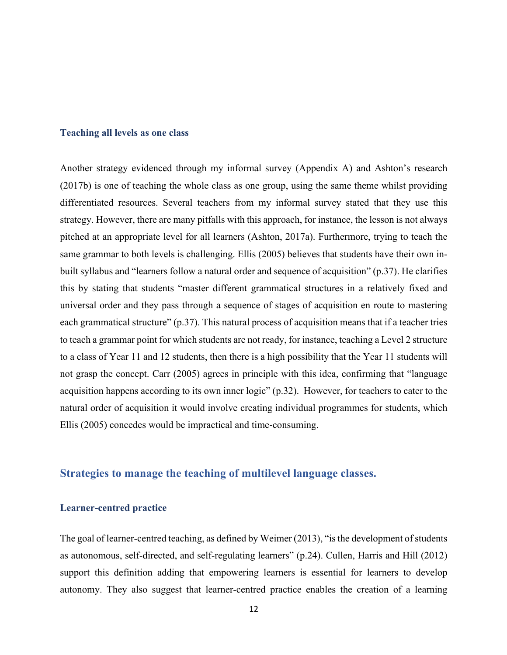#### **Teaching all levels as one class**

Another strategy evidenced through my informal survey (Appendix A) and Ashton's research (2017b) is one of teaching the whole class as one group, using the same theme whilst providing differentiated resources. Several teachers from my informal survey stated that they use this strategy. However, there are many pitfalls with this approach, for instance, the lesson is not always pitched at an appropriate level for all learners (Ashton, 2017a). Furthermore, trying to teach the same grammar to both levels is challenging. Ellis (2005) believes that students have their own inbuilt syllabus and "learners follow a natural order and sequence of acquisition" (p.37). He clarifies this by stating that students "master different grammatical structures in a relatively fixed and universal order and they pass through a sequence of stages of acquisition en route to mastering each grammatical structure" (p.37). This natural process of acquisition means that if a teacher tries to teach a grammar point for which students are not ready, for instance, teaching a Level 2 structure to a class of Year 11 and 12 students, then there is a high possibility that the Year 11 students will not grasp the concept. Carr (2005) agrees in principle with this idea, confirming that "language acquisition happens according to its own inner logic" (p.32). However, for teachers to cater to the natural order of acquisition it would involve creating individual programmes for students, which Ellis (2005) concedes would be impractical and time-consuming.

#### **Strategies to manage the teaching of multilevel language classes.**

#### **Learner-centred practice**

The goal of learner-centred teaching, as defined by Weimer (2013), "is the development of students as autonomous, self-directed, and self-regulating learners" (p.24). Cullen, Harris and Hill (2012) support this definition adding that empowering learners is essential for learners to develop autonomy. They also suggest that learner-centred practice enables the creation of a learning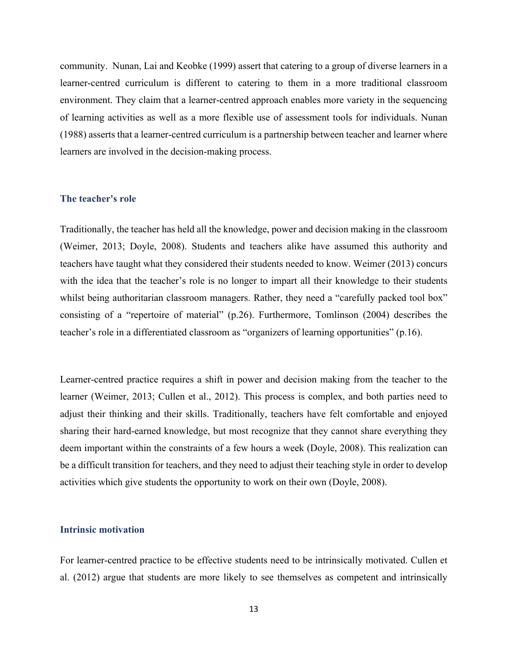community. Nunan, Lai and Keobke (1999) assert that catering to a group of diverse learners in a learner-centred curriculum is different to catering to them in a more traditional classroom environment. They claim that a learner-centred approach enables more variety in the sequencing of learning activities as well as a more flexible use of assessment tools for individuals. Nunan (1988) asserts that a learner-centred curriculum is a partnership between teacher and learner where learners are involved in the decision-making process.

#### **The teacher's role**

Traditionally, the teacher has held all the knowledge, power and decision making in the classroom (Weimer, 2013; Doyle, 2008). Students and teachers alike have assumed this authority and teachers have taught what they considered their students needed to know. Weimer (2013) concurs with the idea that the teacher's role is no longer to impart all their knowledge to their students whilst being authoritarian classroom managers. Rather, they need a "carefully packed tool box" consisting of a "repertoire of material" (p.26). Furthermore, Tomlinson (2004) describes the teacher's role in a differentiated classroom as "organizers of learning opportunities" (p.16).

Learner-centred practice requires a shift in power and decision making from the teacher to the learner (Weimer, 2013; Cullen et al., 2012). This process is complex, and both parties need to adjust their thinking and their skills. Traditionally, teachers have felt comfortable and enjoyed sharing their hard-earned knowledge, but most recognize that they cannot share everything they deem important within the constraints of a few hours a week (Doyle, 2008). This realization can be a difficult transition for teachers, and they need to adjust their teaching style in order to develop activities which give students the opportunity to work on their own (Doyle, 2008).

#### **Intrinsic motivation**

For learner-centred practice to be effective students need to be intrinsically motivated. Cullen et al. (2012) argue that students are more likely to see themselves as competent and intrinsically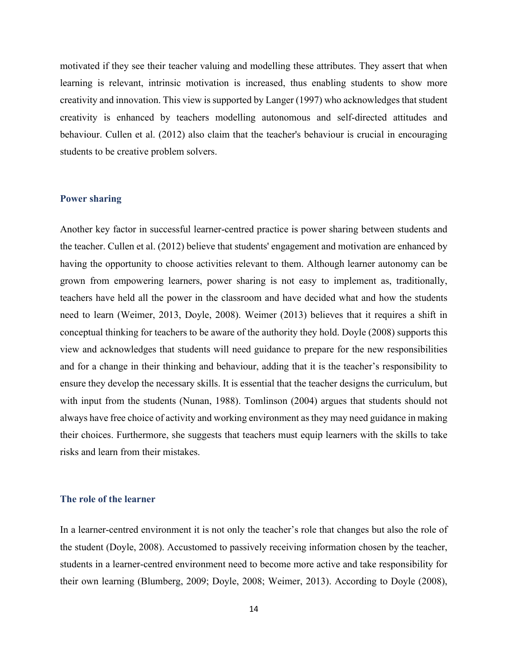motivated if they see their teacher valuing and modelling these attributes. They assert that when learning is relevant, intrinsic motivation is increased, thus enabling students to show more creativity and innovation. This view is supported by Langer (1997) who acknowledges that student creativity is enhanced by teachers modelling autonomous and self-directed attitudes and behaviour. Cullen et al. (2012) also claim that the teacher's behaviour is crucial in encouraging students to be creative problem solvers.

#### **Power sharing**

Another key factor in successful learner-centred practice is power sharing between students and the teacher. Cullen et al. (2012) believe that students' engagement and motivation are enhanced by having the opportunity to choose activities relevant to them. Although learner autonomy can be grown from empowering learners, power sharing is not easy to implement as, traditionally, teachers have held all the power in the classroom and have decided what and how the students need to learn (Weimer, 2013, Doyle, 2008). Weimer (2013) believes that it requires a shift in conceptual thinking for teachers to be aware of the authority they hold. Doyle (2008) supports this view and acknowledges that students will need guidance to prepare for the new responsibilities and for a change in their thinking and behaviour, adding that it is the teacher's responsibility to ensure they develop the necessary skills. It is essential that the teacher designs the curriculum, but with input from the students (Nunan, 1988). Tomlinson (2004) argues that students should not always have free choice of activity and working environment as they may need guidance in making their choices. Furthermore, she suggests that teachers must equip learners with the skills to take risks and learn from their mistakes.

#### **The role of the learner**

In a learner-centred environment it is not only the teacher's role that changes but also the role of the student (Doyle, 2008). Accustomed to passively receiving information chosen by the teacher, students in a learner-centred environment need to become more active and take responsibility for their own learning (Blumberg, 2009; Doyle, 2008; Weimer, 2013). According to Doyle (2008),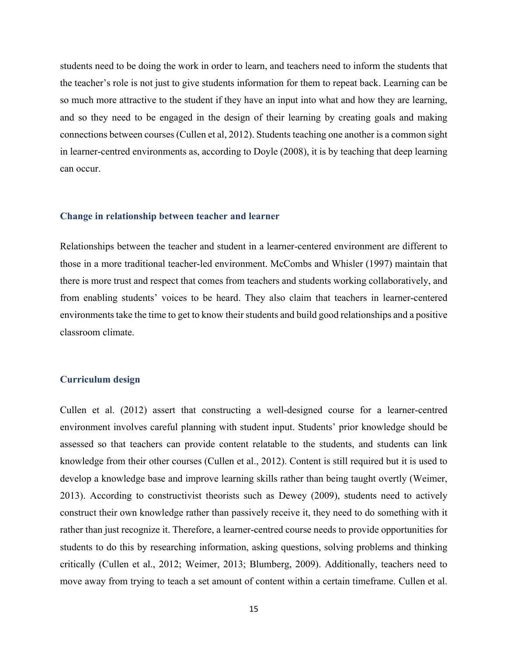students need to be doing the work in order to learn, and teachers need to inform the students that the teacher's role is not just to give students information for them to repeat back. Learning can be so much more attractive to the student if they have an input into what and how they are learning, and so they need to be engaged in the design of their learning by creating goals and making connections between courses (Cullen et al, 2012). Students teaching one another is a common sight in learner-centred environments as, according to Doyle (2008), it is by teaching that deep learning can occur.

#### **Change in relationship between teacher and learner**

Relationships between the teacher and student in a learner-centered environment are different to those in a more traditional teacher-led environment. McCombs and Whisler (1997) maintain that there is more trust and respect that comes from teachers and students working collaboratively, and from enabling students' voices to be heard. They also claim that teachers in learner-centered environments take the time to get to know their students and build good relationships and a positive classroom climate.

#### **Curriculum design**

Cullen et al. (2012) assert that constructing a well-designed course for a learner-centred environment involves careful planning with student input. Students' prior knowledge should be assessed so that teachers can provide content relatable to the students, and students can link knowledge from their other courses (Cullen et al., 2012). Content is still required but it is used to develop a knowledge base and improve learning skills rather than being taught overtly (Weimer, 2013). According to constructivist theorists such as Dewey (2009), students need to actively construct their own knowledge rather than passively receive it, they need to do something with it rather than just recognize it. Therefore, a learner-centred course needs to provide opportunities for students to do this by researching information, asking questions, solving problems and thinking critically (Cullen et al., 2012; Weimer, 2013; Blumberg, 2009). Additionally, teachers need to move away from trying to teach a set amount of content within a certain timeframe. Cullen et al.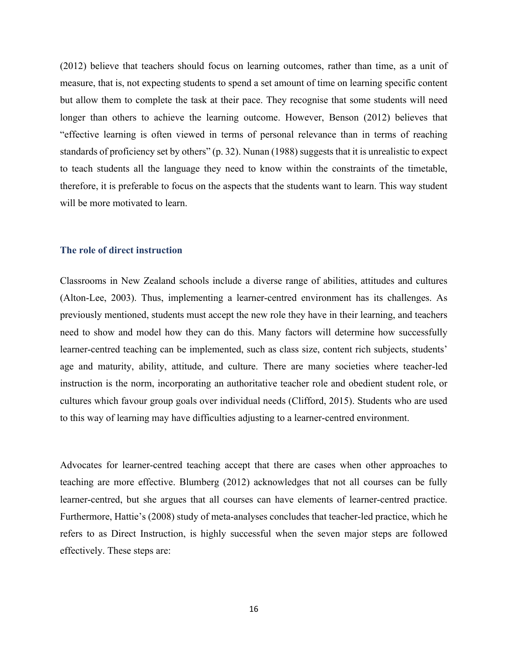(2012) believe that teachers should focus on learning outcomes, rather than time, as a unit of measure, that is, not expecting students to spend a set amount of time on learning specific content but allow them to complete the task at their pace. They recognise that some students will need longer than others to achieve the learning outcome. However, Benson (2012) believes that "effective learning is often viewed in terms of personal relevance than in terms of reaching standards of proficiency set by others" (p. 32). Nunan (1988) suggests that it is unrealistic to expect to teach students all the language they need to know within the constraints of the timetable, therefore, it is preferable to focus on the aspects that the students want to learn. This way student will be more motivated to learn.

#### **The role of direct instruction**

Classrooms in New Zealand schools include a diverse range of abilities, attitudes and cultures (Alton-Lee, 2003). Thus, implementing a learner-centred environment has its challenges. As previously mentioned, students must accept the new role they have in their learning, and teachers need to show and model how they can do this. Many factors will determine how successfully learner-centred teaching can be implemented, such as class size, content rich subjects, students' age and maturity, ability, attitude, and culture. There are many societies where teacher-led instruction is the norm, incorporating an authoritative teacher role and obedient student role, or cultures which favour group goals over individual needs (Clifford, 2015). Students who are used to this way of learning may have difficulties adjusting to a learner-centred environment.

Advocates for learner-centred teaching accept that there are cases when other approaches to teaching are more effective. Blumberg (2012) acknowledges that not all courses can be fully learner-centred, but she argues that all courses can have elements of learner-centred practice. Furthermore, Hattie's (2008) study of meta-analyses concludes that teacher-led practice, which he refers to as Direct Instruction, is highly successful when the seven major steps are followed effectively. These steps are: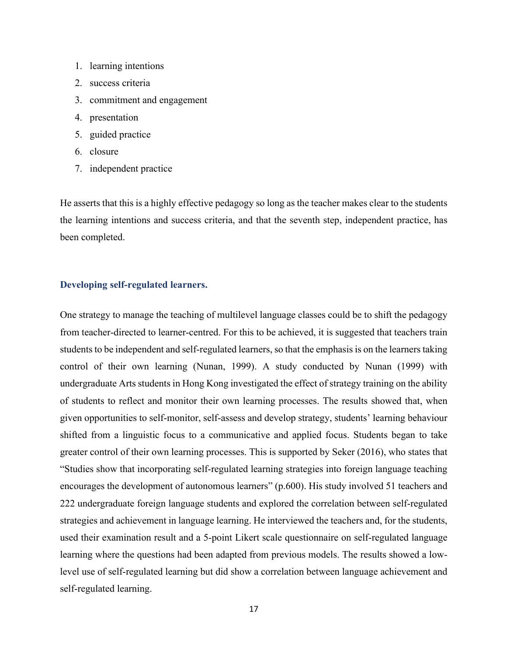- 1. learning intentions
- 2. success criteria
- 3. commitment and engagement
- 4. presentation
- 5. guided practice
- 6. closure
- 7. independent practice

He asserts that this is a highly effective pedagogy so long as the teacher makes clear to the students the learning intentions and success criteria, and that the seventh step, independent practice, has been completed.

#### **Developing self-regulated learners.**

One strategy to manage the teaching of multilevel language classes could be to shift the pedagogy from teacher-directed to learner-centred. For this to be achieved, it is suggested that teachers train students to be independent and self-regulated learners, so that the emphasis is on the learners taking control of their own learning (Nunan, 1999). A study conducted by Nunan (1999) with undergraduate Arts students in Hong Kong investigated the effect of strategy training on the ability of students to reflect and monitor their own learning processes. The results showed that, when given opportunities to self-monitor, self-assess and develop strategy, students' learning behaviour shifted from a linguistic focus to a communicative and applied focus. Students began to take greater control of their own learning processes. This is supported by Seker (2016), who states that "Studies show that incorporating self-regulated learning strategies into foreign language teaching encourages the development of autonomous learners" (p.600). His study involved 51 teachers and 222 undergraduate foreign language students and explored the correlation between self-regulated strategies and achievement in language learning. He interviewed the teachers and, for the students, used their examination result and a 5-point Likert scale questionnaire on self-regulated language learning where the questions had been adapted from previous models. The results showed a lowlevel use of self-regulated learning but did show a correlation between language achievement and self-regulated learning.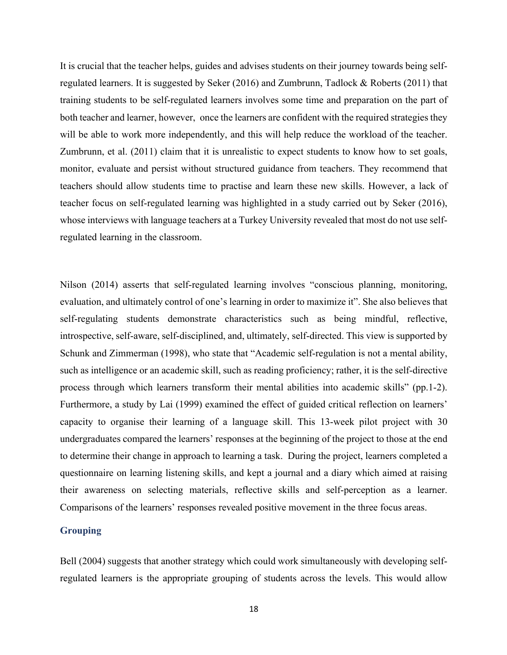It is crucial that the teacher helps, guides and advises students on their journey towards being selfregulated learners. It is suggested by Seker (2016) and Zumbrunn, Tadlock & Roberts (2011) that training students to be self-regulated learners involves some time and preparation on the part of both teacher and learner, however, once the learners are confident with the required strategies they will be able to work more independently, and this will help reduce the workload of the teacher. Zumbrunn, et al. (2011) claim that it is unrealistic to expect students to know how to set goals, monitor, evaluate and persist without structured guidance from teachers. They recommend that teachers should allow students time to practise and learn these new skills. However, a lack of teacher focus on self-regulated learning was highlighted in a study carried out by Seker (2016), whose interviews with language teachers at a Turkey University revealed that most do not use selfregulated learning in the classroom.

Nilson (2014) asserts that self-regulated learning involves "conscious planning, monitoring, evaluation, and ultimately control of one's learning in order to maximize it". She also believes that self-regulating students demonstrate characteristics such as being mindful, reflective, introspective, self-aware, self-disciplined, and, ultimately, self-directed. This view is supported by Schunk and Zimmerman (1998), who state that "Academic self-regulation is not a mental ability, such as intelligence or an academic skill, such as reading proficiency; rather, it is the self-directive process through which learners transform their mental abilities into academic skills" (pp.1-2). Furthermore, a study by Lai (1999) examined the effect of guided critical reflection on learners' capacity to organise their learning of a language skill. This 13-week pilot project with 30 undergraduates compared the learners' responses at the beginning of the project to those at the end to determine their change in approach to learning a task. During the project, learners completed a questionnaire on learning listening skills, and kept a journal and a diary which aimed at raising their awareness on selecting materials, reflective skills and self-perception as a learner. Comparisons of the learners' responses revealed positive movement in the three focus areas.

#### **Grouping**

Bell (2004) suggests that another strategy which could work simultaneously with developing selfregulated learners is the appropriate grouping of students across the levels. This would allow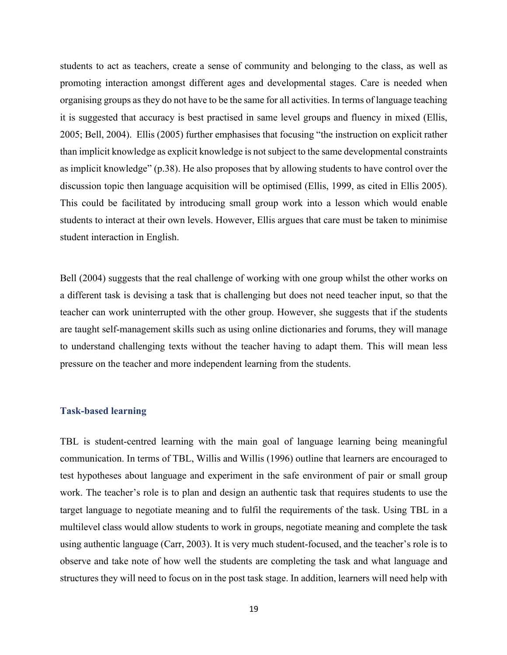students to act as teachers, create a sense of community and belonging to the class, as well as promoting interaction amongst different ages and developmental stages. Care is needed when organising groups as they do not have to be the same for all activities. In terms of language teaching it is suggested that accuracy is best practised in same level groups and fluency in mixed (Ellis, 2005; Bell, 2004). Ellis (2005) further emphasises that focusing "the instruction on explicit rather than implicit knowledge as explicit knowledge is not subject to the same developmental constraints as implicit knowledge" (p.38). He also proposes that by allowing students to have control over the discussion topic then language acquisition will be optimised (Ellis, 1999, as cited in Ellis 2005). This could be facilitated by introducing small group work into a lesson which would enable students to interact at their own levels. However, Ellis argues that care must be taken to minimise student interaction in English.

Bell (2004) suggests that the real challenge of working with one group whilst the other works on a different task is devising a task that is challenging but does not need teacher input, so that the teacher can work uninterrupted with the other group. However, she suggests that if the students are taught self-management skills such as using online dictionaries and forums, they will manage to understand challenging texts without the teacher having to adapt them. This will mean less pressure on the teacher and more independent learning from the students.

#### **Task-based learning**

TBL is student-centred learning with the main goal of language learning being meaningful communication. In terms of TBL, Willis and Willis (1996) outline that learners are encouraged to test hypotheses about language and experiment in the safe environment of pair or small group work. The teacher's role is to plan and design an authentic task that requires students to use the target language to negotiate meaning and to fulfil the requirements of the task. Using TBL in a multilevel class would allow students to work in groups, negotiate meaning and complete the task using authentic language (Carr, 2003). It is very much student-focused, and the teacher's role is to observe and take note of how well the students are completing the task and what language and structures they will need to focus on in the post task stage. In addition, learners will need help with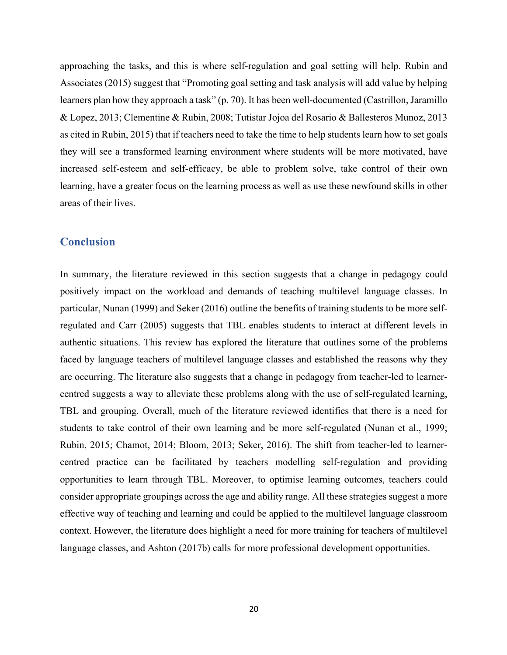approaching the tasks, and this is where self-regulation and goal setting will help. Rubin and Associates (2015) suggest that "Promoting goal setting and task analysis will add value by helping learners plan how they approach a task" (p. 70). It has been well-documented (Castrillon, Jaramillo & Lopez, 2013; Clementine & Rubin, 2008; Tutistar Jojoa del Rosario & Ballesteros Munoz, 2013 as cited in Rubin, 2015) that if teachers need to take the time to help students learn how to set goals they will see a transformed learning environment where students will be more motivated, have increased self-esteem and self-efficacy, be able to problem solve, take control of their own learning, have a greater focus on the learning process as well as use these newfound skills in other areas of their lives.

# **Conclusion**

In summary, the literature reviewed in this section suggests that a change in pedagogy could positively impact on the workload and demands of teaching multilevel language classes. In particular, Nunan (1999) and Seker (2016) outline the benefits of training students to be more selfregulated and Carr (2005) suggests that TBL enables students to interact at different levels in authentic situations. This review has explored the literature that outlines some of the problems faced by language teachers of multilevel language classes and established the reasons why they are occurring. The literature also suggests that a change in pedagogy from teacher-led to learnercentred suggests a way to alleviate these problems along with the use of self-regulated learning, TBL and grouping. Overall, much of the literature reviewed identifies that there is a need for students to take control of their own learning and be more self-regulated (Nunan et al., 1999; Rubin, 2015; Chamot, 2014; Bloom, 2013; Seker, 2016). The shift from teacher-led to learnercentred practice can be facilitated by teachers modelling self-regulation and providing opportunities to learn through TBL. Moreover, to optimise learning outcomes, teachers could consider appropriate groupings across the age and ability range. All these strategies suggest a more effective way of teaching and learning and could be applied to the multilevel language classroom context. However, the literature does highlight a need for more training for teachers of multilevel language classes, and Ashton (2017b) calls for more professional development opportunities.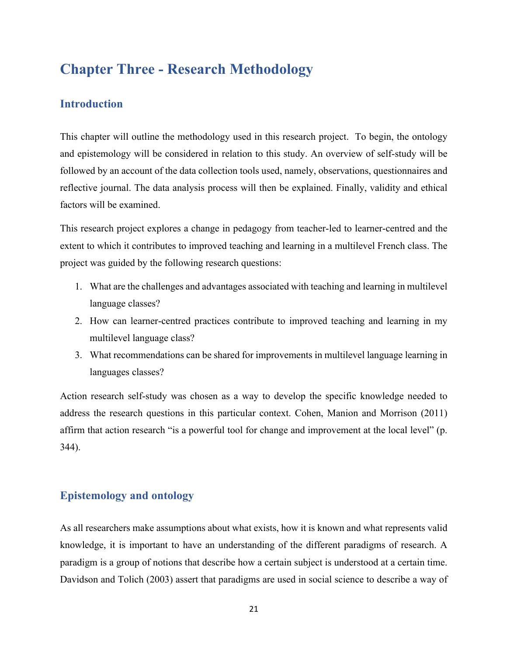# **Chapter Three - Research Methodology**

# **Introduction**

This chapter will outline the methodology used in this research project. To begin, the ontology and epistemology will be considered in relation to this study. An overview of self-study will be followed by an account of the data collection tools used, namely, observations, questionnaires and reflective journal. The data analysis process will then be explained. Finally, validity and ethical factors will be examined.

This research project explores a change in pedagogy from teacher-led to learner-centred and the extent to which it contributes to improved teaching and learning in a multilevel French class. The project was guided by the following research questions:

- 1. What are the challenges and advantages associated with teaching and learning in multilevel language classes?
- 2. How can learner-centred practices contribute to improved teaching and learning in my multilevel language class?
- 3. What recommendations can be shared for improvements in multilevel language learning in languages classes?

Action research self-study was chosen as a way to develop the specific knowledge needed to address the research questions in this particular context. Cohen, Manion and Morrison (2011) affirm that action research "is a powerful tool for change and improvement at the local level" (p. 344).

# **Epistemology and ontology**

As all researchers make assumptions about what exists, how it is known and what represents valid knowledge, it is important to have an understanding of the different paradigms of research. A paradigm is a group of notions that describe how a certain subject is understood at a certain time. Davidson and Tolich (2003) assert that paradigms are used in social science to describe a way of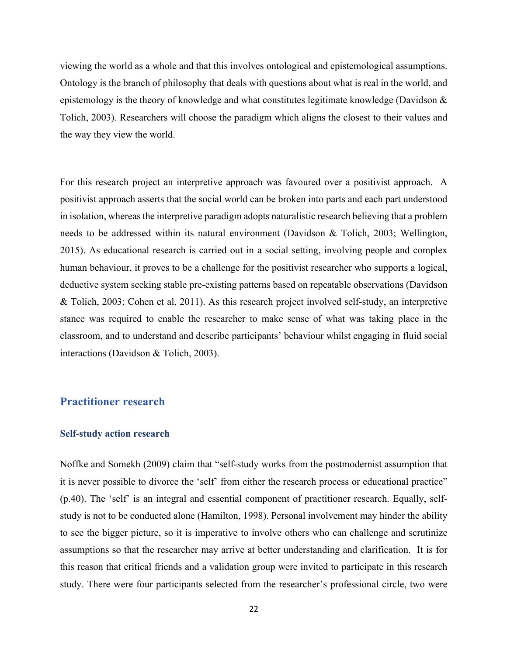viewing the world as a whole and that this involves ontological and epistemological assumptions. Ontology is the branch of philosophy that deals with questions about what is real in the world, and epistemology is the theory of knowledge and what constitutes legitimate knowledge (Davidson  $\&$ Tolich, 2003). Researchers will choose the paradigm which aligns the closest to their values and the way they view the world.

For this research project an interpretive approach was favoured over a positivist approach. A positivist approach asserts that the social world can be broken into parts and each part understood in isolation, whereas the interpretive paradigm adopts naturalistic research believing that a problem needs to be addressed within its natural environment (Davidson & Tolich, 2003; Wellington, 2015). As educational research is carried out in a social setting, involving people and complex human behaviour, it proves to be a challenge for the positivist researcher who supports a logical, deductive system seeking stable pre-existing patterns based on repeatable observations (Davidson & Tolich, 2003; Cohen et al, 2011). As this research project involved self-study, an interpretive stance was required to enable the researcher to make sense of what was taking place in the classroom, and to understand and describe participants' behaviour whilst engaging in fluid social interactions (Davidson & Tolich, 2003).

# **Practitioner research**

#### **Self-study action research**

Noffke and Somekh (2009) claim that "self-study works from the postmodernist assumption that it is never possible to divorce the 'self' from either the research process or educational practice" (p.40). The 'self' is an integral and essential component of practitioner research. Equally, selfstudy is not to be conducted alone (Hamilton, 1998). Personal involvement may hinder the ability to see the bigger picture, so it is imperative to involve others who can challenge and scrutinize assumptions so that the researcher may arrive at better understanding and clarification. It is for this reason that critical friends and a validation group were invited to participate in this research study. There were four participants selected from the researcher's professional circle, two were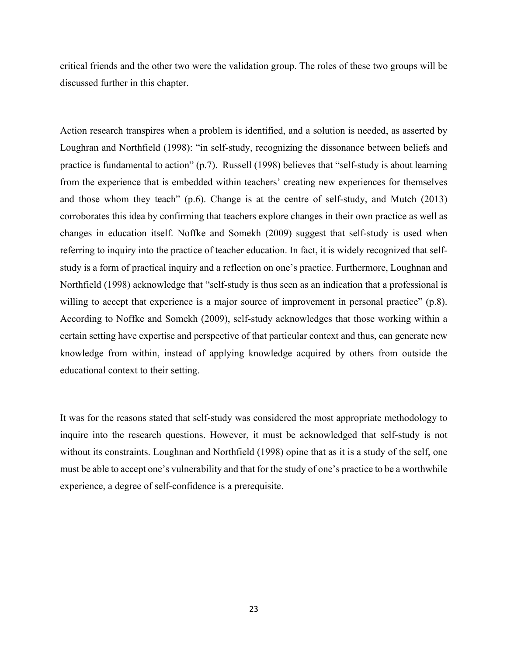critical friends and the other two were the validation group. The roles of these two groups will be discussed further in this chapter.

Action research transpires when a problem is identified, and a solution is needed, as asserted by Loughran and Northfield (1998): "in self-study, recognizing the dissonance between beliefs and practice is fundamental to action" (p.7). Russell (1998) believes that "self-study is about learning from the experience that is embedded within teachers' creating new experiences for themselves and those whom they teach" (p.6). Change is at the centre of self-study, and Mutch (2013) corroborates this idea by confirming that teachers explore changes in their own practice as well as changes in education itself. Noffke and Somekh (2009) suggest that self-study is used when referring to inquiry into the practice of teacher education. In fact, it is widely recognized that selfstudy is a form of practical inquiry and a reflection on one's practice. Furthermore, Loughnan and Northfield (1998) acknowledge that "self-study is thus seen as an indication that a professional is willing to accept that experience is a major source of improvement in personal practice" (p.8). According to Noffke and Somekh (2009), self-study acknowledges that those working within a certain setting have expertise and perspective of that particular context and thus, can generate new knowledge from within, instead of applying knowledge acquired by others from outside the educational context to their setting.

It was for the reasons stated that self-study was considered the most appropriate methodology to inquire into the research questions. However, it must be acknowledged that self-study is not without its constraints. Loughnan and Northfield (1998) opine that as it is a study of the self, one must be able to accept one's vulnerability and that for the study of one's practice to be a worthwhile experience, a degree of self-confidence is a prerequisite.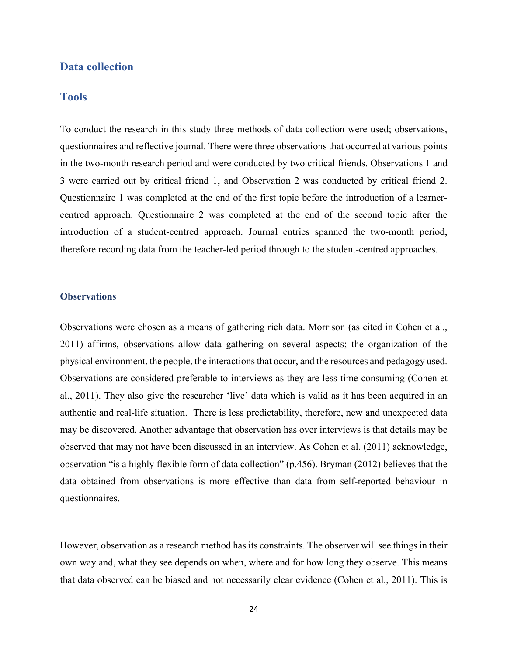#### **Data collection**

## **Tools**

To conduct the research in this study three methods of data collection were used; observations, questionnaires and reflective journal. There were three observations that occurred at various points in the two-month research period and were conducted by two critical friends. Observations 1 and 3 were carried out by critical friend 1, and Observation 2 was conducted by critical friend 2. Questionnaire 1 was completed at the end of the first topic before the introduction of a learnercentred approach. Questionnaire 2 was completed at the end of the second topic after the introduction of a student-centred approach. Journal entries spanned the two-month period, therefore recording data from the teacher-led period through to the student-centred approaches.

#### **Observations**

Observations were chosen as a means of gathering rich data. Morrison (as cited in Cohen et al., 2011) affirms, observations allow data gathering on several aspects; the organization of the physical environment, the people, the interactions that occur, and the resources and pedagogy used. Observations are considered preferable to interviews as they are less time consuming (Cohen et al., 2011). They also give the researcher 'live' data which is valid as it has been acquired in an authentic and real-life situation. There is less predictability, therefore, new and unexpected data may be discovered. Another advantage that observation has over interviews is that details may be observed that may not have been discussed in an interview. As Cohen et al. (2011) acknowledge, observation "is a highly flexible form of data collection" (p.456). Bryman (2012) believes that the data obtained from observations is more effective than data from self-reported behaviour in questionnaires.

However, observation as a research method has its constraints. The observer will see things in their own way and, what they see depends on when, where and for how long they observe. This means that data observed can be biased and not necessarily clear evidence (Cohen et al., 2011). This is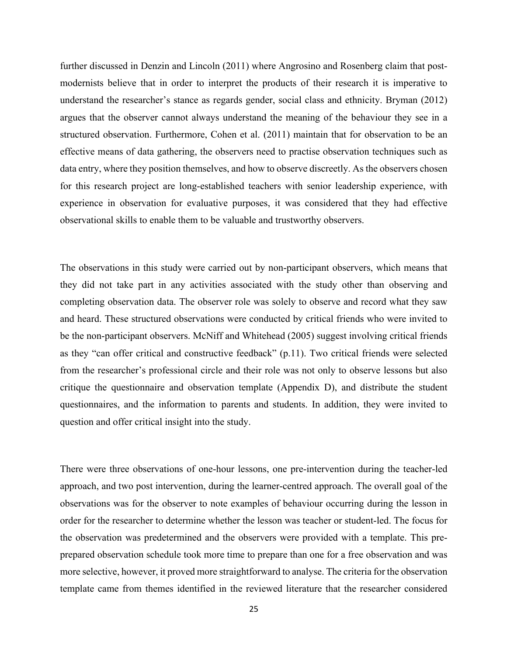further discussed in Denzin and Lincoln (2011) where Angrosino and Rosenberg claim that postmodernists believe that in order to interpret the products of their research it is imperative to understand the researcher's stance as regards gender, social class and ethnicity. Bryman (2012) argues that the observer cannot always understand the meaning of the behaviour they see in a structured observation. Furthermore, Cohen et al. (2011) maintain that for observation to be an effective means of data gathering, the observers need to practise observation techniques such as data entry, where they position themselves, and how to observe discreetly. As the observers chosen for this research project are long-established teachers with senior leadership experience, with experience in observation for evaluative purposes, it was considered that they had effective observational skills to enable them to be valuable and trustworthy observers.

The observations in this study were carried out by non-participant observers, which means that they did not take part in any activities associated with the study other than observing and completing observation data. The observer role was solely to observe and record what they saw and heard. These structured observations were conducted by critical friends who were invited to be the non-participant observers. McNiff and Whitehead (2005) suggest involving critical friends as they "can offer critical and constructive feedback" (p.11). Two critical friends were selected from the researcher's professional circle and their role was not only to observe lessons but also critique the questionnaire and observation template (Appendix D), and distribute the student questionnaires, and the information to parents and students. In addition, they were invited to question and offer critical insight into the study.

There were three observations of one-hour lessons, one pre-intervention during the teacher-led approach, and two post intervention, during the learner-centred approach. The overall goal of the observations was for the observer to note examples of behaviour occurring during the lesson in order for the researcher to determine whether the lesson was teacher or student-led. The focus for the observation was predetermined and the observers were provided with a template. This preprepared observation schedule took more time to prepare than one for a free observation and was more selective, however, it proved more straightforward to analyse. The criteria for the observation template came from themes identified in the reviewed literature that the researcher considered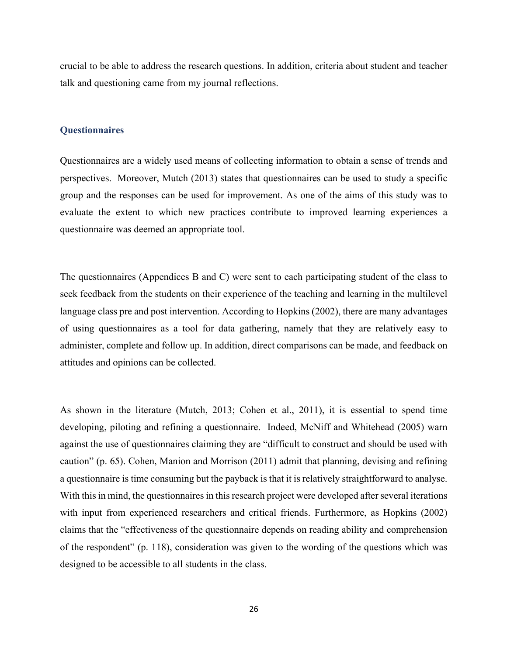crucial to be able to address the research questions. In addition, criteria about student and teacher talk and questioning came from my journal reflections.

#### **Questionnaires**

Questionnaires are a widely used means of collecting information to obtain a sense of trends and perspectives. Moreover, Mutch (2013) states that questionnaires can be used to study a specific group and the responses can be used for improvement. As one of the aims of this study was to evaluate the extent to which new practices contribute to improved learning experiences a questionnaire was deemed an appropriate tool.

The questionnaires (Appendices B and C) were sent to each participating student of the class to seek feedback from the students on their experience of the teaching and learning in the multilevel language class pre and post intervention. According to Hopkins (2002), there are many advantages of using questionnaires as a tool for data gathering, namely that they are relatively easy to administer, complete and follow up. In addition, direct comparisons can be made, and feedback on attitudes and opinions can be collected.

As shown in the literature (Mutch, 2013; Cohen et al., 2011), it is essential to spend time developing, piloting and refining a questionnaire. Indeed, McNiff and Whitehead (2005) warn against the use of questionnaires claiming they are "difficult to construct and should be used with caution" (p. 65). Cohen, Manion and Morrison (2011) admit that planning, devising and refining a questionnaire is time consuming but the payback is that it is relatively straightforward to analyse. With this in mind, the questionnaires in this research project were developed after several iterations with input from experienced researchers and critical friends. Furthermore, as Hopkins (2002) claims that the "effectiveness of the questionnaire depends on reading ability and comprehension of the respondent" (p. 118), consideration was given to the wording of the questions which was designed to be accessible to all students in the class.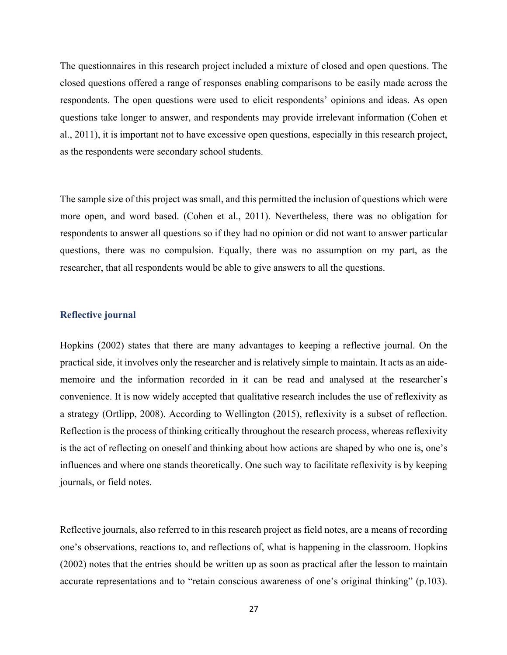The questionnaires in this research project included a mixture of closed and open questions. The closed questions offered a range of responses enabling comparisons to be easily made across the respondents. The open questions were used to elicit respondents' opinions and ideas. As open questions take longer to answer, and respondents may provide irrelevant information (Cohen et al., 2011), it is important not to have excessive open questions, especially in this research project, as the respondents were secondary school students.

The sample size of this project was small, and this permitted the inclusion of questions which were more open, and word based. (Cohen et al., 2011). Nevertheless, there was no obligation for respondents to answer all questions so if they had no opinion or did not want to answer particular questions, there was no compulsion. Equally, there was no assumption on my part, as the researcher, that all respondents would be able to give answers to all the questions.

#### **Reflective journal**

Hopkins (2002) states that there are many advantages to keeping a reflective journal. On the practical side, it involves only the researcher and is relatively simple to maintain. It acts as an aidememoire and the information recorded in it can be read and analysed at the researcher's convenience. It is now widely accepted that qualitative research includes the use of reflexivity as a strategy (Ortlipp, 2008). According to Wellington (2015), reflexivity is a subset of reflection. Reflection is the process of thinking critically throughout the research process, whereas reflexivity is the act of reflecting on oneself and thinking about how actions are shaped by who one is, one's influences and where one stands theoretically. One such way to facilitate reflexivity is by keeping journals, or field notes.

Reflective journals, also referred to in this research project as field notes, are a means of recording one's observations, reactions to, and reflections of, what is happening in the classroom. Hopkins (2002) notes that the entries should be written up as soon as practical after the lesson to maintain accurate representations and to "retain conscious awareness of one's original thinking" (p.103).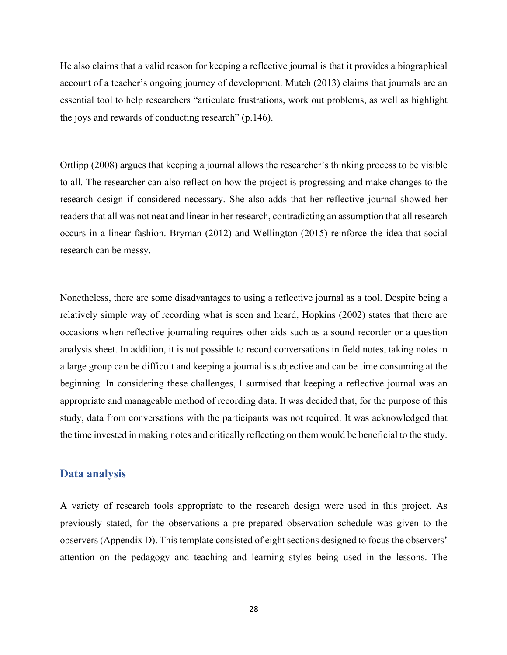He also claims that a valid reason for keeping a reflective journal is that it provides a biographical account of a teacher's ongoing journey of development. Mutch (2013) claims that journals are an essential tool to help researchers "articulate frustrations, work out problems, as well as highlight the joys and rewards of conducting research" (p.146).

Ortlipp (2008) argues that keeping a journal allows the researcher's thinking process to be visible to all. The researcher can also reflect on how the project is progressing and make changes to the research design if considered necessary. She also adds that her reflective journal showed her readers that all was not neat and linear in her research, contradicting an assumption that all research occurs in a linear fashion. Bryman (2012) and Wellington (2015) reinforce the idea that social research can be messy.

Nonetheless, there are some disadvantages to using a reflective journal as a tool. Despite being a relatively simple way of recording what is seen and heard, Hopkins (2002) states that there are occasions when reflective journaling requires other aids such as a sound recorder or a question analysis sheet. In addition, it is not possible to record conversations in field notes, taking notes in a large group can be difficult and keeping a journal is subjective and can be time consuming at the beginning. In considering these challenges, I surmised that keeping a reflective journal was an appropriate and manageable method of recording data. It was decided that, for the purpose of this study, data from conversations with the participants was not required. It was acknowledged that the time invested in making notes and critically reflecting on them would be beneficial to the study.

#### **Data analysis**

A variety of research tools appropriate to the research design were used in this project. As previously stated, for the observations a pre-prepared observation schedule was given to the observers (Appendix D). This template consisted of eight sections designed to focus the observers' attention on the pedagogy and teaching and learning styles being used in the lessons. The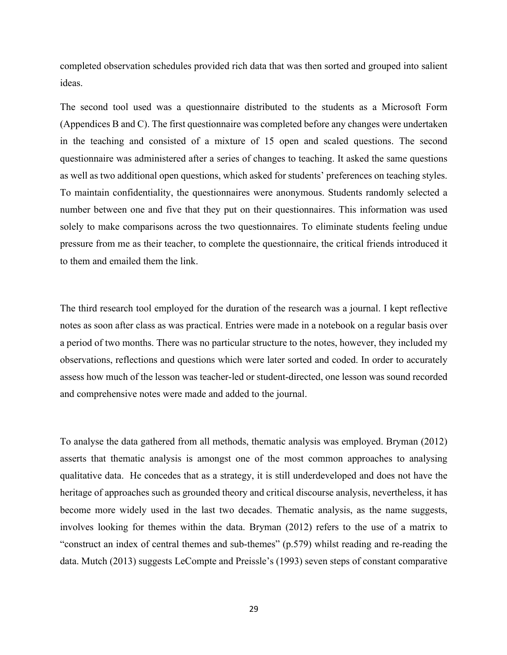completed observation schedules provided rich data that was then sorted and grouped into salient ideas.

The second tool used was a questionnaire distributed to the students as a Microsoft Form (Appendices B and C). The first questionnaire was completed before any changes were undertaken in the teaching and consisted of a mixture of 15 open and scaled questions. The second questionnaire was administered after a series of changes to teaching. It asked the same questions as well as two additional open questions, which asked for students' preferences on teaching styles. To maintain confidentiality, the questionnaires were anonymous. Students randomly selected a number between one and five that they put on their questionnaires. This information was used solely to make comparisons across the two questionnaires. To eliminate students feeling undue pressure from me as their teacher, to complete the questionnaire, the critical friends introduced it to them and emailed them the link.

The third research tool employed for the duration of the research was a journal. I kept reflective notes as soon after class as was practical. Entries were made in a notebook on a regular basis over a period of two months. There was no particular structure to the notes, however, they included my observations, reflections and questions which were later sorted and coded. In order to accurately assess how much of the lesson was teacher-led or student-directed, one lesson was sound recorded and comprehensive notes were made and added to the journal.

To analyse the data gathered from all methods, thematic analysis was employed. Bryman (2012) asserts that thematic analysis is amongst one of the most common approaches to analysing qualitative data. He concedes that as a strategy, it is still underdeveloped and does not have the heritage of approaches such as grounded theory and critical discourse analysis, nevertheless, it has become more widely used in the last two decades. Thematic analysis, as the name suggests, involves looking for themes within the data. Bryman (2012) refers to the use of a matrix to "construct an index of central themes and sub-themes" (p.579) whilst reading and re-reading the data. Mutch (2013) suggests LeCompte and Preissle's (1993) seven steps of constant comparative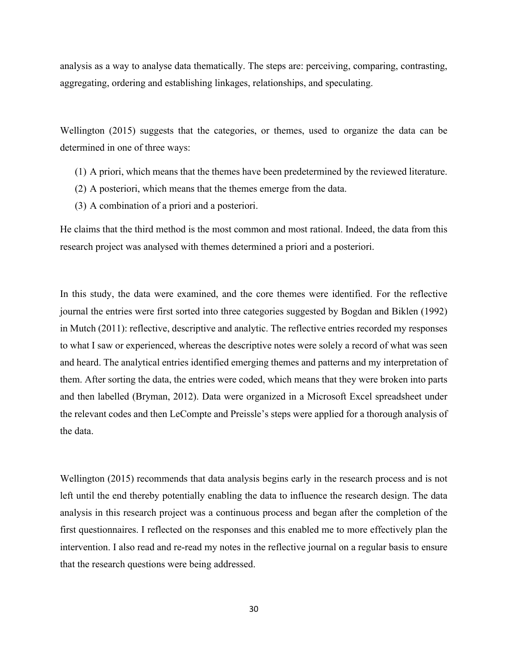analysis as a way to analyse data thematically. The steps are: perceiving, comparing, contrasting, aggregating, ordering and establishing linkages, relationships, and speculating.

Wellington (2015) suggests that the categories, or themes, used to organize the data can be determined in one of three ways:

- (1) A priori, which means that the themes have been predetermined by the reviewed literature.
- (2) A posteriori, which means that the themes emerge from the data.
- (3) A combination of a priori and a posteriori.

He claims that the third method is the most common and most rational. Indeed, the data from this research project was analysed with themes determined a priori and a posteriori.

In this study, the data were examined, and the core themes were identified. For the reflective journal the entries were first sorted into three categories suggested by Bogdan and Biklen (1992) in Mutch (2011): reflective, descriptive and analytic. The reflective entries recorded my responses to what I saw or experienced, whereas the descriptive notes were solely a record of what was seen and heard. The analytical entries identified emerging themes and patterns and my interpretation of them. After sorting the data, the entries were coded, which means that they were broken into parts and then labelled (Bryman, 2012). Data were organized in a Microsoft Excel spreadsheet under the relevant codes and then LeCompte and Preissle's steps were applied for a thorough analysis of the data.

Wellington (2015) recommends that data analysis begins early in the research process and is not left until the end thereby potentially enabling the data to influence the research design. The data analysis in this research project was a continuous process and began after the completion of the first questionnaires. I reflected on the responses and this enabled me to more effectively plan the intervention. I also read and re-read my notes in the reflective journal on a regular basis to ensure that the research questions were being addressed.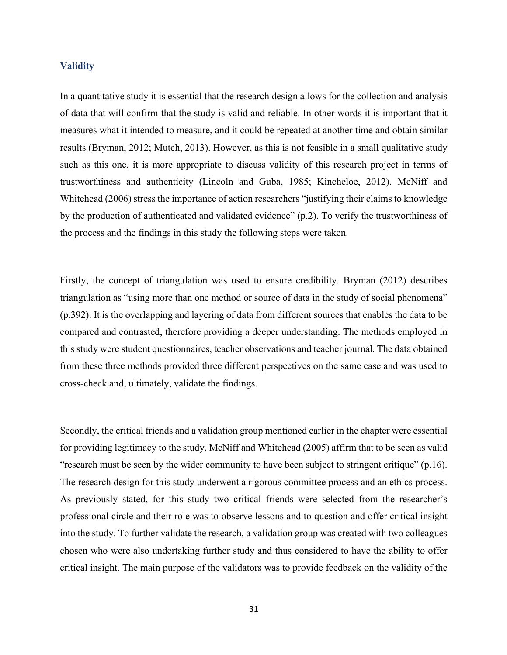### **Validity**

In a quantitative study it is essential that the research design allows for the collection and analysis of data that will confirm that the study is valid and reliable. In other words it is important that it measures what it intended to measure, and it could be repeated at another time and obtain similar results (Bryman, 2012; Mutch, 2013). However, as this is not feasible in a small qualitative study such as this one, it is more appropriate to discuss validity of this research project in terms of trustworthiness and authenticity (Lincoln and Guba, 1985; Kincheloe, 2012). McNiff and Whitehead (2006) stress the importance of action researchers "justifying their claims to knowledge by the production of authenticated and validated evidence" (p.2). To verify the trustworthiness of the process and the findings in this study the following steps were taken.

Firstly, the concept of triangulation was used to ensure credibility. Bryman (2012) describes triangulation as "using more than one method or source of data in the study of social phenomena" (p.392). It is the overlapping and layering of data from different sources that enables the data to be compared and contrasted, therefore providing a deeper understanding. The methods employed in this study were student questionnaires, teacher observations and teacher journal. The data obtained from these three methods provided three different perspectives on the same case and was used to cross-check and, ultimately, validate the findings.

Secondly, the critical friends and a validation group mentioned earlier in the chapter were essential for providing legitimacy to the study. McNiff and Whitehead (2005) affirm that to be seen as valid "research must be seen by the wider community to have been subject to stringent critique" (p.16). The research design for this study underwent a rigorous committee process and an ethics process. As previously stated, for this study two critical friends were selected from the researcher's professional circle and their role was to observe lessons and to question and offer critical insight into the study. To further validate the research, a validation group was created with two colleagues chosen who were also undertaking further study and thus considered to have the ability to offer critical insight. The main purpose of the validators was to provide feedback on the validity of the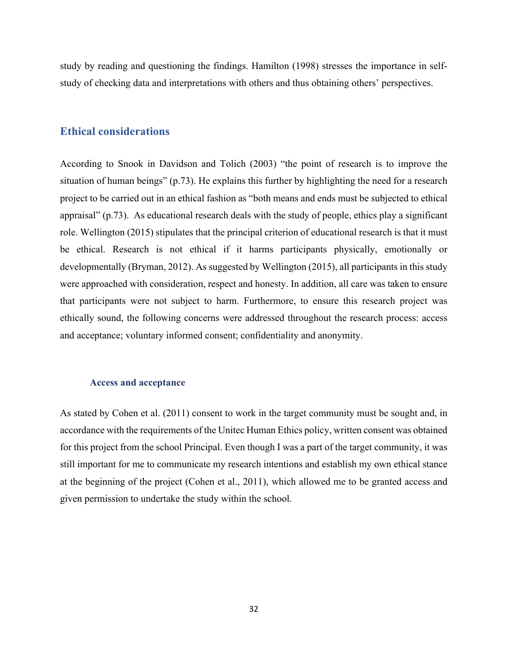study by reading and questioning the findings. Hamilton (1998) stresses the importance in selfstudy of checking data and interpretations with others and thus obtaining others' perspectives.

# **Ethical considerations**

According to Snook in Davidson and Tolich (2003) "the point of research is to improve the situation of human beings" (p.73). He explains this further by highlighting the need for a research project to be carried out in an ethical fashion as "both means and ends must be subjected to ethical appraisal" (p.73). As educational research deals with the study of people, ethics play a significant role. Wellington (2015) stipulates that the principal criterion of educational research is that it must be ethical. Research is not ethical if it harms participants physically, emotionally or developmentally (Bryman, 2012). As suggested by Wellington (2015), all participants in this study were approached with consideration, respect and honesty. In addition, all care was taken to ensure that participants were not subject to harm. Furthermore, to ensure this research project was ethically sound, the following concerns were addressed throughout the research process: access and acceptance; voluntary informed consent; confidentiality and anonymity.

## **Access and acceptance**

As stated by Cohen et al. (2011) consent to work in the target community must be sought and, in accordance with the requirements of the Unitec Human Ethics policy, written consent was obtained for this project from the school Principal. Even though I was a part of the target community, it was still important for me to communicate my research intentions and establish my own ethical stance at the beginning of the project (Cohen et al., 2011), which allowed me to be granted access and given permission to undertake the study within the school.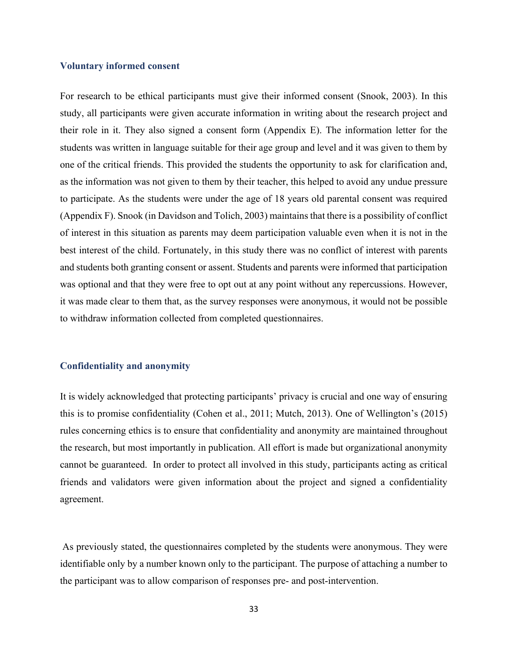## **Voluntary informed consent**

For research to be ethical participants must give their informed consent (Snook, 2003). In this study, all participants were given accurate information in writing about the research project and their role in it. They also signed a consent form (Appendix E). The information letter for the students was written in language suitable for their age group and level and it was given to them by one of the critical friends. This provided the students the opportunity to ask for clarification and, as the information was not given to them by their teacher, this helped to avoid any undue pressure to participate. As the students were under the age of 18 years old parental consent was required (Appendix F). Snook (in Davidson and Tolich, 2003) maintains that there is a possibility of conflict of interest in this situation as parents may deem participation valuable even when it is not in the best interest of the child. Fortunately, in this study there was no conflict of interest with parents and students both granting consent or assent. Students and parents were informed that participation was optional and that they were free to opt out at any point without any repercussions. However, it was made clear to them that, as the survey responses were anonymous, it would not be possible to withdraw information collected from completed questionnaires.

### **Confidentiality and anonymity**

It is widely acknowledged that protecting participants' privacy is crucial and one way of ensuring this is to promise confidentiality (Cohen et al., 2011; Mutch, 2013). One of Wellington's (2015) rules concerning ethics is to ensure that confidentiality and anonymity are maintained throughout the research, but most importantly in publication. All effort is made but organizational anonymity cannot be guaranteed. In order to protect all involved in this study, participants acting as critical friends and validators were given information about the project and signed a confidentiality agreement.

As previously stated, the questionnaires completed by the students were anonymous. They were identifiable only by a number known only to the participant. The purpose of attaching a number to the participant was to allow comparison of responses pre- and post-intervention.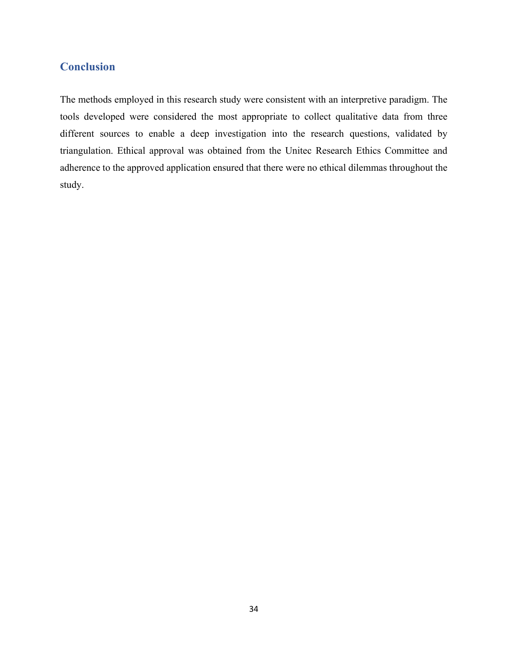# **Conclusion**

The methods employed in this research study were consistent with an interpretive paradigm. The tools developed were considered the most appropriate to collect qualitative data from three different sources to enable a deep investigation into the research questions, validated by triangulation. Ethical approval was obtained from the Unitec Research Ethics Committee and adherence to the approved application ensured that there were no ethical dilemmas throughout the study.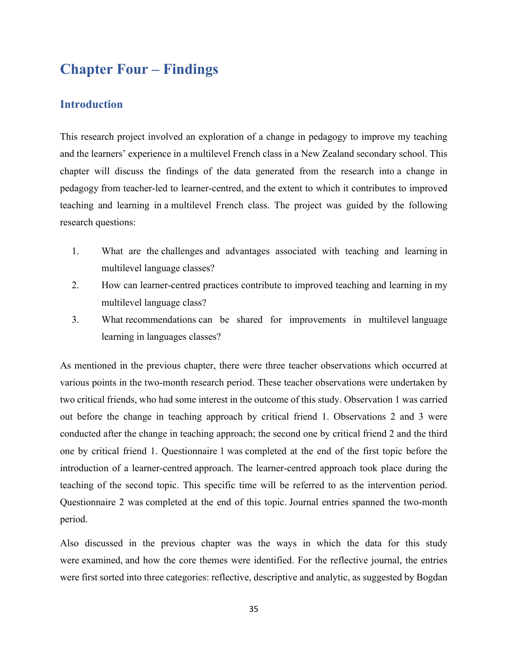# **Chapter Four – Findings**

# **Introduction**

This research project involved an exploration of a change in pedagogy to improve my teaching and the learners' experience in a multilevel French class in a New Zealand secondary school. This chapter will discuss the findings of the data generated from the research into a change in pedagogy from teacher-led to learner-centred, and the extent to which it contributes to improved teaching and learning in a multilevel French class. The project was guided by the following research questions:

- 1. What are the challenges and advantages associated with teaching and learning in multilevel language classes?
- 2. How can learner-centred practices contribute to improved teaching and learning in my multilevel language class?
- 3. What recommendations can be shared for improvements in multilevel language learning in languages classes?

As mentioned in the previous chapter, there were three teacher observations which occurred at various points in the two-month research period. These teacher observations were undertaken by two critical friends, who had some interest in the outcome of this study. Observation 1 was carried out before the change in teaching approach by critical friend 1. Observations 2 and 3 were conducted after the change in teaching approach; the second one by critical friend 2 and the third one by critical friend 1. Questionnaire 1 was completed at the end of the first topic before the introduction of a learner-centred approach. The learner-centred approach took place during the teaching of the second topic. This specific time will be referred to as the intervention period. Questionnaire 2 was completed at the end of this topic. Journal entries spanned the two-month period.

Also discussed in the previous chapter was the ways in which the data for this study were examined, and how the core themes were identified. For the reflective journal, the entries were first sorted into three categories: reflective, descriptive and analytic, as suggested by Bogdan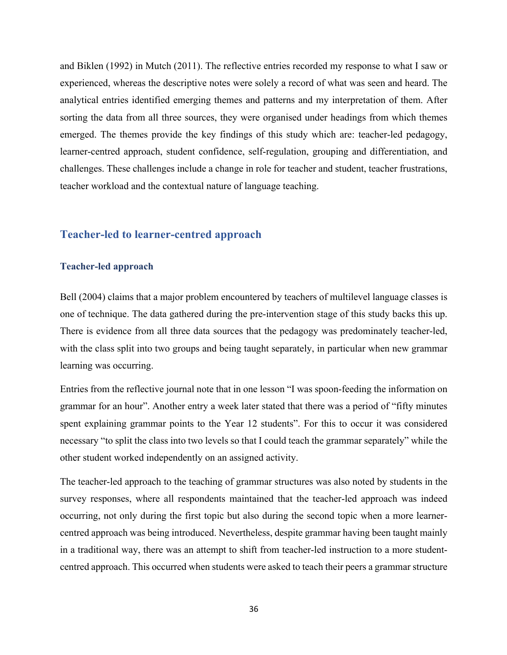and Biklen (1992) in Mutch (2011). The reflective entries recorded my response to what I saw or experienced, whereas the descriptive notes were solely a record of what was seen and heard. The analytical entries identified emerging themes and patterns and my interpretation of them. After sorting the data from all three sources, they were organised under headings from which themes emerged. The themes provide the key findings of this study which are: teacher-led pedagogy, learner-centred approach, student confidence, self-regulation, grouping and differentiation, and challenges. These challenges include a change in role for teacher and student, teacher frustrations, teacher workload and the contextual nature of language teaching.

# **Teacher-led to learner-centred approach**

## **Teacher-led approach**

Bell (2004) claims that a major problem encountered by teachers of multilevel language classes is one of technique. The data gathered during the pre-intervention stage of this study backs this up. There is evidence from all three data sources that the pedagogy was predominately teacher-led, with the class split into two groups and being taught separately, in particular when new grammar learning was occurring.

Entries from the reflective journal note that in one lesson "I was spoon-feeding the information on grammar for an hour". Another entry a week later stated that there was a period of "fifty minutes spent explaining grammar points to the Year 12 students". For this to occur it was considered necessary "to split the class into two levels so that I could teach the grammar separately" while the other student worked independently on an assigned activity.

The teacher-led approach to the teaching of grammar structures was also noted by students in the survey responses, where all respondents maintained that the teacher-led approach was indeed occurring, not only during the first topic but also during the second topic when a more learnercentred approach was being introduced. Nevertheless, despite grammar having been taught mainly in a traditional way, there was an attempt to shift from teacher-led instruction to a more studentcentred approach. This occurred when students were asked to teach their peers a grammar structure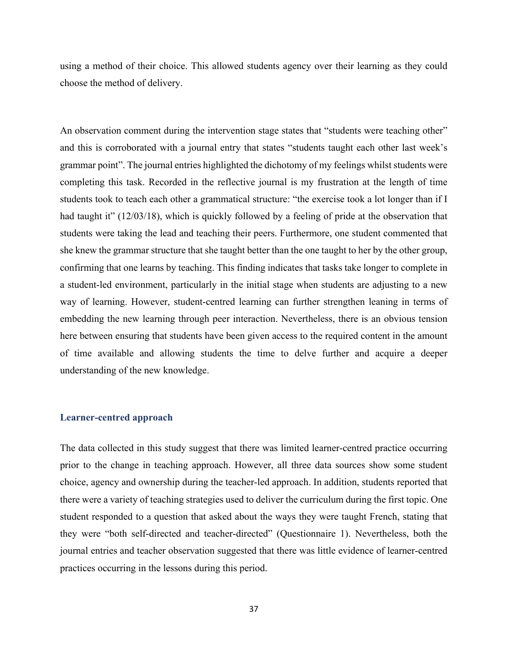using a method of their choice. This allowed students agency over their learning as they could choose the method of delivery.

An observation comment during the intervention stage states that "students were teaching other" and this is corroborated with a journal entry that states "students taught each other last week's grammar point". The journal entries highlighted the dichotomy of my feelings whilst students were completing this task. Recorded in the reflective journal is my frustration at the length of time students took to teach each other a grammatical structure: "the exercise took a lot longer than if I had taught it" (12/03/18), which is quickly followed by a feeling of pride at the observation that students were taking the lead and teaching their peers. Furthermore, one student commented that she knew the grammar structure that she taught better than the one taught to her by the other group, confirming that one learns by teaching. This finding indicates that tasks take longer to complete in a student-led environment, particularly in the initial stage when students are adjusting to a new way of learning. However, student-centred learning can further strengthen leaning in terms of embedding the new learning through peer interaction. Nevertheless, there is an obvious tension here between ensuring that students have been given access to the required content in the amount of time available and allowing students the time to delve further and acquire a deeper understanding of the new knowledge.

#### **Learner-centred approach**

The data collected in this study suggest that there was limited learner-centred practice occurring prior to the change in teaching approach. However, all three data sources show some student choice, agency and ownership during the teacher-led approach. In addition, students reported that there were a variety of teaching strategies used to deliver the curriculum during the first topic. One student responded to a question that asked about the ways they were taught French, stating that they were "both self-directed and teacher-directed" (Questionnaire 1). Nevertheless, both the journal entries and teacher observation suggested that there was little evidence of learner-centred practices occurring in the lessons during this period.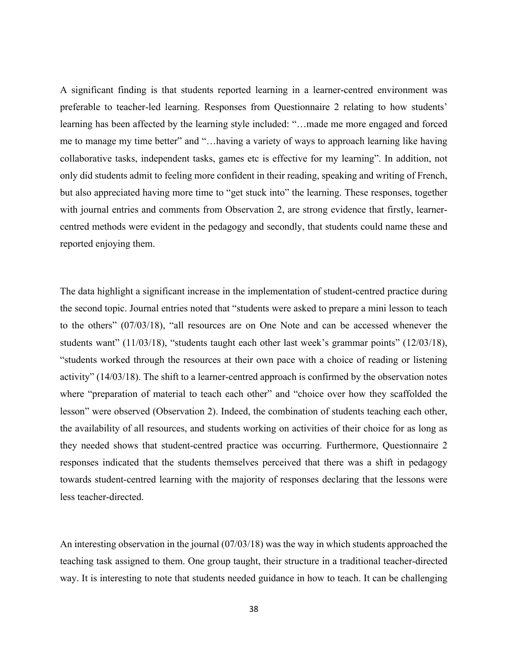A significant finding is that students reported learning in a learner-centred environment was preferable to teacher-led learning. Responses from Questionnaire 2 relating to how students' learning has been affected by the learning style included: "…made me more engaged and forced me to manage my time better" and "…having a variety of ways to approach learning like having collaborative tasks, independent tasks, games etc is effective for my learning". In addition, not only did students admit to feeling more confident in their reading, speaking and writing of French, but also appreciated having more time to "get stuck into" the learning. These responses, together with journal entries and comments from Observation 2, are strong evidence that firstly, learnercentred methods were evident in the pedagogy and secondly, that students could name these and reported enjoying them.

The data highlight a significant increase in the implementation of student-centred practice during the second topic. Journal entries noted that "students were asked to prepare a mini lesson to teach to the others" (07/03/18), "all resources are on One Note and can be accessed whenever the students want" (11/03/18), "students taught each other last week's grammar points" (12/03/18), "students worked through the resources at their own pace with a choice of reading or listening activity" (14/03/18). The shift to a learner-centred approach is confirmed by the observation notes where "preparation of material to teach each other" and "choice over how they scaffolded the lesson" were observed (Observation 2). Indeed, the combination of students teaching each other, the availability of all resources, and students working on activities of their choice for as long as they needed shows that student-centred practice was occurring. Furthermore, Questionnaire 2 responses indicated that the students themselves perceived that there was a shift in pedagogy towards student-centred learning with the majority of responses declaring that the lessons were less teacher-directed.

An interesting observation in the journal (07/03/18) was the way in which students approached the teaching task assigned to them. One group taught, their structure in a traditional teacher-directed way. It is interesting to note that students needed guidance in how to teach. It can be challenging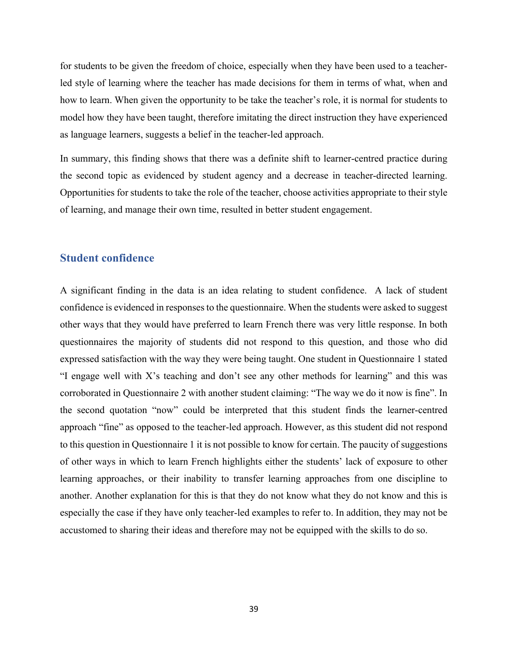for students to be given the freedom of choice, especially when they have been used to a teacherled style of learning where the teacher has made decisions for them in terms of what, when and how to learn. When given the opportunity to be take the teacher's role, it is normal for students to model how they have been taught, therefore imitating the direct instruction they have experienced as language learners, suggests a belief in the teacher-led approach.

In summary, this finding shows that there was a definite shift to learner-centred practice during the second topic as evidenced by student agency and a decrease in teacher-directed learning. Opportunities for students to take the role of the teacher, choose activities appropriate to their style of learning, and manage their own time, resulted in better student engagement.

# **Student confidence**

A significant finding in the data is an idea relating to student confidence. A lack of student confidence is evidenced in responses to the questionnaire. When the students were asked to suggest other ways that they would have preferred to learn French there was very little response. In both questionnaires the majority of students did not respond to this question, and those who did expressed satisfaction with the way they were being taught. One student in Questionnaire 1 stated "I engage well with X's teaching and don't see any other methods for learning" and this was corroborated in Questionnaire 2 with another student claiming: "The way we do it now is fine". In the second quotation "now" could be interpreted that this student finds the learner-centred approach "fine" as opposed to the teacher-led approach. However, as this student did not respond to this question in Questionnaire 1 it is not possible to know for certain. The paucity of suggestions of other ways in which to learn French highlights either the students' lack of exposure to other learning approaches, or their inability to transfer learning approaches from one discipline to another. Another explanation for this is that they do not know what they do not know and this is especially the case if they have only teacher-led examples to refer to. In addition, they may not be accustomed to sharing their ideas and therefore may not be equipped with the skills to do so.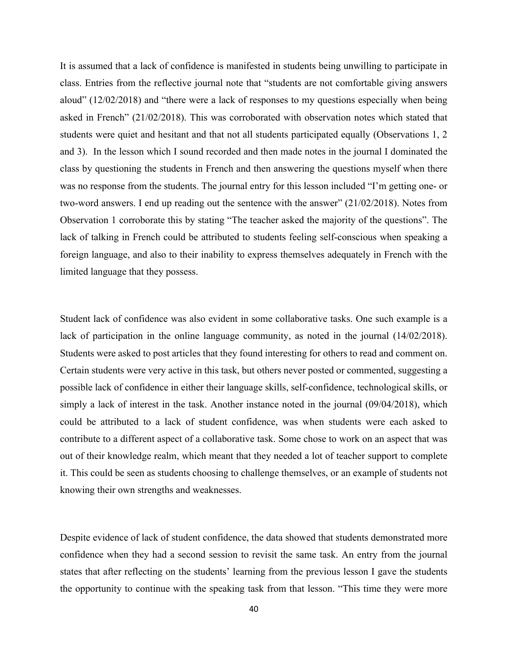It is assumed that a lack of confidence is manifested in students being unwilling to participate in class. Entries from the reflective journal note that "students are not comfortable giving answers aloud" (12/02/2018) and "there were a lack of responses to my questions especially when being asked in French" (21/02/2018). This was corroborated with observation notes which stated that students were quiet and hesitant and that not all students participated equally (Observations 1, 2 and 3). In the lesson which I sound recorded and then made notes in the journal I dominated the class by questioning the students in French and then answering the questions myself when there was no response from the students. The journal entry for this lesson included "I'm getting one- or two-word answers. I end up reading out the sentence with the answer" (21/02/2018). Notes from Observation 1 corroborate this by stating "The teacher asked the majority of the questions". The lack of talking in French could be attributed to students feeling self-conscious when speaking a foreign language, and also to their inability to express themselves adequately in French with the limited language that they possess.

Student lack of confidence was also evident in some collaborative tasks. One such example is a lack of participation in the online language community, as noted in the journal (14/02/2018). Students were asked to post articles that they found interesting for others to read and comment on. Certain students were very active in this task, but others never posted or commented, suggesting a possible lack of confidence in either their language skills, self-confidence, technological skills, or simply a lack of interest in the task. Another instance noted in the journal (09/04/2018), which could be attributed to a lack of student confidence, was when students were each asked to contribute to a different aspect of a collaborative task. Some chose to work on an aspect that was out of their knowledge realm, which meant that they needed a lot of teacher support to complete it. This could be seen as students choosing to challenge themselves, or an example of students not knowing their own strengths and weaknesses.

Despite evidence of lack of student confidence, the data showed that students demonstrated more confidence when they had a second session to revisit the same task. An entry from the journal states that after reflecting on the students' learning from the previous lesson I gave the students the opportunity to continue with the speaking task from that lesson. "This time they were more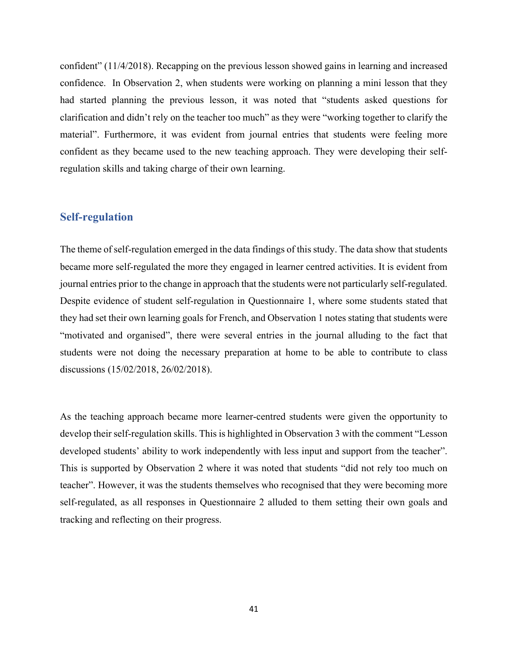confident" (11/4/2018). Recapping on the previous lesson showed gains in learning and increased confidence. In Observation 2, when students were working on planning a mini lesson that they had started planning the previous lesson, it was noted that "students asked questions for clarification and didn't rely on the teacher too much" as they were "working together to clarify the material". Furthermore, it was evident from journal entries that students were feeling more confident as they became used to the new teaching approach. They were developing their selfregulation skills and taking charge of their own learning.

# **Self-regulation**

The theme of self-regulation emerged in the data findings of this study. The data show that students became more self-regulated the more they engaged in learner centred activities. It is evident from journal entries prior to the change in approach that the students were not particularly self-regulated. Despite evidence of student self-regulation in Questionnaire 1, where some students stated that they had set their own learning goals for French, and Observation 1 notes stating that students were "motivated and organised", there were several entries in the journal alluding to the fact that students were not doing the necessary preparation at home to be able to contribute to class discussions (15/02/2018, 26/02/2018).

As the teaching approach became more learner-centred students were given the opportunity to develop their self-regulation skills. This is highlighted in Observation 3 with the comment "Lesson developed students' ability to work independently with less input and support from the teacher". This is supported by Observation 2 where it was noted that students "did not rely too much on teacher". However, it was the students themselves who recognised that they were becoming more self-regulated, as all responses in Questionnaire 2 alluded to them setting their own goals and tracking and reflecting on their progress.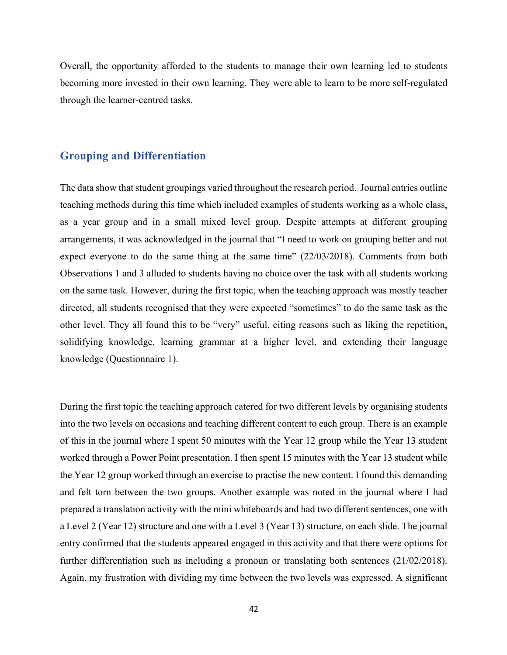Overall, the opportunity afforded to the students to manage their own learning led to students becoming more invested in their own learning. They were able to learn to be more self-regulated through the learner-centred tasks.

# **Grouping and Differentiation**

The data show that student groupings varied throughout the research period. Journal entries outline teaching methods during this time which included examples of students working as a whole class, as a year group and in a small mixed level group. Despite attempts at different grouping arrangements, it was acknowledged in the journal that "I need to work on grouping better and not expect everyone to do the same thing at the same time" (22/03/2018). Comments from both Observations 1 and 3 alluded to students having no choice over the task with all students working on the same task. However, during the first topic, when the teaching approach was mostly teacher directed, all students recognised that they were expected "sometimes" to do the same task as the other level. They all found this to be "very" useful, citing reasons such as liking the repetition, solidifying knowledge, learning grammar at a higher level, and extending their language knowledge (Questionnaire 1).

During the first topic the teaching approach catered for two different levels by organising students into the two levels on occasions and teaching different content to each group. There is an example of this in the journal where I spent 50 minutes with the Year 12 group while the Year 13 student worked through a Power Point presentation. I then spent 15 minutes with the Year 13 student while the Year 12 group worked through an exercise to practise the new content. I found this demanding and felt torn between the two groups. Another example was noted in the journal where I had prepared a translation activity with the mini whiteboards and had two different sentences, one with a Level 2 (Year 12) structure and one with a Level 3 (Year 13) structure, on each slide. The journal entry confirmed that the students appeared engaged in this activity and that there were options for further differentiation such as including a pronoun or translating both sentences (21/02/2018). Again, my frustration with dividing my time between the two levels was expressed. A significant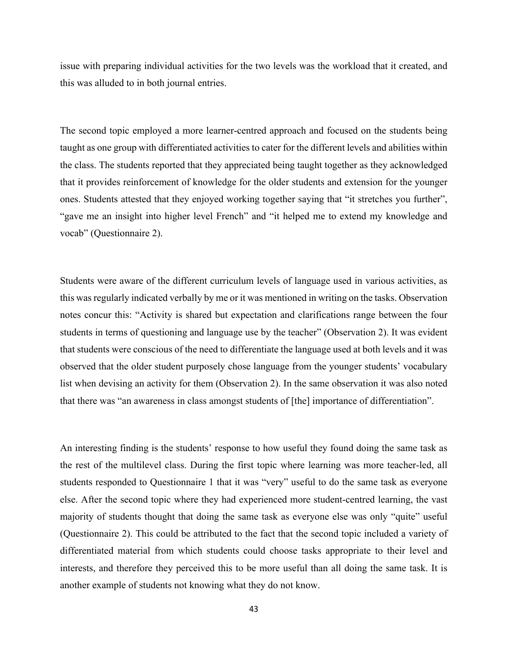issue with preparing individual activities for the two levels was the workload that it created, and this was alluded to in both journal entries.

The second topic employed a more learner-centred approach and focused on the students being taught as one group with differentiated activities to cater for the different levels and abilities within the class. The students reported that they appreciated being taught together as they acknowledged that it provides reinforcement of knowledge for the older students and extension for the younger ones. Students attested that they enjoyed working together saying that "it stretches you further", "gave me an insight into higher level French" and "it helped me to extend my knowledge and vocab" (Questionnaire 2).

Students were aware of the different curriculum levels of language used in various activities, as this was regularly indicated verbally by me or it was mentioned in writing on the tasks. Observation notes concur this: "Activity is shared but expectation and clarifications range between the four students in terms of questioning and language use by the teacher" (Observation 2). It was evident that students were conscious of the need to differentiate the language used at both levels and it was observed that the older student purposely chose language from the younger students' vocabulary list when devising an activity for them (Observation 2). In the same observation it was also noted that there was "an awareness in class amongst students of [the] importance of differentiation".

An interesting finding is the students' response to how useful they found doing the same task as the rest of the multilevel class. During the first topic where learning was more teacher-led, all students responded to Questionnaire 1 that it was "very" useful to do the same task as everyone else. After the second topic where they had experienced more student-centred learning, the vast majority of students thought that doing the same task as everyone else was only "quite" useful (Questionnaire 2). This could be attributed to the fact that the second topic included a variety of differentiated material from which students could choose tasks appropriate to their level and interests, and therefore they perceived this to be more useful than all doing the same task. It is another example of students not knowing what they do not know.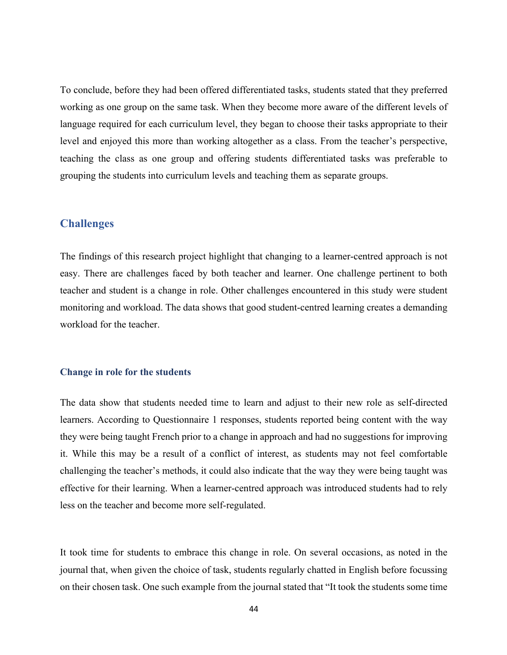To conclude, before they had been offered differentiated tasks, students stated that they preferred working as one group on the same task. When they become more aware of the different levels of language required for each curriculum level, they began to choose their tasks appropriate to their level and enjoyed this more than working altogether as a class. From the teacher's perspective, teaching the class as one group and offering students differentiated tasks was preferable to grouping the students into curriculum levels and teaching them as separate groups.

# **Challenges**

The findings of this research project highlight that changing to a learner-centred approach is not easy. There are challenges faced by both teacher and learner. One challenge pertinent to both teacher and student is a change in role. Other challenges encountered in this study were student monitoring and workload. The data shows that good student-centred learning creates a demanding workload for the teacher.

### **Change in role for the students**

The data show that students needed time to learn and adjust to their new role as self-directed learners. According to Questionnaire 1 responses, students reported being content with the way they were being taught French prior to a change in approach and had no suggestions for improving it. While this may be a result of a conflict of interest, as students may not feel comfortable challenging the teacher's methods, it could also indicate that the way they were being taught was effective for their learning. When a learner-centred approach was introduced students had to rely less on the teacher and become more self-regulated.

It took time for students to embrace this change in role. On several occasions, as noted in the journal that, when given the choice of task, students regularly chatted in English before focussing on their chosen task. One such example from the journal stated that "It took the students some time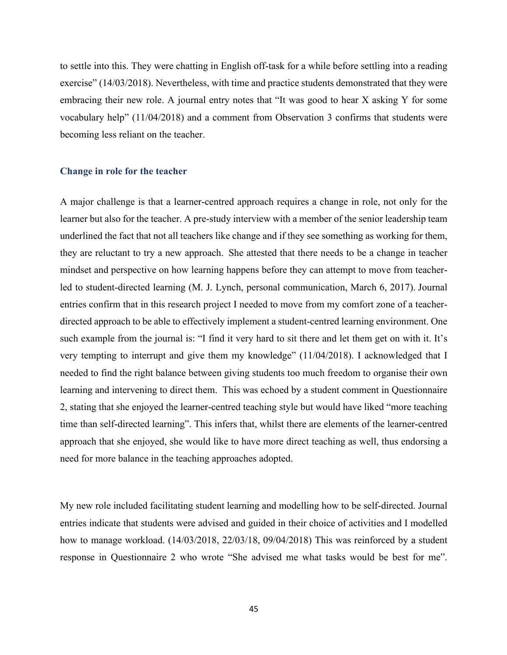to settle into this. They were chatting in English off-task for a while before settling into a reading exercise" (14/03/2018). Nevertheless, with time and practice students demonstrated that they were embracing their new role. A journal entry notes that "It was good to hear X asking Y for some vocabulary help" (11/04/2018) and a comment from Observation 3 confirms that students were becoming less reliant on the teacher.

### **Change in role for the teacher**

A major challenge is that a learner-centred approach requires a change in role, not only for the learner but also for the teacher. A pre-study interview with a member of the senior leadership team underlined the fact that not all teachers like change and if they see something as working for them, they are reluctant to try a new approach. She attested that there needs to be a change in teacher mindset and perspective on how learning happens before they can attempt to move from teacherled to student-directed learning (M. J. Lynch, personal communication, March 6, 2017). Journal entries confirm that in this research project I needed to move from my comfort zone of a teacherdirected approach to be able to effectively implement a student-centred learning environment. One such example from the journal is: "I find it very hard to sit there and let them get on with it. It's very tempting to interrupt and give them my knowledge" (11/04/2018). I acknowledged that I needed to find the right balance between giving students too much freedom to organise their own learning and intervening to direct them. This was echoed by a student comment in Questionnaire 2, stating that she enjoyed the learner-centred teaching style but would have liked "more teaching time than self-directed learning". This infers that, whilst there are elements of the learner-centred approach that she enjoyed, she would like to have more direct teaching as well, thus endorsing a need for more balance in the teaching approaches adopted.

My new role included facilitating student learning and modelling how to be self-directed. Journal entries indicate that students were advised and guided in their choice of activities and I modelled how to manage workload. (14/03/2018, 22/03/18, 09/04/2018) This was reinforced by a student response in Questionnaire 2 who wrote "She advised me what tasks would be best for me".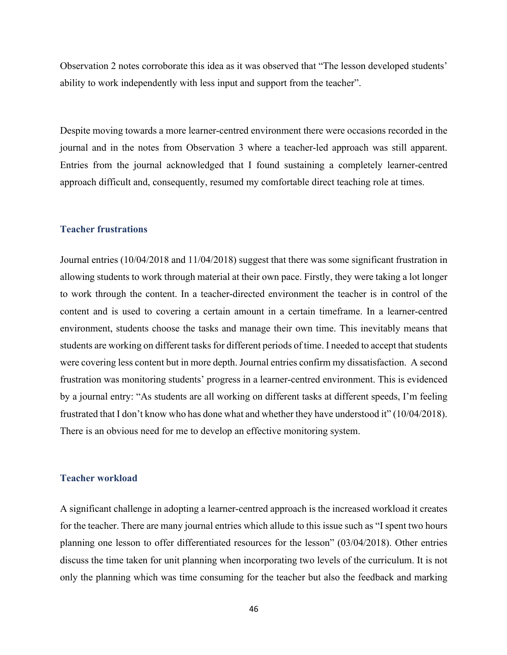Observation 2 notes corroborate this idea as it was observed that "The lesson developed students' ability to work independently with less input and support from the teacher".

Despite moving towards a more learner-centred environment there were occasions recorded in the journal and in the notes from Observation 3 where a teacher-led approach was still apparent. Entries from the journal acknowledged that I found sustaining a completely learner-centred approach difficult and, consequently, resumed my comfortable direct teaching role at times.

### **Teacher frustrations**

Journal entries (10/04/2018 and 11/04/2018) suggest that there was some significant frustration in allowing students to work through material at their own pace. Firstly, they were taking a lot longer to work through the content. In a teacher-directed environment the teacher is in control of the content and is used to covering a certain amount in a certain timeframe. In a learner-centred environment, students choose the tasks and manage their own time. This inevitably means that students are working on different tasks for different periods of time. I needed to accept that students were covering less content but in more depth. Journal entries confirm my dissatisfaction. A second frustration was monitoring students' progress in a learner-centred environment. This is evidenced by a journal entry: "As students are all working on different tasks at different speeds, I'm feeling frustrated that I don't know who has done what and whether they have understood it" (10/04/2018). There is an obvious need for me to develop an effective monitoring system.

### **Teacher workload**

A significant challenge in adopting a learner-centred approach is the increased workload it creates for the teacher. There are many journal entries which allude to this issue such as "I spent two hours planning one lesson to offer differentiated resources for the lesson" (03/04/2018). Other entries discuss the time taken for unit planning when incorporating two levels of the curriculum. It is not only the planning which was time consuming for the teacher but also the feedback and marking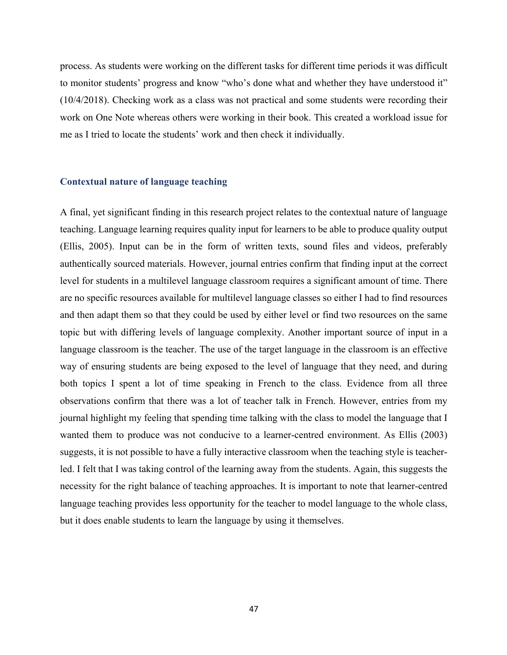process. As students were working on the different tasks for different time periods it was difficult to monitor students' progress and know "who's done what and whether they have understood it" (10/4/2018). Checking work as a class was not practical and some students were recording their work on One Note whereas others were working in their book. This created a workload issue for me as I tried to locate the students' work and then check it individually.

### **Contextual nature of language teaching**

A final, yet significant finding in this research project relates to the contextual nature of language teaching. Language learning requires quality input for learners to be able to produce quality output (Ellis, 2005). Input can be in the form of written texts, sound files and videos, preferably authentically sourced materials. However, journal entries confirm that finding input at the correct level for students in a multilevel language classroom requires a significant amount of time. There are no specific resources available for multilevel language classes so either I had to find resources and then adapt them so that they could be used by either level or find two resources on the same topic but with differing levels of language complexity. Another important source of input in a language classroom is the teacher. The use of the target language in the classroom is an effective way of ensuring students are being exposed to the level of language that they need, and during both topics I spent a lot of time speaking in French to the class. Evidence from all three observations confirm that there was a lot of teacher talk in French. However, entries from my journal highlight my feeling that spending time talking with the class to model the language that I wanted them to produce was not conducive to a learner-centred environment. As Ellis (2003) suggests, it is not possible to have a fully interactive classroom when the teaching style is teacherled. I felt that I was taking control of the learning away from the students. Again, this suggests the necessity for the right balance of teaching approaches. It is important to note that learner-centred language teaching provides less opportunity for the teacher to model language to the whole class, but it does enable students to learn the language by using it themselves.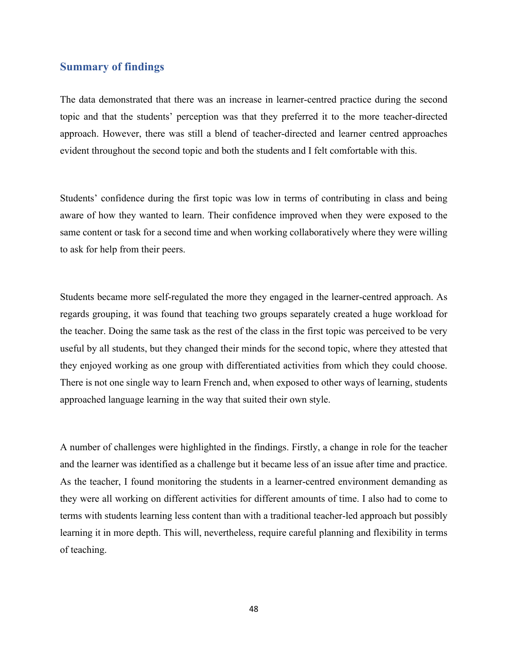# **Summary of findings**

The data demonstrated that there was an increase in learner-centred practice during the second topic and that the students' perception was that they preferred it to the more teacher-directed approach. However, there was still a blend of teacher-directed and learner centred approaches evident throughout the second topic and both the students and I felt comfortable with this.

Students' confidence during the first topic was low in terms of contributing in class and being aware of how they wanted to learn. Their confidence improved when they were exposed to the same content or task for a second time and when working collaboratively where they were willing to ask for help from their peers.

Students became more self-regulated the more they engaged in the learner-centred approach. As regards grouping, it was found that teaching two groups separately created a huge workload for the teacher. Doing the same task as the rest of the class in the first topic was perceived to be very useful by all students, but they changed their minds for the second topic, where they attested that they enjoyed working as one group with differentiated activities from which they could choose. There is not one single way to learn French and, when exposed to other ways of learning, students approached language learning in the way that suited their own style.

A number of challenges were highlighted in the findings. Firstly, a change in role for the teacher and the learner was identified as a challenge but it became less of an issue after time and practice. As the teacher, I found monitoring the students in a learner-centred environment demanding as they were all working on different activities for different amounts of time. I also had to come to terms with students learning less content than with a traditional teacher-led approach but possibly learning it in more depth. This will, nevertheless, require careful planning and flexibility in terms of teaching.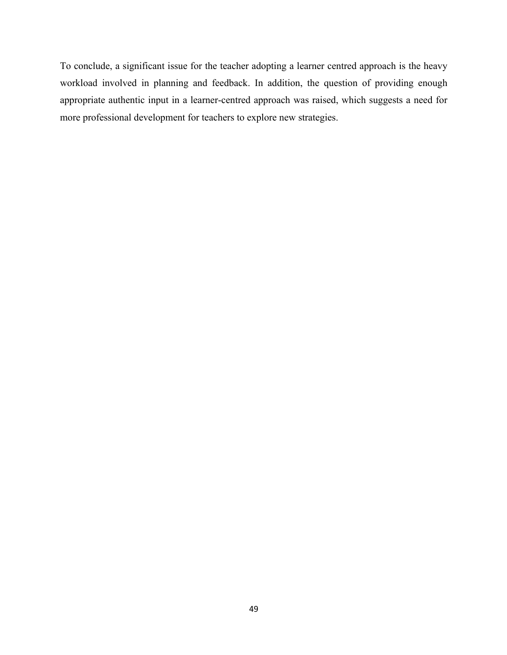To conclude, a significant issue for the teacher adopting a learner centred approach is the heavy workload involved in planning and feedback. In addition, the question of providing enough appropriate authentic input in a learner-centred approach was raised, which suggests a need for more professional development for teachers to explore new strategies.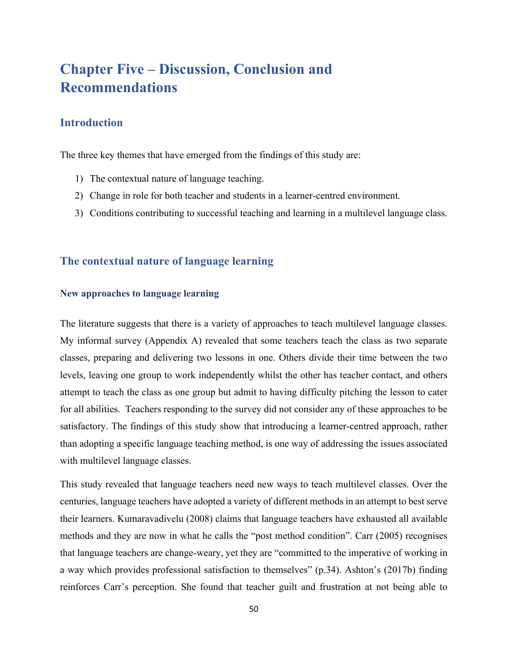# **Chapter Five – Discussion, Conclusion and Recommendations**

# **Introduction**

The three key themes that have emerged from the findings of this study are:

- 1) The contextual nature of language teaching.
- 2) Change in role for both teacher and students in a learner-centred environment.
- 3) Conditions contributing to successful teaching and learning in a multilevel language class.

# **The contextual nature of language learning**

## **New approaches to language learning**

The literature suggests that there is a variety of approaches to teach multilevel language classes. My informal survey (Appendix A) revealed that some teachers teach the class as two separate classes, preparing and delivering two lessons in one. Others divide their time between the two levels, leaving one group to work independently whilst the other has teacher contact, and others attempt to teach the class as one group but admit to having difficulty pitching the lesson to cater for all abilities. Teachers responding to the survey did not consider any of these approaches to be satisfactory. The findings of this study show that introducing a learner-centred approach, rather than adopting a specific language teaching method, is one way of addressing the issues associated with multilevel language classes.

This study revealed that language teachers need new ways to teach multilevel classes. Over the centuries, language teachers have adopted a variety of different methods in an attempt to best serve their learners. Kumaravadivelu (2008) claims that language teachers have exhausted all available methods and they are now in what he calls the "post method condition". Carr (2005) recognises that language teachers are change-weary, yet they are "committed to the imperative of working in a way which provides professional satisfaction to themselves" (p.34). Ashton's (2017b) finding reinforces Carr's perception. She found that teacher guilt and frustration at not being able to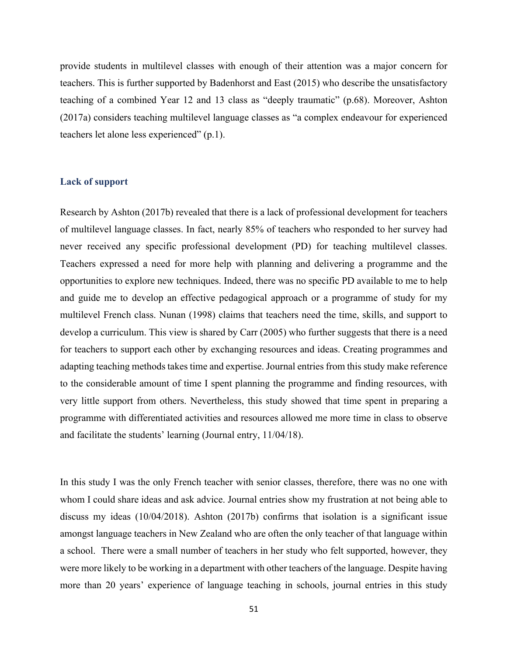provide students in multilevel classes with enough of their attention was a major concern for teachers. This is further supported by Badenhorst and East (2015) who describe the unsatisfactory teaching of a combined Year 12 and 13 class as "deeply traumatic" (p.68). Moreover, Ashton (2017a) considers teaching multilevel language classes as "a complex endeavour for experienced teachers let alone less experienced" (p.1).

## **Lack of support**

Research by Ashton (2017b) revealed that there is a lack of professional development for teachers of multilevel language classes. In fact, nearly 85% of teachers who responded to her survey had never received any specific professional development (PD) for teaching multilevel classes. Teachers expressed a need for more help with planning and delivering a programme and the opportunities to explore new techniques. Indeed, there was no specific PD available to me to help and guide me to develop an effective pedagogical approach or a programme of study for my multilevel French class. Nunan (1998) claims that teachers need the time, skills, and support to develop a curriculum. This view is shared by Carr (2005) who further suggests that there is a need for teachers to support each other by exchanging resources and ideas. Creating programmes and adapting teaching methods takes time and expertise. Journal entries from this study make reference to the considerable amount of time I spent planning the programme and finding resources, with very little support from others. Nevertheless, this study showed that time spent in preparing a programme with differentiated activities and resources allowed me more time in class to observe and facilitate the students' learning (Journal entry, 11/04/18).

In this study I was the only French teacher with senior classes, therefore, there was no one with whom I could share ideas and ask advice. Journal entries show my frustration at not being able to discuss my ideas (10/04/2018). Ashton (2017b) confirms that isolation is a significant issue amongst language teachers in New Zealand who are often the only teacher of that language within a school. There were a small number of teachers in her study who felt supported, however, they were more likely to be working in a department with other teachers of the language. Despite having more than 20 years' experience of language teaching in schools, journal entries in this study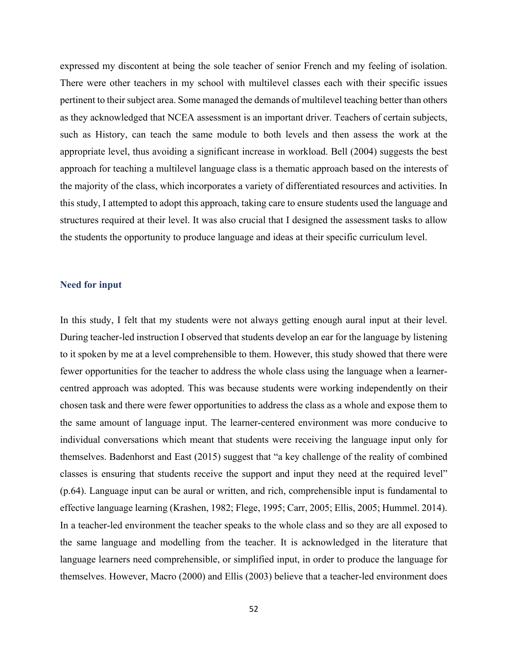expressed my discontent at being the sole teacher of senior French and my feeling of isolation. There were other teachers in my school with multilevel classes each with their specific issues pertinent to their subject area. Some managed the demands of multilevel teaching better than others as they acknowledged that NCEA assessment is an important driver. Teachers of certain subjects, such as History, can teach the same module to both levels and then assess the work at the appropriate level, thus avoiding a significant increase in workload. Bell (2004) suggests the best approach for teaching a multilevel language class is a thematic approach based on the interests of the majority of the class, which incorporates a variety of differentiated resources and activities. In this study, I attempted to adopt this approach, taking care to ensure students used the language and structures required at their level. It was also crucial that I designed the assessment tasks to allow the students the opportunity to produce language and ideas at their specific curriculum level.

### **Need for input**

In this study, I felt that my students were not always getting enough aural input at their level. During teacher-led instruction I observed that students develop an ear for the language by listening to it spoken by me at a level comprehensible to them. However, this study showed that there were fewer opportunities for the teacher to address the whole class using the language when a learnercentred approach was adopted. This was because students were working independently on their chosen task and there were fewer opportunities to address the class as a whole and expose them to the same amount of language input. The learner-centered environment was more conducive to individual conversations which meant that students were receiving the language input only for themselves. Badenhorst and East (2015) suggest that "a key challenge of the reality of combined classes is ensuring that students receive the support and input they need at the required level" (p.64). Language input can be aural or written, and rich, comprehensible input is fundamental to effective language learning (Krashen, 1982; Flege, 1995; Carr, 2005; Ellis, 2005; Hummel. 2014). In a teacher-led environment the teacher speaks to the whole class and so they are all exposed to the same language and modelling from the teacher. It is acknowledged in the literature that language learners need comprehensible, or simplified input, in order to produce the language for themselves. However, Macro (2000) and Ellis (2003) believe that a teacher-led environment does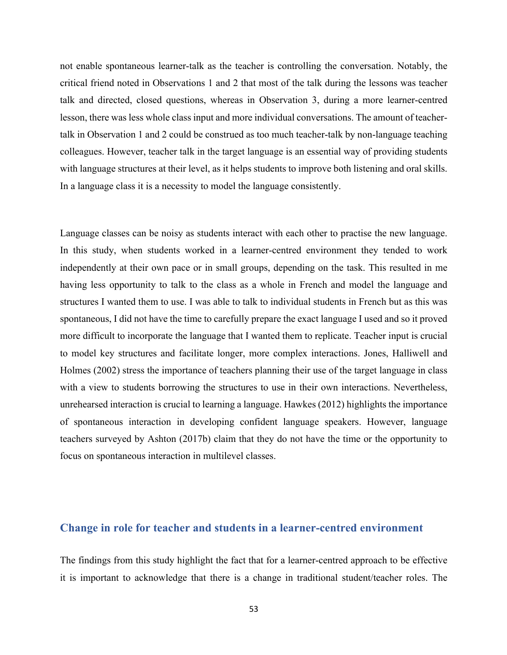not enable spontaneous learner-talk as the teacher is controlling the conversation. Notably, the critical friend noted in Observations 1 and 2 that most of the talk during the lessons was teacher talk and directed, closed questions, whereas in Observation 3, during a more learner-centred lesson, there was less whole class input and more individual conversations. The amount of teachertalk in Observation 1 and 2 could be construed as too much teacher-talk by non-language teaching colleagues. However, teacher talk in the target language is an essential way of providing students with language structures at their level, as it helps students to improve both listening and oral skills. In a language class it is a necessity to model the language consistently.

Language classes can be noisy as students interact with each other to practise the new language. In this study, when students worked in a learner-centred environment they tended to work independently at their own pace or in small groups, depending on the task. This resulted in me having less opportunity to talk to the class as a whole in French and model the language and structures I wanted them to use. I was able to talk to individual students in French but as this was spontaneous, I did not have the time to carefully prepare the exact language I used and so it proved more difficult to incorporate the language that I wanted them to replicate. Teacher input is crucial to model key structures and facilitate longer, more complex interactions. Jones, Halliwell and Holmes (2002) stress the importance of teachers planning their use of the target language in class with a view to students borrowing the structures to use in their own interactions. Nevertheless, unrehearsed interaction is crucial to learning a language. Hawkes (2012) highlights the importance of spontaneous interaction in developing confident language speakers. However, language teachers surveyed by Ashton (2017b) claim that they do not have the time or the opportunity to focus on spontaneous interaction in multilevel classes.

# **Change in role for teacher and students in a learner-centred environment**

The findings from this study highlight the fact that for a learner-centred approach to be effective it is important to acknowledge that there is a change in traditional student/teacher roles. The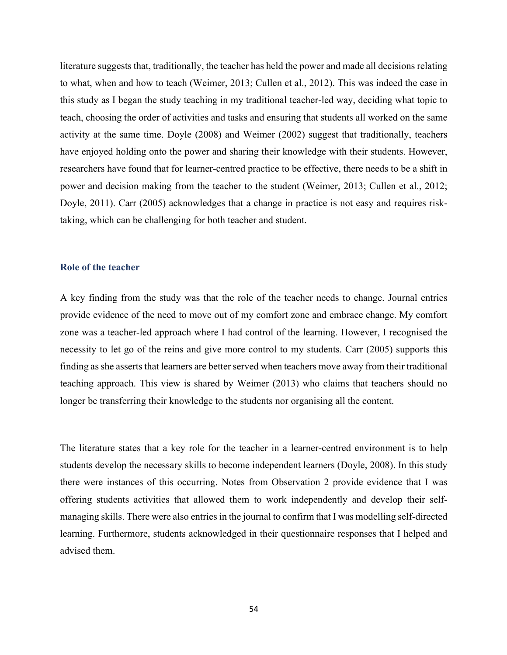literature suggests that, traditionally, the teacher has held the power and made all decisions relating to what, when and how to teach (Weimer, 2013; Cullen et al., 2012). This was indeed the case in this study as I began the study teaching in my traditional teacher-led way, deciding what topic to teach, choosing the order of activities and tasks and ensuring that students all worked on the same activity at the same time. Doyle (2008) and Weimer (2002) suggest that traditionally, teachers have enjoyed holding onto the power and sharing their knowledge with their students. However, researchers have found that for learner-centred practice to be effective, there needs to be a shift in power and decision making from the teacher to the student (Weimer, 2013; Cullen et al., 2012; Doyle, 2011). Carr (2005) acknowledges that a change in practice is not easy and requires risktaking, which can be challenging for both teacher and student.

## **Role of the teacher**

A key finding from the study was that the role of the teacher needs to change. Journal entries provide evidence of the need to move out of my comfort zone and embrace change. My comfort zone was a teacher-led approach where I had control of the learning. However, I recognised the necessity to let go of the reins and give more control to my students. Carr (2005) supports this finding as she asserts that learners are better served when teachers move away from their traditional teaching approach. This view is shared by Weimer (2013) who claims that teachers should no longer be transferring their knowledge to the students nor organising all the content.

The literature states that a key role for the teacher in a learner-centred environment is to help students develop the necessary skills to become independent learners (Doyle, 2008). In this study there were instances of this occurring. Notes from Observation 2 provide evidence that I was offering students activities that allowed them to work independently and develop their selfmanaging skills. There were also entries in the journal to confirm that I was modelling self-directed learning. Furthermore, students acknowledged in their questionnaire responses that I helped and advised them.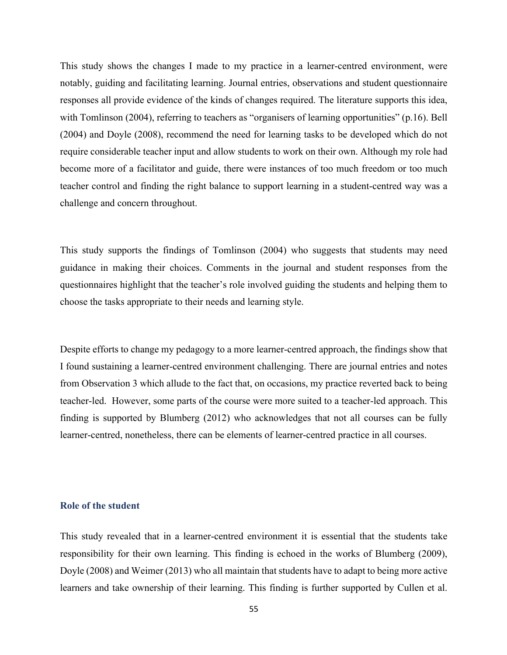This study shows the changes I made to my practice in a learner-centred environment, were notably, guiding and facilitating learning. Journal entries, observations and student questionnaire responses all provide evidence of the kinds of changes required. The literature supports this idea, with Tomlinson (2004), referring to teachers as "organisers of learning opportunities" (p.16). Bell (2004) and Doyle (2008), recommend the need for learning tasks to be developed which do not require considerable teacher input and allow students to work on their own. Although my role had become more of a facilitator and guide, there were instances of too much freedom or too much teacher control and finding the right balance to support learning in a student-centred way was a challenge and concern throughout.

This study supports the findings of Tomlinson (2004) who suggests that students may need guidance in making their choices. Comments in the journal and student responses from the questionnaires highlight that the teacher's role involved guiding the students and helping them to choose the tasks appropriate to their needs and learning style.

Despite efforts to change my pedagogy to a more learner-centred approach, the findings show that I found sustaining a learner-centred environment challenging. There are journal entries and notes from Observation 3 which allude to the fact that, on occasions, my practice reverted back to being teacher-led. However, some parts of the course were more suited to a teacher-led approach. This finding is supported by Blumberg (2012) who acknowledges that not all courses can be fully learner-centred, nonetheless, there can be elements of learner-centred practice in all courses.

### **Role of the student**

This study revealed that in a learner-centred environment it is essential that the students take responsibility for their own learning. This finding is echoed in the works of Blumberg (2009), Doyle (2008) and Weimer (2013) who all maintain that students have to adapt to being more active learners and take ownership of their learning. This finding is further supported by Cullen et al.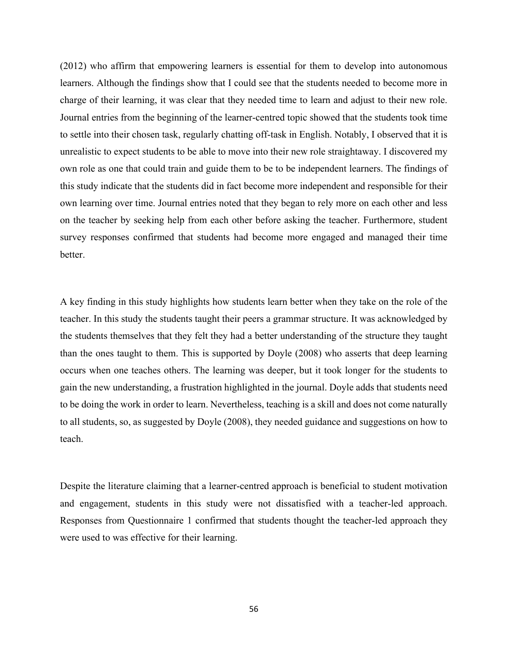(2012) who affirm that empowering learners is essential for them to develop into autonomous learners. Although the findings show that I could see that the students needed to become more in charge of their learning, it was clear that they needed time to learn and adjust to their new role. Journal entries from the beginning of the learner-centred topic showed that the students took time to settle into their chosen task, regularly chatting off-task in English. Notably, I observed that it is unrealistic to expect students to be able to move into their new role straightaway. I discovered my own role as one that could train and guide them to be to be independent learners. The findings of this study indicate that the students did in fact become more independent and responsible for their own learning over time. Journal entries noted that they began to rely more on each other and less on the teacher by seeking help from each other before asking the teacher. Furthermore, student survey responses confirmed that students had become more engaged and managed their time better.

A key finding in this study highlights how students learn better when they take on the role of the teacher. In this study the students taught their peers a grammar structure. It was acknowledged by the students themselves that they felt they had a better understanding of the structure they taught than the ones taught to them. This is supported by Doyle (2008) who asserts that deep learning occurs when one teaches others. The learning was deeper, but it took longer for the students to gain the new understanding, a frustration highlighted in the journal. Doyle adds that students need to be doing the work in order to learn. Nevertheless, teaching is a skill and does not come naturally to all students, so, as suggested by Doyle (2008), they needed guidance and suggestions on how to teach.

Despite the literature claiming that a learner-centred approach is beneficial to student motivation and engagement, students in this study were not dissatisfied with a teacher-led approach. Responses from Questionnaire 1 confirmed that students thought the teacher-led approach they were used to was effective for their learning.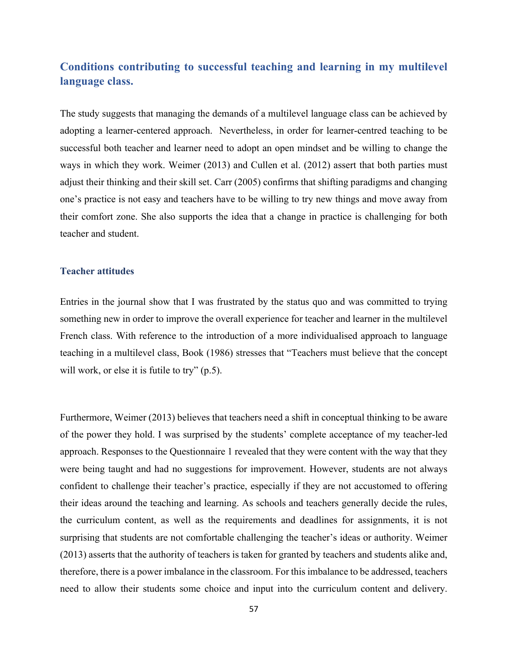# **Conditions contributing to successful teaching and learning in my multilevel language class.**

The study suggests that managing the demands of a multilevel language class can be achieved by adopting a learner-centered approach. Nevertheless, in order for learner-centred teaching to be successful both teacher and learner need to adopt an open mindset and be willing to change the ways in which they work. Weimer (2013) and Cullen et al. (2012) assert that both parties must adjust their thinking and their skill set. Carr (2005) confirms that shifting paradigms and changing one's practice is not easy and teachers have to be willing to try new things and move away from their comfort zone. She also supports the idea that a change in practice is challenging for both teacher and student.

## **Teacher attitudes**

Entries in the journal show that I was frustrated by the status quo and was committed to trying something new in order to improve the overall experience for teacher and learner in the multilevel French class. With reference to the introduction of a more individualised approach to language teaching in a multilevel class, Book (1986) stresses that "Teachers must believe that the concept will work, or else it is futile to try" (p.5).

Furthermore, Weimer (2013) believes that teachers need a shift in conceptual thinking to be aware of the power they hold. I was surprised by the students' complete acceptance of my teacher-led approach. Responses to the Questionnaire 1 revealed that they were content with the way that they were being taught and had no suggestions for improvement. However, students are not always confident to challenge their teacher's practice, especially if they are not accustomed to offering their ideas around the teaching and learning. As schools and teachers generally decide the rules, the curriculum content, as well as the requirements and deadlines for assignments, it is not surprising that students are not comfortable challenging the teacher's ideas or authority. Weimer (2013) asserts that the authority of teachers is taken for granted by teachers and students alike and, therefore, there is a power imbalance in the classroom. For this imbalance to be addressed, teachers need to allow their students some choice and input into the curriculum content and delivery.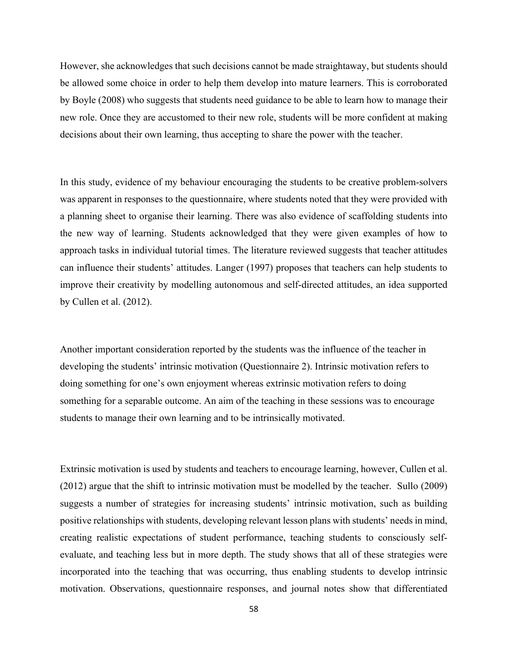However, she acknowledges that such decisions cannot be made straightaway, but students should be allowed some choice in order to help them develop into mature learners. This is corroborated by Boyle (2008) who suggests that students need guidance to be able to learn how to manage their new role. Once they are accustomed to their new role, students will be more confident at making decisions about their own learning, thus accepting to share the power with the teacher.

In this study, evidence of my behaviour encouraging the students to be creative problem-solvers was apparent in responses to the questionnaire, where students noted that they were provided with a planning sheet to organise their learning. There was also evidence of scaffolding students into the new way of learning. Students acknowledged that they were given examples of how to approach tasks in individual tutorial times. The literature reviewed suggests that teacher attitudes can influence their students' attitudes. Langer (1997) proposes that teachers can help students to improve their creativity by modelling autonomous and self-directed attitudes, an idea supported by Cullen et al. (2012).

Another important consideration reported by the students was the influence of the teacher in developing the students' intrinsic motivation (Questionnaire 2). Intrinsic motivation refers to doing something for one's own enjoyment whereas extrinsic motivation refers to doing something for a separable outcome. An aim of the teaching in these sessions was to encourage students to manage their own learning and to be intrinsically motivated.

Extrinsic motivation is used by students and teachers to encourage learning, however, Cullen et al. (2012) argue that the shift to intrinsic motivation must be modelled by the teacher. Sullo (2009) suggests a number of strategies for increasing students' intrinsic motivation, such as building positive relationships with students, developing relevant lesson plans with students' needs in mind, creating realistic expectations of student performance, teaching students to consciously selfevaluate, and teaching less but in more depth. The study shows that all of these strategies were incorporated into the teaching that was occurring, thus enabling students to develop intrinsic motivation. Observations, questionnaire responses, and journal notes show that differentiated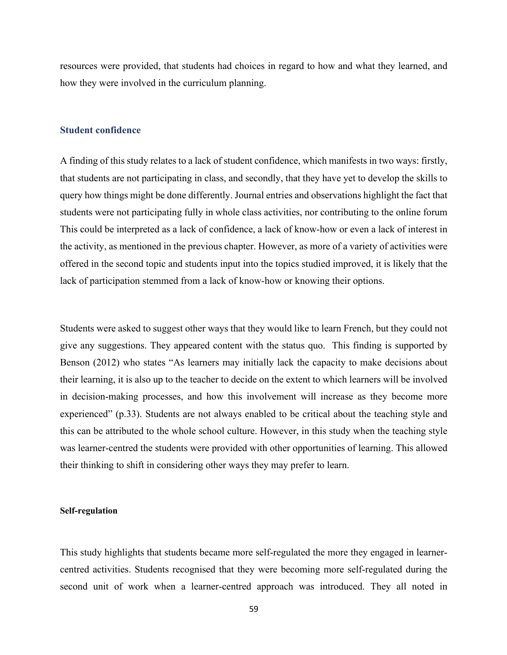resources were provided, that students had choices in regard to how and what they learned, and how they were involved in the curriculum planning.

### **Student confidence**

A finding of this study relates to a lack of student confidence, which manifests in two ways: firstly, that students are not participating in class, and secondly, that they have yet to develop the skills to query how things might be done differently. Journal entries and observations highlight the fact that students were not participating fully in whole class activities, nor contributing to the online forum This could be interpreted as a lack of confidence, a lack of know-how or even a lack of interest in the activity, as mentioned in the previous chapter. However, as more of a variety of activities were offered in the second topic and students input into the topics studied improved, it is likely that the lack of participation stemmed from a lack of know-how or knowing their options.

Students were asked to suggest other ways that they would like to learn French, but they could not give any suggestions. They appeared content with the status quo. This finding is supported by Benson (2012) who states "As learners may initially lack the capacity to make decisions about their learning, it is also up to the teacher to decide on the extent to which learners will be involved in decision-making processes, and how this involvement will increase as they become more experienced" (p.33). Students are not always enabled to be critical about the teaching style and this can be attributed to the whole school culture. However, in this study when the teaching style was learner-centred the students were provided with other opportunities of learning. This allowed their thinking to shift in considering other ways they may prefer to learn.

### **Self-regulation**

This study highlights that students became more self-regulated the more they engaged in learnercentred activities. Students recognised that they were becoming more self-regulated during the second unit of work when a learner-centred approach was introduced. They all noted in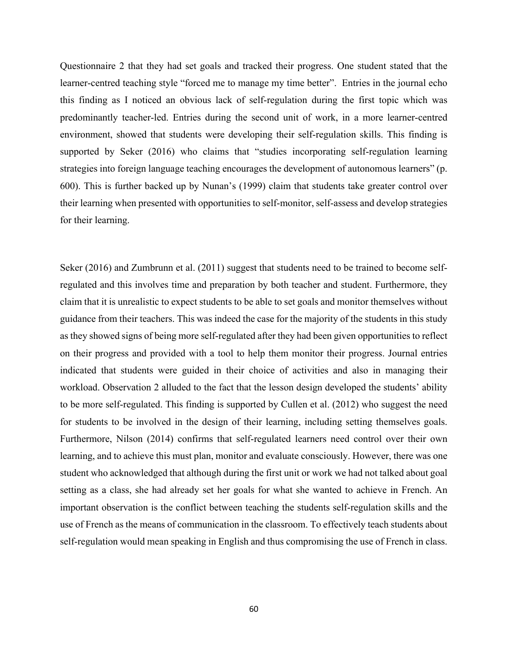Questionnaire 2 that they had set goals and tracked their progress. One student stated that the learner-centred teaching style "forced me to manage my time better". Entries in the journal echo this finding as I noticed an obvious lack of self-regulation during the first topic which was predominantly teacher-led. Entries during the second unit of work, in a more learner-centred environment, showed that students were developing their self-regulation skills. This finding is supported by Seker (2016) who claims that "studies incorporating self-regulation learning strategies into foreign language teaching encourages the development of autonomous learners" (p. 600). This is further backed up by Nunan's (1999) claim that students take greater control over their learning when presented with opportunities to self-monitor, self-assess and develop strategies for their learning.

Seker (2016) and Zumbrunn et al. (2011) suggest that students need to be trained to become selfregulated and this involves time and preparation by both teacher and student. Furthermore, they claim that it is unrealistic to expect students to be able to set goals and monitor themselves without guidance from their teachers. This was indeed the case for the majority of the students in this study as they showed signs of being more self-regulated after they had been given opportunities to reflect on their progress and provided with a tool to help them monitor their progress. Journal entries indicated that students were guided in their choice of activities and also in managing their workload. Observation 2 alluded to the fact that the lesson design developed the students' ability to be more self-regulated. This finding is supported by Cullen et al. (2012) who suggest the need for students to be involved in the design of their learning, including setting themselves goals. Furthermore, Nilson (2014) confirms that self-regulated learners need control over their own learning, and to achieve this must plan, monitor and evaluate consciously. However, there was one student who acknowledged that although during the first unit or work we had not talked about goal setting as a class, she had already set her goals for what she wanted to achieve in French. An important observation is the conflict between teaching the students self-regulation skills and the use of French as the means of communication in the classroom. To effectively teach students about self-regulation would mean speaking in English and thus compromising the use of French in class.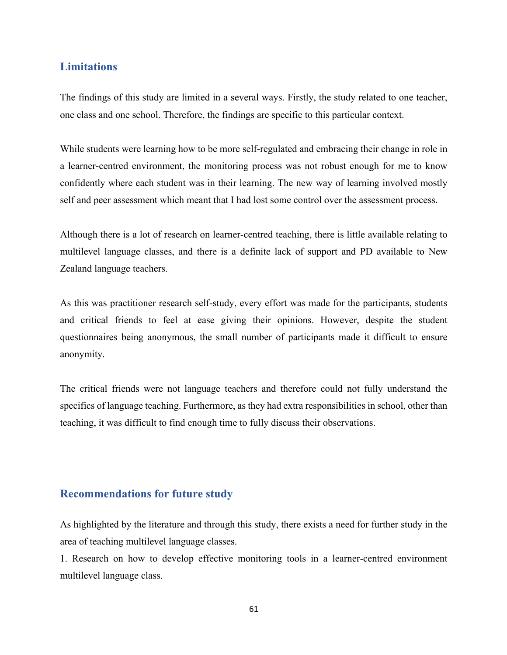# **Limitations**

The findings of this study are limited in a several ways. Firstly, the study related to one teacher, one class and one school. Therefore, the findings are specific to this particular context.

While students were learning how to be more self-regulated and embracing their change in role in a learner-centred environment, the monitoring process was not robust enough for me to know confidently where each student was in their learning. The new way of learning involved mostly self and peer assessment which meant that I had lost some control over the assessment process.

Although there is a lot of research on learner-centred teaching, there is little available relating to multilevel language classes, and there is a definite lack of support and PD available to New Zealand language teachers.

As this was practitioner research self-study, every effort was made for the participants, students and critical friends to feel at ease giving their opinions. However, despite the student questionnaires being anonymous, the small number of participants made it difficult to ensure anonymity.

The critical friends were not language teachers and therefore could not fully understand the specifics of language teaching. Furthermore, as they had extra responsibilities in school, other than teaching, it was difficult to find enough time to fully discuss their observations.

# **Recommendations for future study**

As highlighted by the literature and through this study, there exists a need for further study in the area of teaching multilevel language classes.

1. Research on how to develop effective monitoring tools in a learner-centred environment multilevel language class.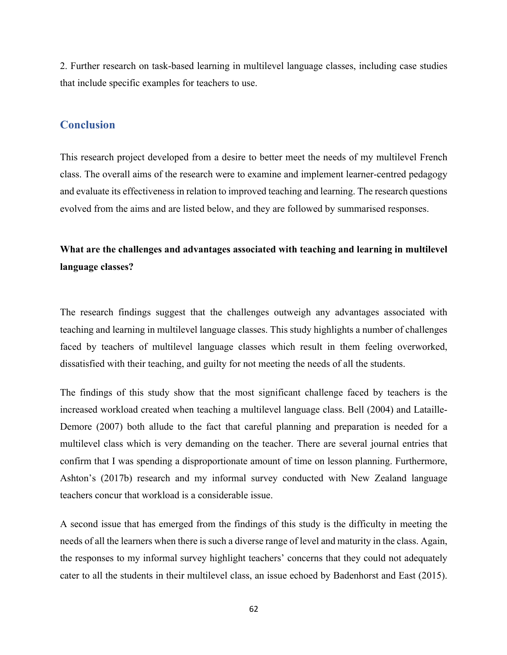2. Further research on task-based learning in multilevel language classes, including case studies that include specific examples for teachers to use.

# **Conclusion**

This research project developed from a desire to better meet the needs of my multilevel French class. The overall aims of the research were to examine and implement learner-centred pedagogy and evaluate its effectiveness in relation to improved teaching and learning. The research questions evolved from the aims and are listed below, and they are followed by summarised responses.

# **What are the challenges and advantages associated with teaching and learning in multilevel language classes?**

The research findings suggest that the challenges outweigh any advantages associated with teaching and learning in multilevel language classes. This study highlights a number of challenges faced by teachers of multilevel language classes which result in them feeling overworked, dissatisfied with their teaching, and guilty for not meeting the needs of all the students.

The findings of this study show that the most significant challenge faced by teachers is the increased workload created when teaching a multilevel language class. Bell (2004) and Lataille-Demore (2007) both allude to the fact that careful planning and preparation is needed for a multilevel class which is very demanding on the teacher. There are several journal entries that confirm that I was spending a disproportionate amount of time on lesson planning. Furthermore, Ashton's (2017b) research and my informal survey conducted with New Zealand language teachers concur that workload is a considerable issue.

A second issue that has emerged from the findings of this study is the difficulty in meeting the needs of all the learners when there is such a diverse range of level and maturity in the class. Again, the responses to my informal survey highlight teachers' concerns that they could not adequately cater to all the students in their multilevel class, an issue echoed by Badenhorst and East (2015).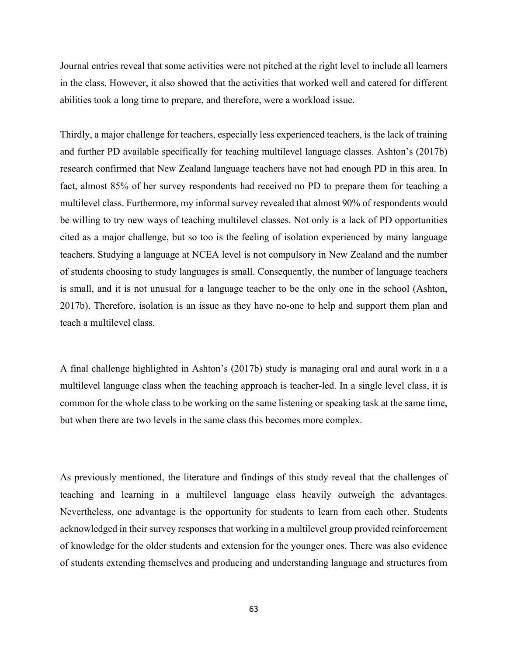Journal entries reveal that some activities were not pitched at the right level to include all learners in the class. However, it also showed that the activities that worked well and catered for different abilities took a long time to prepare, and therefore, were a workload issue.

Thirdly, a major challenge for teachers, especially less experienced teachers, is the lack of training and further PD available specifically for teaching multilevel language classes. Ashton's (2017b) research confirmed that New Zealand language teachers have not had enough PD in this area. In fact, almost 85% of her survey respondents had received no PD to prepare them for teaching a multilevel class. Furthermore, my informal survey revealed that almost 90% of respondents would be willing to try new ways of teaching multilevel classes. Not only is a lack of PD opportunities cited as a major challenge, but so too is the feeling of isolation experienced by many language teachers. Studying a language at NCEA level is not compulsory in New Zealand and the number of students choosing to study languages is small. Consequently, the number of language teachers is small, and it is not unusual for a language teacher to be the only one in the school (Ashton, 2017b). Therefore, isolation is an issue as they have no-one to help and support them plan and teach a multilevel class.

A final challenge highlighted in Ashton's (2017b) study is managing oral and aural work in a a multilevel language class when the teaching approach is teacher-led. In a single level class, it is common for the whole class to be working on the same listening or speaking task at the same time, but when there are two levels in the same class this becomes more complex.

As previously mentioned, the literature and findings of this study reveal that the challenges of teaching and learning in a multilevel language class heavily outweigh the advantages. Nevertheless, one advantage is the opportunity for students to learn from each other. Students acknowledged in their survey responses that working in a multilevel group provided reinforcement of knowledge for the older students and extension for the younger ones. There was also evidence of students extending themselves and producing and understanding language and structures from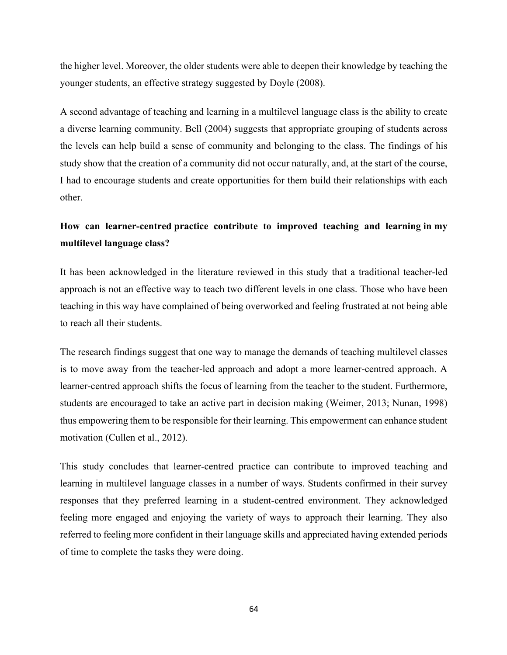the higher level. Moreover, the older students were able to deepen their knowledge by teaching the younger students, an effective strategy suggested by Doyle (2008).

A second advantage of teaching and learning in a multilevel language class is the ability to create a diverse learning community. Bell (2004) suggests that appropriate grouping of students across the levels can help build a sense of community and belonging to the class. The findings of his study show that the creation of a community did not occur naturally, and, at the start of the course, I had to encourage students and create opportunities for them build their relationships with each other.

# **How can learner-centred practice contribute to improved teaching and learning in my multilevel language class?**

It has been acknowledged in the literature reviewed in this study that a traditional teacher-led approach is not an effective way to teach two different levels in one class. Those who have been teaching in this way have complained of being overworked and feeling frustrated at not being able to reach all their students.

The research findings suggest that one way to manage the demands of teaching multilevel classes is to move away from the teacher-led approach and adopt a more learner-centred approach. A learner-centred approach shifts the focus of learning from the teacher to the student. Furthermore, students are encouraged to take an active part in decision making (Weimer, 2013; Nunan, 1998) thus empowering them to be responsible for their learning. This empowerment can enhance student motivation (Cullen et al., 2012).

This study concludes that learner-centred practice can contribute to improved teaching and learning in multilevel language classes in a number of ways. Students confirmed in their survey responses that they preferred learning in a student-centred environment. They acknowledged feeling more engaged and enjoying the variety of ways to approach their learning. They also referred to feeling more confident in their language skills and appreciated having extended periods of time to complete the tasks they were doing.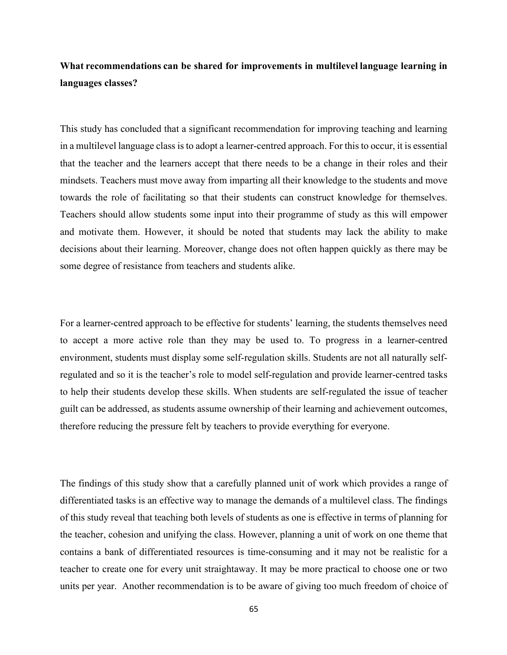# **What recommendations can be shared for improvements in multilevel language learning in languages classes?**

This study has concluded that a significant recommendation for improving teaching and learning in a multilevel language class is to adopt a learner-centred approach. For this to occur, it is essential that the teacher and the learners accept that there needs to be a change in their roles and their mindsets. Teachers must move away from imparting all their knowledge to the students and move towards the role of facilitating so that their students can construct knowledge for themselves. Teachers should allow students some input into their programme of study as this will empower and motivate them. However, it should be noted that students may lack the ability to make decisions about their learning. Moreover, change does not often happen quickly as there may be some degree of resistance from teachers and students alike.

For a learner-centred approach to be effective for students' learning, the students themselves need to accept a more active role than they may be used to. To progress in a learner-centred environment, students must display some self-regulation skills. Students are not all naturally selfregulated and so it is the teacher's role to model self-regulation and provide learner-centred tasks to help their students develop these skills. When students are self-regulated the issue of teacher guilt can be addressed, as students assume ownership of their learning and achievement outcomes, therefore reducing the pressure felt by teachers to provide everything for everyone.

The findings of this study show that a carefully planned unit of work which provides a range of differentiated tasks is an effective way to manage the demands of a multilevel class. The findings of this study reveal that teaching both levels of students as one is effective in terms of planning for the teacher, cohesion and unifying the class. However, planning a unit of work on one theme that contains a bank of differentiated resources is time-consuming and it may not be realistic for a teacher to create one for every unit straightaway. It may be more practical to choose one or two units per year. Another recommendation is to be aware of giving too much freedom of choice of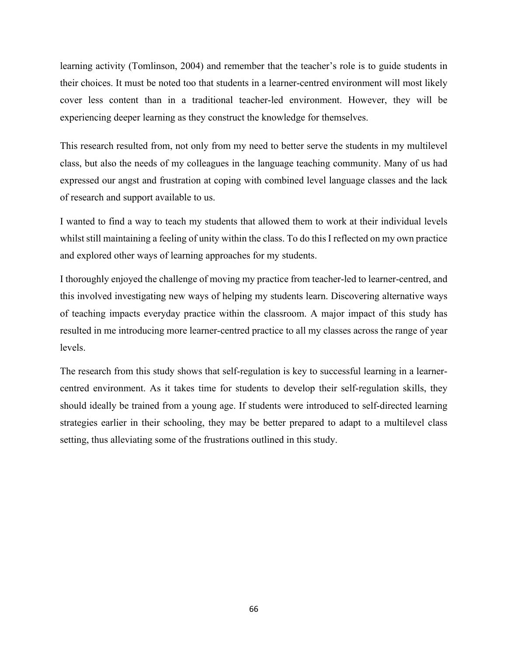learning activity (Tomlinson, 2004) and remember that the teacher's role is to guide students in their choices. It must be noted too that students in a learner-centred environment will most likely cover less content than in a traditional teacher-led environment. However, they will be experiencing deeper learning as they construct the knowledge for themselves.

This research resulted from, not only from my need to better serve the students in my multilevel class, but also the needs of my colleagues in the language teaching community. Many of us had expressed our angst and frustration at coping with combined level language classes and the lack of research and support available to us.

I wanted to find a way to teach my students that allowed them to work at their individual levels whilst still maintaining a feeling of unity within the class. To do this I reflected on my own practice and explored other ways of learning approaches for my students.

I thoroughly enjoyed the challenge of moving my practice from teacher-led to learner-centred, and this involved investigating new ways of helping my students learn. Discovering alternative ways of teaching impacts everyday practice within the classroom. A major impact of this study has resulted in me introducing more learner-centred practice to all my classes across the range of year levels.

The research from this study shows that self-regulation is key to successful learning in a learnercentred environment. As it takes time for students to develop their self-regulation skills, they should ideally be trained from a young age. If students were introduced to self-directed learning strategies earlier in their schooling, they may be better prepared to adapt to a multilevel class setting, thus alleviating some of the frustrations outlined in this study.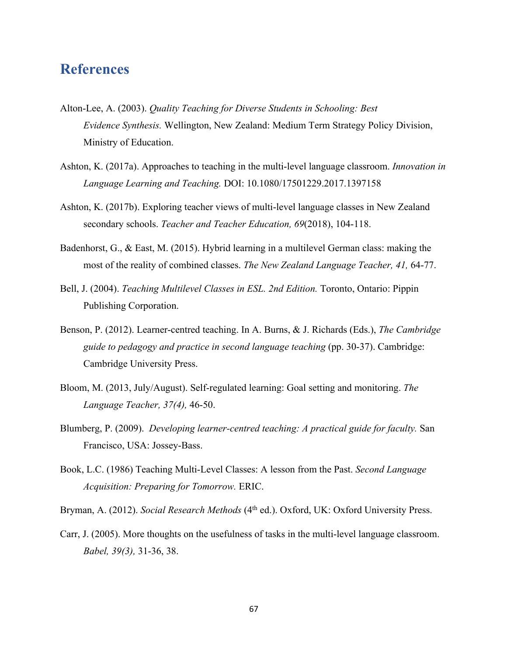## **References**

- Alton-Lee, A. (2003). *Quality Teaching for Diverse Students in Schooling: Best Evidence Synthesis.* Wellington, New Zealand: Medium Term Strategy Policy Division, Ministry of Education.
- Ashton, K. (2017a). Approaches to teaching in the multi-level language classroom. *Innovation in Language Learning and Teaching.* DOI: 10.1080/17501229.2017.1397158
- Ashton, K. (2017b). Exploring teacher views of multi-level language classes in New Zealand secondary schools. *Teacher and Teacher Education, 69*(2018), 104-118.
- Badenhorst, G., & East, M. (2015). Hybrid learning in a multilevel German class: making the most of the reality of combined classes. *The New Zealand Language Teacher, 41,* 64-77.
- Bell, J. (2004). *Teaching Multilevel Classes in ESL. 2nd Edition.* Toronto, Ontario: Pippin Publishing Corporation.
- Benson, P. (2012). Learner-centred teaching. In A. Burns, & J. Richards (Eds.), *The Cambridge guide to pedagogy and practice in second language teaching* (pp. 30-37). Cambridge: Cambridge University Press.
- Bloom, M. (2013, July/August). Self-regulated learning: Goal setting and monitoring. *The Language Teacher, 37(4),* 46-50.
- Blumberg, P. (2009). *Developing learner-centred teaching: A practical guide for faculty.* San Francisco, USA: Jossey-Bass.
- Book, L.C. (1986) Teaching Multi-Level Classes: A lesson from the Past. *Second Language Acquisition: Preparing for Tomorrow.* ERIC.

Bryman, A. (2012). *Social Research Methods* (4<sup>th</sup> ed.). Oxford, UK: Oxford University Press.

Carr, J. (2005). More thoughts on the usefulness of tasks in the multi-level language classroom. *Babel, 39(3),* 31-36, 38.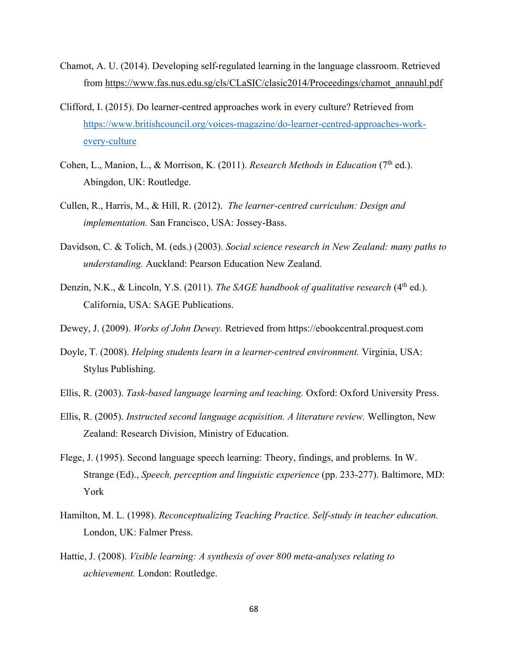- Chamot, A. U. (2014). Developing self-regulated learning in the language classroom. Retrieved from https://www.fas.nus.edu.sg/cls/CLaSIC/clasic2014/Proceedings/chamot\_annauhl.pdf
- Clifford, I. (2015). Do learner-centred approaches work in every culture? Retrieved from https://www.britishcouncil.org/voices-magazine/do-learner-centred-approaches-workevery-culture
- Cohen, L., Manion, L., & Morrison, K. (2011). *Research Methods in Education* (7<sup>th</sup> ed.). Abingdon, UK: Routledge.
- Cullen, R., Harris, M., & Hill, R. (2012). *The learner-centred curriculum: Design and implementation.* San Francisco, USA: Jossey-Bass.
- Davidson, C. & Tolich, M. (eds.) (2003). *Social science research in New Zealand: many paths to understanding.* Auckland: Pearson Education New Zealand.
- Denzin, N.K., & Lincoln, Y.S. (2011). *The SAGE handbook of qualitative research* (4<sup>th</sup> ed.). California, USA: SAGE Publications.
- Dewey, J. (2009). *Works of John Dewey.* Retrieved from https://ebookcentral.proquest.com
- Doyle, T. (2008). *Helping students learn in a learner-centred environment.* Virginia, USA: Stylus Publishing.
- Ellis, R. (2003). *Task-based language learning and teaching.* Oxford: Oxford University Press.
- Ellis, R. (2005). *Instructed second language acquisition. A literature review.* Wellington, New Zealand: Research Division, Ministry of Education.
- Flege, J. (1995). Second language speech learning: Theory, findings, and problems*.* In W. Strange (Ed)., *Speech, perception and linguistic experience* (pp. 233-277). Baltimore, MD: York
- Hamilton, M. L. (1998). *Reconceptualizing Teaching Practice. Self-study in teacher education.*  London, UK: Falmer Press.
- Hattie, J. (2008). *Visible learning: A synthesis of over 800 meta-analyses relating to achievement.* London: Routledge.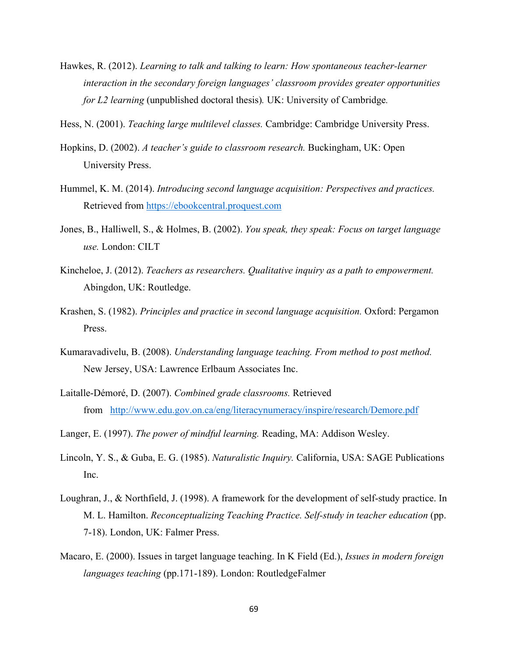- Hawkes, R. (2012). *Learning to talk and talking to learn: How spontaneous teacher-learner interaction in the secondary foreign languages' classroom provides greater opportunities for L2 learning* (unpublished doctoral thesis)*.* UK: University of Cambridge*.*
- Hess, N. (2001). *Teaching large multilevel classes.* Cambridge: Cambridge University Press.
- Hopkins, D. (2002). *A teacher's guide to classroom research.* Buckingham, UK: Open University Press.
- Hummel, K. M. (2014). *Introducing second language acquisition: Perspectives and practices.* Retrieved from https://ebookcentral.proquest.com
- Jones, B., Halliwell, S., & Holmes, B. (2002). *You speak, they speak: Focus on target language use.* London: CILT
- Kincheloe, J. (2012). *Teachers as researchers. Qualitative inquiry as a path to empowerment.* Abingdon, UK: Routledge.
- Krashen, S. (1982). *Principles and practice in second language acquisition.* Oxford: Pergamon Press.
- Kumaravadivelu, B. (2008). *Understanding language teaching. From method to post method.* New Jersey, USA: Lawrence Erlbaum Associates Inc.
- Laitalle-Démoré, D. (2007). *Combined grade classrooms.* Retrieved from http://www.edu.gov.on.ca/eng/literacynumeracy/inspire/research/Demore.pdf
- Langer, E. (1997). *The power of mindful learning.* Reading, MA: Addison Wesley.
- Lincoln, Y. S., & Guba, E. G. (1985). *Naturalistic Inquiry.* California, USA: SAGE Publications Inc.
- Loughran, J., & Northfield, J. (1998). A framework for the development of self-study practice. In M. L. Hamilton. *Reconceptualizing Teaching Practice. Self-study in teacher education* (pp. 7-18). London, UK: Falmer Press.
- Macaro, E. (2000). Issues in target language teaching. In K Field (Ed.), *Issues in modern foreign languages teaching* (pp.171-189). London: RoutledgeFalmer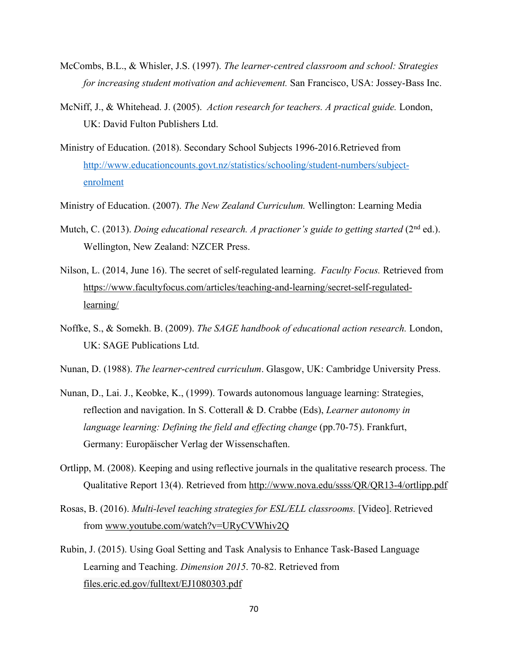- McCombs, B.L., & Whisler, J.S. (1997). *The learner-centred classroom and school: Strategies for increasing student motivation and achievement.* San Francisco, USA: Jossey-Bass Inc.
- McNiff, J., & Whitehead. J. (2005). *Action research for teachers. A practical guide.* London, UK: David Fulton Publishers Ltd.
- Ministry of Education. (2018). Secondary School Subjects 1996-2016.Retrieved from http://www.educationcounts.govt.nz/statistics/schooling/student-numbers/subjectenrolment
- Ministry of Education. (2007). *The New Zealand Curriculum.* Wellington: Learning Media
- Mutch, C. (2013). *Doing educational research. A practioner's guide to getting started* (2<sup>nd</sup> ed.). Wellington, New Zealand: NZCER Press.
- Nilson, L. (2014, June 16). The secret of self-regulated learning. *Faculty Focus.* Retrieved from https://www.facultyfocus.com/articles/teaching-and-learning/secret-self-regulatedlearning/
- Noffke, S., & Somekh. B. (2009). *The SAGE handbook of educational action research.* London, UK: SAGE Publications Ltd.
- Nunan, D. (1988). *The learner*-*centred curriculum*. Glasgow, UK: Cambridge University Press.
- Nunan, D., Lai. J., Keobke, K., (1999). Towards autonomous language learning: Strategies, reflection and navigation. In S. Cotterall & D. Crabbe (Eds), *Learner autonomy in language learning: Defining the field and effecting change (pp.70-75). Frankfurt,* Germany: Europäischer Verlag der Wissenschaften.
- Ortlipp, M. (2008). Keeping and using reflective journals in the qualitative research process. The Qualitative Report 13(4). Retrieved from http://www.nova.edu/ssss/QR/QR13-4/ortlipp.pdf
- Rosas, B. (2016). *Multi-level teaching strategies for ESL/ELL classrooms.* [Video]. Retrieved from www.youtube.com/watch?v=URyCVWhiv2Q
- Rubin, J. (2015). Using Goal Setting and Task Analysis to Enhance Task-Based Language Learning and Teaching. *Dimension 2015*. 70-82. Retrieved from files.eric.ed.gov/fulltext/EJ1080303.pdf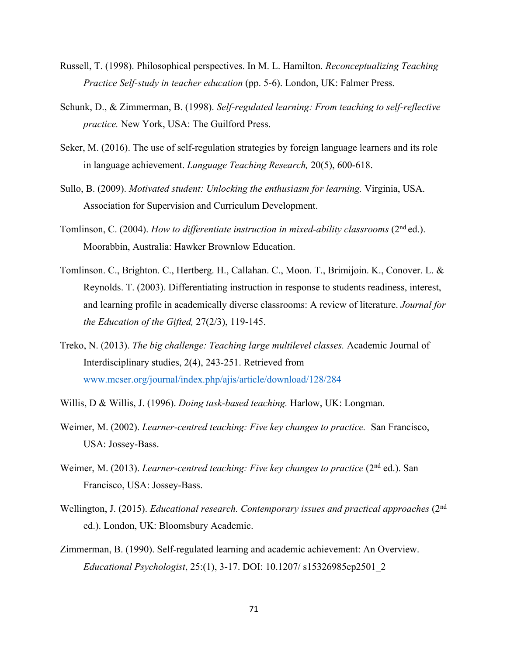- Russell, T. (1998). Philosophical perspectives. In M. L. Hamilton. *Reconceptualizing Teaching Practice Self-study in teacher education* (pp. 5-6). London, UK: Falmer Press.
- Schunk, D., & Zimmerman, B. (1998). *Self-regulated learning: From teaching to self-reflective practice.* New York, USA: The Guilford Press.
- Seker, M. (2016). The use of self-regulation strategies by foreign language learners and its role in language achievement. *Language Teaching Research,* 20(5), 600-618.
- Sullo, B. (2009). *Motivated student: Unlocking the enthusiasm for learning.* Virginia, USA. Association for Supervision and Curriculum Development.
- Tomlinson, C. (2004). *How to differentiate instruction in mixed-ability classrooms* (2<sup>nd</sup> ed.). Moorabbin, Australia: Hawker Brownlow Education.
- Tomlinson. C., Brighton. C., Hertberg. H., Callahan. C., Moon. T., Brimijoin. K., Conover. L. & Reynolds. T. (2003). Differentiating instruction in response to students readiness, interest, and learning profile in academically diverse classrooms: A review of literature. *Journal for the Education of the Gifted,* 27(2/3), 119-145.
- Treko, N. (2013). *The big challenge: Teaching large multilevel classes.* Academic Journal of Interdisciplinary studies, 2(4), 243-251. Retrieved from www.mcser.org/journal/index.php/ajis/article/download/128/284
- Willis, D & Willis, J. (1996). *Doing task-based teaching.* Harlow, UK: Longman.
- Weimer, M. (2002). *Learner-centred teaching: Five key changes to practice.* San Francisco, USA: Jossey-Bass.
- Weimer, M. (2013). *Learner-centred teaching: Five key changes to practice* (2<sup>nd</sup> ed.). San Francisco, USA: Jossey-Bass.
- Wellington, J. (2015). *Educational research. Contemporary issues and practical approaches* (2<sup>nd</sup> ed.). London, UK: Bloomsbury Academic.
- Zimmerman, B. (1990). Self-regulated learning and academic achievement: An Overview. *Educational Psychologist*, 25:(1), 3-17. DOI: 10.1207/ s15326985ep2501\_2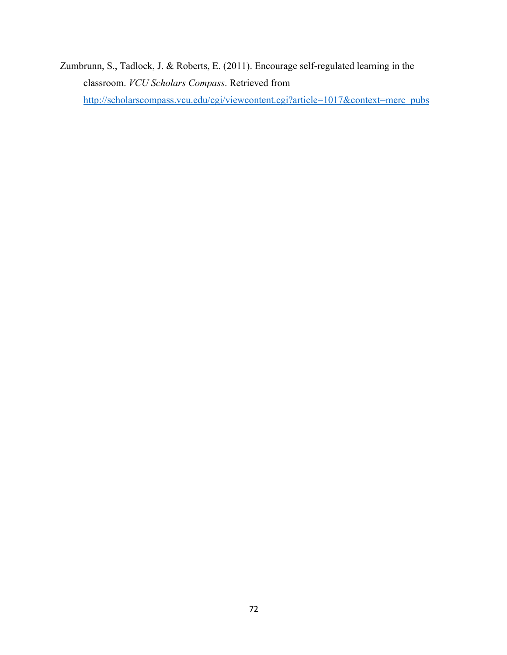Zumbrunn, S., Tadlock, J. & Roberts, E. (2011). Encourage self-regulated learning in the classroom. *VCU Scholars Compass*. Retrieved from

http://scholarscompass.vcu.edu/cgi/viewcontent.cgi?article=1017&context=merc\_pubs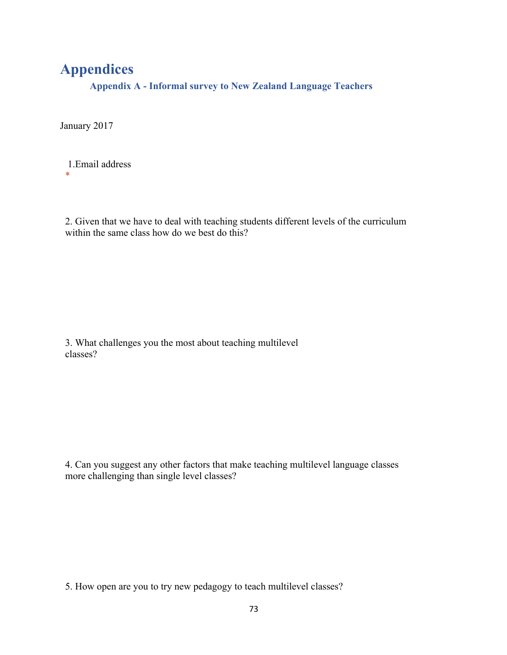# **Appendices**

**Appendix A - Informal survey to New Zealand Language Teachers**

January 2017

1.Email address  $\ddot{\phantom{a}}$ 

2. Given that we have to deal with teaching students different levels of the curriculum within the same class how do we best do this?

3. What challenges you the most about teaching multilevel classes?

4. Can you suggest any other factors that make teaching multilevel language classes more challenging than single level classes?

5. How open are you to try new pedagogy to teach multilevel classes?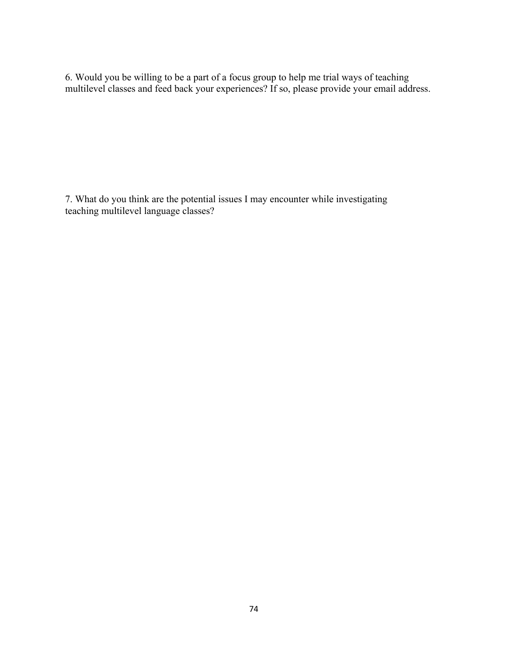6. Would you be willing to be a part of a focus group to help me trial ways of teaching multilevel classes and feed back your experiences? If so, please provide your email address.

7. What do you think are the potential issues I may encounter while investigating teaching multilevel language classes?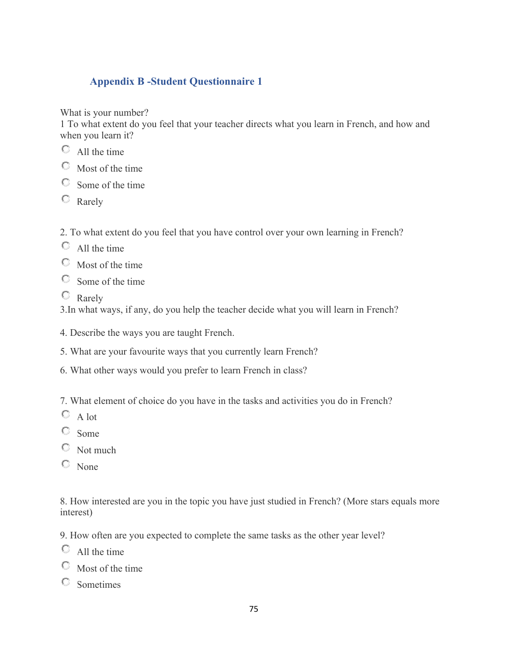## **Appendix B -Student Questionnaire 1**

What is your number?

1 To what extent do you feel that your teacher directs what you learn in French, and how and when you learn it?

- All the time
- $\heartsuit$  Most of the time
- Some of the time
- $\heartsuit$  Rarely

2. To what extent do you feel that you have control over your own learning in French?

- $\bigcirc$  All the time
- Most of the time
- Some of the time
- $\circ$  Rarely

3.In what ways, if any, do you help the teacher decide what you will learn in French?

- 4. Describe the ways you are taught French.
- 5. What are your favourite ways that you currently learn French?
- 6. What other ways would you prefer to learn French in class?

7. What element of choice do you have in the tasks and activities you do in French?

- $\mathbb{C}$  A lot
- Some
- $\heartsuit$  Not much
- $\circ$  None

8. How interested are you in the topic you have just studied in French? (More stars equals more interest)

9. How often are you expected to complete the same tasks as the other year level?

- $\circ$  All the time
- $\heartsuit$  Most of the time
- Sometimes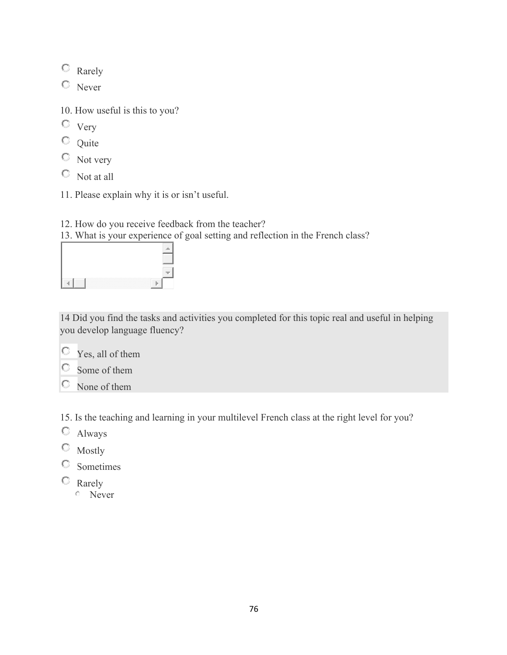Rarely

<sup>O</sup> Never

10. How useful is this to you?

- $\circ$  Very
- $\overline{Q}$  Quite
- Not very
- Not at all
- 11. Please explain why it is or isn't useful.
- 12. How do you receive feedback from the teacher?

13. What is your experience of goal setting and reflection in the French class?



14 Did you find the tasks and activities you completed for this topic real and useful in helping you develop language fluency?

O Yes, all of them



None of them

15. Is the teaching and learning in your multilevel French class at the right level for you?

- Always
- Mostly
- Sometimes
- <sup>C</sup> Rarely
	- **Never**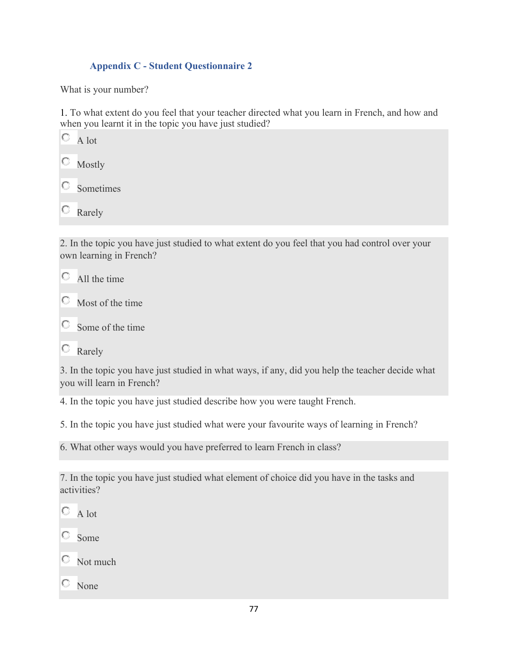### **Appendix C - Student Questionnaire 2**

What is your number?

1. To what extent do you feel that your teacher directed what you learn in French, and how and when you learnt it in the topic you have just studied?

| A lot  |
|--------|
| Mostly |
|        |

О Sometimes

О Rarely

2. In the topic you have just studied to what extent do you feel that you had control over your own learning in French?

О All the time

 $\circ$  Most of the time

O. Some of the time

**C** Rarely

3. In the topic you have just studied in what ways, if any, did you help the teacher decide what you will learn in French?

4. In the topic you have just studied describe how you were taught French.

5. In the topic you have just studied what were your favourite ways of learning in French?

6. What other ways would you have preferred to learn French in class?

7. In the topic you have just studied what element of choice did you have in the tasks and activities?

O. A lot

Some

 $\heartsuit$  Not much

None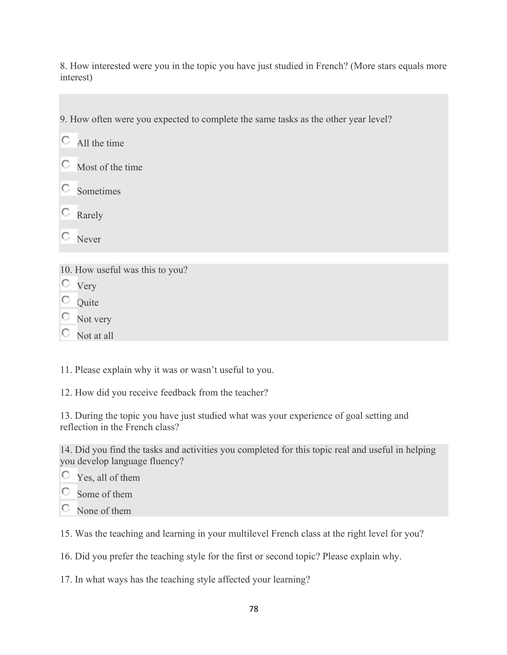8. How interested were you in the topic you have just studied in French? (More stars equals more interest)

9. How often were you expected to complete the same tasks as the other year level?

0. All the time

0. Most of the time

Ю Sometimes

O Rarely

О Never

10. How useful was this to you?

Very

 $\circ$  Ouite

 $\circ$  Not very

O. Not at all

11. Please explain why it was or wasn't useful to you.

12. How did you receive feedback from the teacher?

13. During the topic you have just studied what was your experience of goal setting and reflection in the French class?

14. Did you find the tasks and activities you completed for this topic real and useful in helping you develop language fluency?

Yes, all of them

Some of them

 $\heartsuit$  None of them

15. Was the teaching and learning in your multilevel French class at the right level for you?

16. Did you prefer the teaching style for the first or second topic? Please explain why.

17. In what ways has the teaching style affected your learning?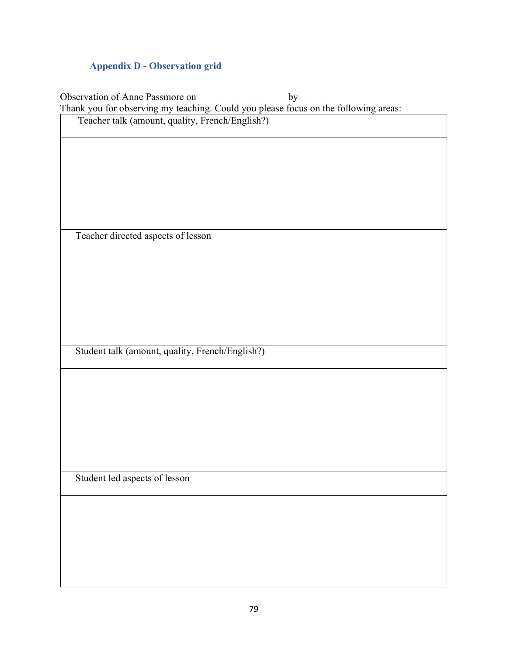## **Appendix D - Observation grid**

| Observation of Anne Passmore on<br>$by-$                                            |
|-------------------------------------------------------------------------------------|
| Thank you for observing my teaching. Could you please focus on the following areas: |
| Teacher talk (amount, quality, French/English?)                                     |
|                                                                                     |
|                                                                                     |
|                                                                                     |
|                                                                                     |
|                                                                                     |
|                                                                                     |
|                                                                                     |
| Teacher directed aspects of lesson                                                  |
|                                                                                     |
|                                                                                     |
|                                                                                     |
|                                                                                     |
|                                                                                     |
|                                                                                     |
|                                                                                     |
| Student talk (amount, quality, French/English?)                                     |
|                                                                                     |
|                                                                                     |
|                                                                                     |
|                                                                                     |
|                                                                                     |
|                                                                                     |
|                                                                                     |
|                                                                                     |
|                                                                                     |
| Student led aspects of lesson                                                       |
|                                                                                     |
|                                                                                     |
|                                                                                     |
|                                                                                     |
|                                                                                     |
|                                                                                     |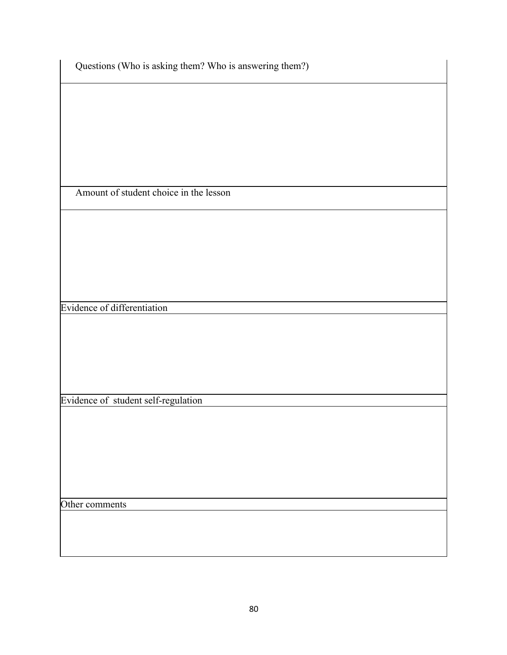|  |  |  |  | Questions (Who is asking them? Who is answering them?) |  |
|--|--|--|--|--------------------------------------------------------|--|
|  |  |  |  |                                                        |  |

Amount of student choice in the lesson

Evidence of differentiation

Evidence of student self-regulation

Other comments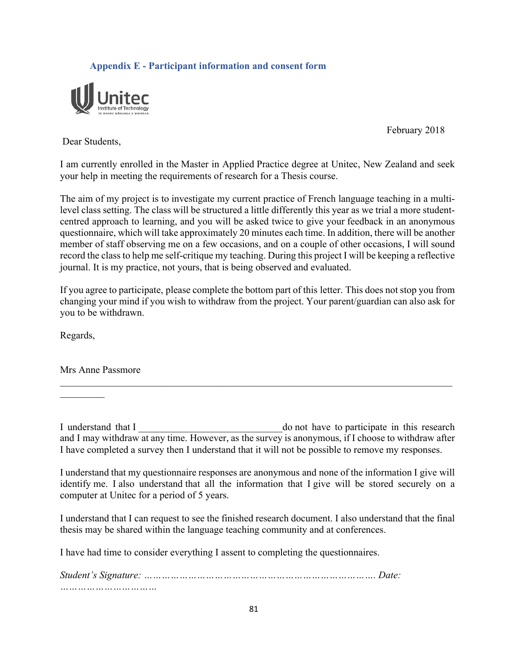### **Appendix E - Participant information and consent form**



February 2018

Dear Students,

I am currently enrolled in the Master in Applied Practice degree at Unitec, New Zealand and seek your help in meeting the requirements of research for a Thesis course.

The aim of my project is to investigate my current practice of French language teaching in a multilevel class setting. The class will be structured a little differently this year as we trial a more studentcentred approach to learning, and you will be asked twice to give your feedback in an anonymous questionnaire, which will take approximately 20 minutes each time. In addition, there will be another member of staff observing me on a few occasions, and on a couple of other occasions, I will sound record the class to help me self-critique my teaching. During this project I will be keeping a reflective journal. It is my practice, not yours, that is being observed and evaluated.

If you agree to participate, please complete the bottom part of this letter. This does not stop you from changing your mind if you wish to withdraw from the project. Your parent/guardian can also ask for you to be withdrawn.

Regards,

Mrs Anne Passmore

I understand that I \_\_\_\_\_\_\_\_\_\_\_\_\_\_\_\_\_\_\_\_\_\_\_\_\_\_\_\_\_do not have to participate in this research and I may withdraw at any time. However, as the survey is anonymous, if I choose to withdraw after I have completed a survey then I understand that it will not be possible to remove my responses.

I understand that my questionnaire responses are anonymous and none of the information I give will identify me. I also understand that all the information that I give will be stored securely on a computer at Unitec for a period of 5 years.

I understand that I can request to see the finished research document. I also understand that the final thesis may be shared within the language teaching community and at conferences.

I have had time to consider everything I assent to completing the questionnaires.

*Student's Signature: ……………………………………………………………………. Date: ……………………………*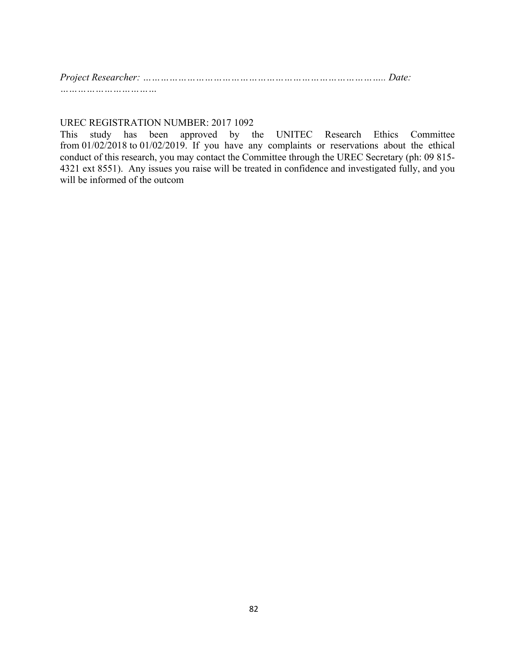*Project Researcher: ……………………………………………………………………….. Date: ……………………………*

#### UREC REGISTRATION NUMBER: 2017 1092

This study has been approved by the UNITEC Research Ethics Committee from 01/02/2018 to 01/02/2019. If you have any complaints or reservations about the ethical conduct of this research, you may contact the Committee through the UREC Secretary (ph: 09 815- 4321 ext 8551). Any issues you raise will be treated in confidence and investigated fully, and you will be informed of the outcom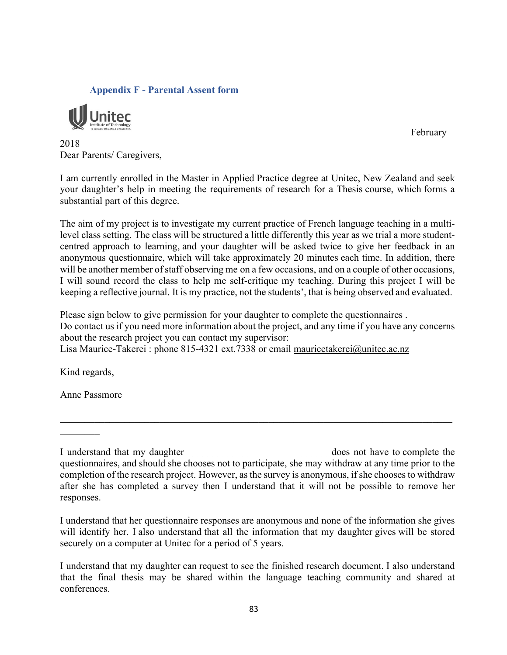#### **Appendix F - Parental Assent form**



February

2018 Dear Parents/ Caregivers,

I am currently enrolled in the Master in Applied Practice degree at Unitec, New Zealand and seek your daughter's help in meeting the requirements of research for a Thesis course, which forms a substantial part of this degree.

The aim of my project is to investigate my current practice of French language teaching in a multilevel class setting. The class will be structured a little differently this year as we trial a more studentcentred approach to learning, and your daughter will be asked twice to give her feedback in an anonymous questionnaire, which will take approximately 20 minutes each time. In addition, there will be another member of staff observing me on a few occasions, and on a couple of other occasions, I will sound record the class to help me self-critique my teaching. During this project I will be keeping a reflective journal. It is my practice, not the students', that is being observed and evaluated.

Please sign below to give permission for your daughter to complete the questionnaires . Do contact us if you need more information about the project, and any time if you have any concerns about the research project you can contact my supervisor: Lisa Maurice-Takerei : phone 815-4321 ext.7338 or email mauricetakerei@unitec.ac.nz

Kind regards,

Anne Passmore

I understand that my daughter **Exercise 2** and the state of the state of the state of the state of the state of the state of the state of the state of the state of the state of the state of the state of the state of the st questionnaires, and should she chooses not to participate, she may withdraw at any time prior to the completion of the research project. However, as the survey is anonymous, if she chooses to withdraw after she has completed a survey then I understand that it will not be possible to remove her responses.

 $\mathcal{L}_\mathcal{L} = \mathcal{L}_\mathcal{L} = \mathcal{L}_\mathcal{L} = \mathcal{L}_\mathcal{L} = \mathcal{L}_\mathcal{L} = \mathcal{L}_\mathcal{L} = \mathcal{L}_\mathcal{L} = \mathcal{L}_\mathcal{L} = \mathcal{L}_\mathcal{L} = \mathcal{L}_\mathcal{L} = \mathcal{L}_\mathcal{L} = \mathcal{L}_\mathcal{L} = \mathcal{L}_\mathcal{L} = \mathcal{L}_\mathcal{L} = \mathcal{L}_\mathcal{L} = \mathcal{L}_\mathcal{L} = \mathcal{L}_\mathcal{L}$ 

I understand that her questionnaire responses are anonymous and none of the information she gives will identify her. I also understand that all the information that my daughter gives will be stored securely on a computer at Unitec for a period of 5 years.

I understand that my daughter can request to see the finished research document. I also understand that the final thesis may be shared within the language teaching community and shared at conferences.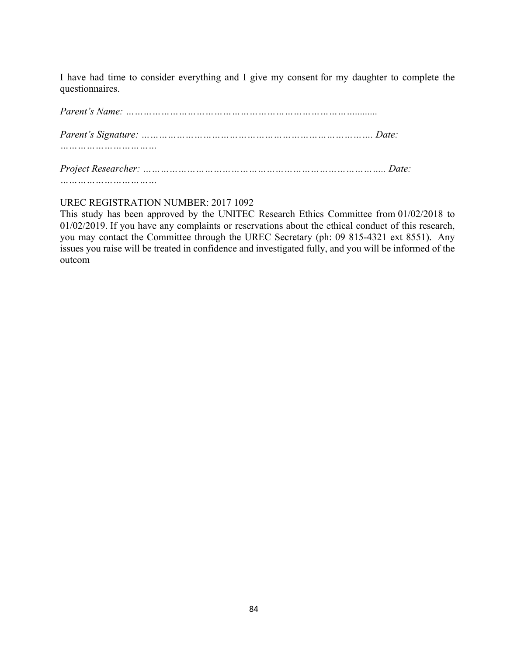I have had time to consider everything and I give my consent for my daughter to complete the questionnaires.

### UREC REGISTRATION NUMBER: 2017 1092

*……………………………*

This study has been approved by the UNITEC Research Ethics Committee from 01/02/2018 to 01/02/2019. If you have any complaints or reservations about the ethical conduct of this research, you may contact the Committee through the UREC Secretary (ph: 09 815-4321 ext 8551). Any issues you raise will be treated in confidence and investigated fully, and you will be informed of the outcom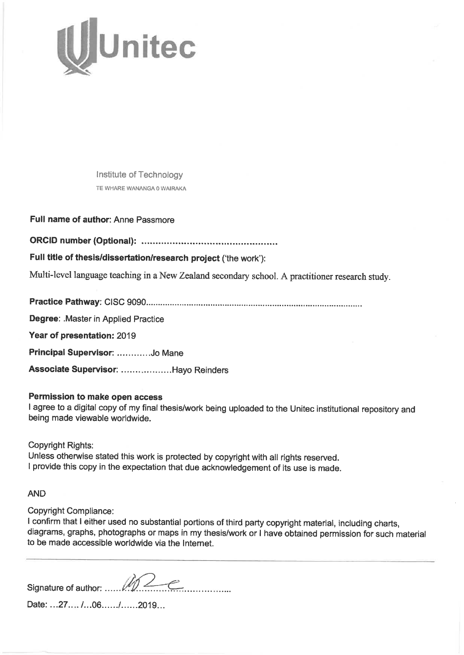

Institute of Technology TE WHARE WANANGA 0 WAIRAKA

Full name of author: Anne Passmore

Full title of thesis/dissertation/research project ('the work'):

Multi-level language teaching in a New Zealand secondary school. A practitioner research study.

Degree: Master in Applied Practice

Year of presentation: 2019

Principal Supervisor: .............Jo Mane

Associate Supervisor: ..................Hayo Reinders

#### Permission to make open access

I agree to a digital copy of my final thesis/work being uploaded to the Unitec institutional repository and being made viewable worldwide.

**Copyright Rights:** 

Unless otherwise stated this work is protected by copyright with all rights reserved. I provide this copy in the expectation that due acknowledgement of its use is made.

**AND** 

**Copyright Compliance:** 

I confirm that I either used no substantial portions of third party copyright material, including charts, diagrams, graphs, photographs or maps in my thesis/work or I have obtained permission for such material to be made accessible worldwide via the Internet.

Date: ...27.... /...06....../......2019...